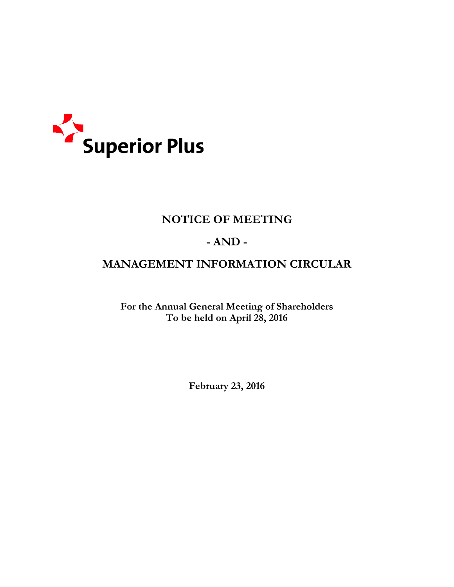

# **NOTICE OF MEETING**

# **- AND -**

# **MANAGEMENT INFORMATION CIRCULAR**

**For the Annual General Meeting of Shareholders To be held on April 28, 2016** 

**February 23, 2016**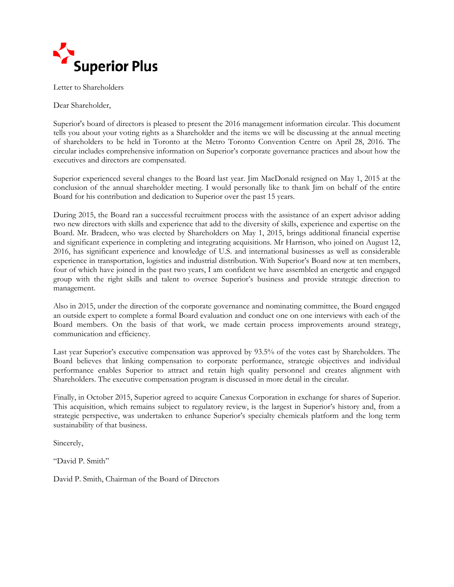

Letter to Shareholders

Dear Shareholder,

Superior's board of directors is pleased to present the 2016 management information circular. This document tells you about your voting rights as a Shareholder and the items we will be discussing at the annual meeting of shareholders to be held in Toronto at the Metro Toronto Convention Centre on April 28, 2016. The circular includes comprehensive information on Superior's corporate governance practices and about how the executives and directors are compensated.

Superior experienced several changes to the Board last year. Jim MacDonald resigned on May 1, 2015 at the conclusion of the annual shareholder meeting. I would personally like to thank Jim on behalf of the entire Board for his contribution and dedication to Superior over the past 15 years.

During 2015, the Board ran a successful recruitment process with the assistance of an expert advisor adding two new directors with skills and experience that add to the diversity of skills, experience and expertise on the Board. Mr. Bradeen, who was elected by Shareholders on May 1, 2015, brings additional financial expertise and significant experience in completing and integrating acquisitions. Mr Harrison, who joined on August 12, 2016, has significant experience and knowledge of U.S. and international businesses as well as considerable experience in transportation, logistics and industrial distribution. With Superior's Board now at ten members, four of which have joined in the past two years, I am confident we have assembled an energetic and engaged group with the right skills and talent to oversee Superior's business and provide strategic direction to management.

Also in 2015, under the direction of the corporate governance and nominating committee, the Board engaged an outside expert to complete a formal Board evaluation and conduct one on one interviews with each of the Board members. On the basis of that work, we made certain process improvements around strategy, communication and efficiency.

Last year Superior's executive compensation was approved by 93.5% of the votes cast by Shareholders. The Board believes that linking compensation to corporate performance, strategic objectives and individual performance enables Superior to attract and retain high quality personnel and creates alignment with Shareholders. The executive compensation program is discussed in more detail in the circular.

Finally, in October 2015, Superior agreed to acquire Canexus Corporation in exchange for shares of Superior. This acquisition, which remains subject to regulatory review, is the largest in Superior's history and, from a strategic perspective, was undertaken to enhance Superior's specialty chemicals platform and the long term sustainability of that business.

Sincerely,

"David P. Smith"

David P. Smith, Chairman of the Board of Directors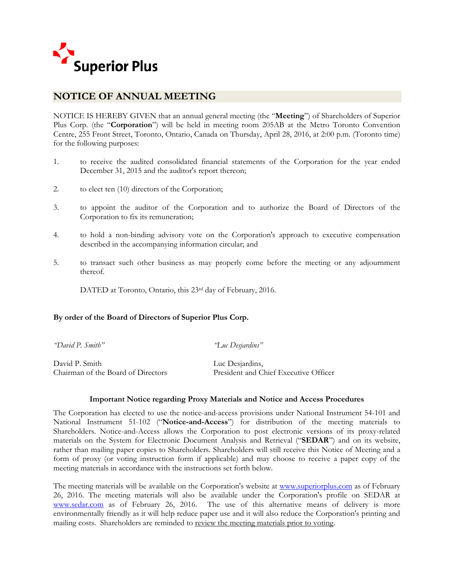

# **NOTICE OF ANNUAL MEETING**

NOTICE IS HEREBY GIVEN that an annual general meeting (the "**Meeting**") of Shareholders of Superior Plus Corp. (the "**Corporation**") will be held in meeting room 205AB at the Metro Toronto Convention Centre, 255 Front Street, Toronto, Ontario, Canada on Thursday, April 28, 2016, at 2:00 p.m. (Toronto time) for the following purposes:

- 1. to receive the audited consolidated financial statements of the Corporation for the year ended December 31, 2015 and the auditor's report thereon;
- 2. to elect ten (10) directors of the Corporation;
- 3. to appoint the auditor of the Corporation and to authorize the Board of Directors of the Corporation to fix its remuneration;
- 4. to hold a non-binding advisory vote on the Corporation's approach to executive compensation described in the accompanying information circular; and
- 5. to transact such other business as may properly come before the meeting or any adjournment thereof.

DATED at Toronto, Ontario, this 23rd day of February, 2016.

#### **By order of the Board of Directors of Superior Plus Corp.**

| "David P. Smith"                   | ''Luc Desjardins''                    |
|------------------------------------|---------------------------------------|
| David P. Smith                     | Luc Desjardins,                       |
| Chairman of the Board of Directors | President and Chief Executive Officer |

#### **Important Notice regarding Proxy Materials and Notice and Access Procedures**

The Corporation has elected to use the notice-and-access provisions under National Instrument 54-101 and National Instrument 51-102 ("**Notice-and-Access**") for distribution of the meeting materials to Shareholders. Notice-and-Access allows the Corporation to post electronic versions of its proxy-related materials on the System for Electronic Document Analysis and Retrieval ("**SEDAR**") and on its website, rather than mailing paper copies to Shareholders. Shareholders will still receive this Notice of Meeting and a form of proxy (or voting instruction form if applicable) and may choose to receive a paper copy of the meeting materials in accordance with the instructions set forth below.

The meeting materials will be available on the Corporation's website at www.superiorplus.com as of February 26, 2016. The meeting materials will also be available under the Corporation's profile on SEDAR at www.sedar.com as of February 26, 2016. The use of this alternative means of delivery is more environmentally friendly as it will help reduce paper use and it will also reduce the Corporation's printing and mailing costs. Shareholders are reminded to review the meeting materials prior to voting.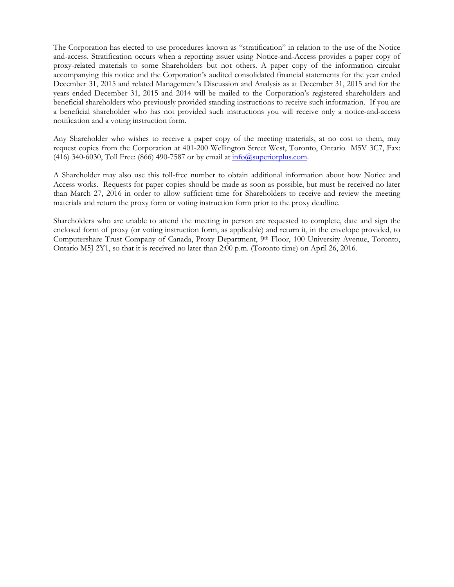The Corporation has elected to use procedures known as "stratification" in relation to the use of the Notice and-access. Stratification occurs when a reporting issuer using Notice-and-Access provides a paper copy of proxy-related materials to some Shareholders but not others. A paper copy of the information circular accompanying this notice and the Corporation's audited consolidated financial statements for the year ended December 31, 2015 and related Management's Discussion and Analysis as at December 31, 2015 and for the years ended December 31, 2015 and 2014 will be mailed to the Corporation's registered shareholders and beneficial shareholders who previously provided standing instructions to receive such information. If you are a beneficial shareholder who has not provided such instructions you will receive only a notice-and-access notification and a voting instruction form.

Any Shareholder who wishes to receive a paper copy of the meeting materials, at no cost to them, may request copies from the Corporation at 401-200 Wellington Street West, Toronto, Ontario M5V 3C7, Fax: (416) 340-6030, Toll Free: (866) 490-7587 or by email at  $\frac{info(\partial_{\text{superiorplus.com}})}{info(\partial_{\text{superiorplus.com}})}$ .

A Shareholder may also use this toll-free number to obtain additional information about how Notice and Access works. Requests for paper copies should be made as soon as possible, but must be received no later than March 27, 2016 in order to allow sufficient time for Shareholders to receive and review the meeting materials and return the proxy form or voting instruction form prior to the proxy deadline.

Shareholders who are unable to attend the meeting in person are requested to complete, date and sign the enclosed form of proxy (or voting instruction form, as applicable) and return it, in the envelope provided, to Computershare Trust Company of Canada, Proxy Department, 9th Floor, 100 University Avenue, Toronto, Ontario M5J 2Y1, so that it is received no later than 2:00 p.m. (Toronto time) on April 26, 2016.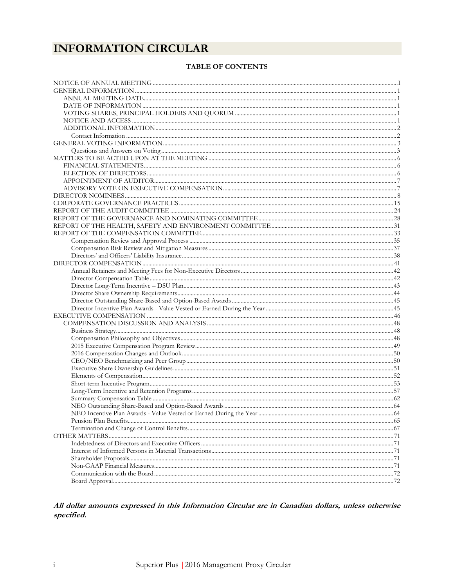# **INFORMATION CIRCULAR**

#### TABLE OF CONTENTS

| $\text{MATTERS TO BE ACTED UPON AT THE MEETING  \textit{\dots} \textit{\dots} \textit{\dots} \textit{\dots} \textit{\dots} \textit{\dots} \textit{\dots} \textit{\dots} \textit{\dots} \textit{\dots} \textit{\dots} \textit{\dots} \textit{\dots} \textit{\dots} \textit{\dots} \textit{\dots} \textit{\dots} \textit{\dots} \textit{\dots} \textit{\dots} \textit{\dots} \textit{\dots} \textit{\dots} \textit{\dots} \textit{\dots} \textit{\dots} \textit{\dots} \textit{\dots} \textit{\dots} \textit{\dots} \textit{\dots} \textit{\dots} \textit{\dots} \textit{\$ |  |
|---------------------------------------------------------------------------------------------------------------------------------------------------------------------------------------------------------------------------------------------------------------------------------------------------------------------------------------------------------------------------------------------------------------------------------------------------------------------------------------------------------------------------------------------------------------------------|--|
|                                                                                                                                                                                                                                                                                                                                                                                                                                                                                                                                                                           |  |
|                                                                                                                                                                                                                                                                                                                                                                                                                                                                                                                                                                           |  |
|                                                                                                                                                                                                                                                                                                                                                                                                                                                                                                                                                                           |  |
|                                                                                                                                                                                                                                                                                                                                                                                                                                                                                                                                                                           |  |
|                                                                                                                                                                                                                                                                                                                                                                                                                                                                                                                                                                           |  |
|                                                                                                                                                                                                                                                                                                                                                                                                                                                                                                                                                                           |  |
|                                                                                                                                                                                                                                                                                                                                                                                                                                                                                                                                                                           |  |
|                                                                                                                                                                                                                                                                                                                                                                                                                                                                                                                                                                           |  |
|                                                                                                                                                                                                                                                                                                                                                                                                                                                                                                                                                                           |  |
|                                                                                                                                                                                                                                                                                                                                                                                                                                                                                                                                                                           |  |
|                                                                                                                                                                                                                                                                                                                                                                                                                                                                                                                                                                           |  |
|                                                                                                                                                                                                                                                                                                                                                                                                                                                                                                                                                                           |  |
|                                                                                                                                                                                                                                                                                                                                                                                                                                                                                                                                                                           |  |
|                                                                                                                                                                                                                                                                                                                                                                                                                                                                                                                                                                           |  |
|                                                                                                                                                                                                                                                                                                                                                                                                                                                                                                                                                                           |  |
|                                                                                                                                                                                                                                                                                                                                                                                                                                                                                                                                                                           |  |
|                                                                                                                                                                                                                                                                                                                                                                                                                                                                                                                                                                           |  |
|                                                                                                                                                                                                                                                                                                                                                                                                                                                                                                                                                                           |  |
|                                                                                                                                                                                                                                                                                                                                                                                                                                                                                                                                                                           |  |
|                                                                                                                                                                                                                                                                                                                                                                                                                                                                                                                                                                           |  |
|                                                                                                                                                                                                                                                                                                                                                                                                                                                                                                                                                                           |  |
|                                                                                                                                                                                                                                                                                                                                                                                                                                                                                                                                                                           |  |
|                                                                                                                                                                                                                                                                                                                                                                                                                                                                                                                                                                           |  |
|                                                                                                                                                                                                                                                                                                                                                                                                                                                                                                                                                                           |  |
|                                                                                                                                                                                                                                                                                                                                                                                                                                                                                                                                                                           |  |
|                                                                                                                                                                                                                                                                                                                                                                                                                                                                                                                                                                           |  |
|                                                                                                                                                                                                                                                                                                                                                                                                                                                                                                                                                                           |  |
|                                                                                                                                                                                                                                                                                                                                                                                                                                                                                                                                                                           |  |
|                                                                                                                                                                                                                                                                                                                                                                                                                                                                                                                                                                           |  |
|                                                                                                                                                                                                                                                                                                                                                                                                                                                                                                                                                                           |  |
|                                                                                                                                                                                                                                                                                                                                                                                                                                                                                                                                                                           |  |
|                                                                                                                                                                                                                                                                                                                                                                                                                                                                                                                                                                           |  |
|                                                                                                                                                                                                                                                                                                                                                                                                                                                                                                                                                                           |  |
|                                                                                                                                                                                                                                                                                                                                                                                                                                                                                                                                                                           |  |
|                                                                                                                                                                                                                                                                                                                                                                                                                                                                                                                                                                           |  |
|                                                                                                                                                                                                                                                                                                                                                                                                                                                                                                                                                                           |  |
|                                                                                                                                                                                                                                                                                                                                                                                                                                                                                                                                                                           |  |
|                                                                                                                                                                                                                                                                                                                                                                                                                                                                                                                                                                           |  |
|                                                                                                                                                                                                                                                                                                                                                                                                                                                                                                                                                                           |  |
|                                                                                                                                                                                                                                                                                                                                                                                                                                                                                                                                                                           |  |
|                                                                                                                                                                                                                                                                                                                                                                                                                                                                                                                                                                           |  |
|                                                                                                                                                                                                                                                                                                                                                                                                                                                                                                                                                                           |  |
|                                                                                                                                                                                                                                                                                                                                                                                                                                                                                                                                                                           |  |
|                                                                                                                                                                                                                                                                                                                                                                                                                                                                                                                                                                           |  |
|                                                                                                                                                                                                                                                                                                                                                                                                                                                                                                                                                                           |  |

All dollar amounts expressed in this Information Circular are in Canadian dollars, unless otherwise specified.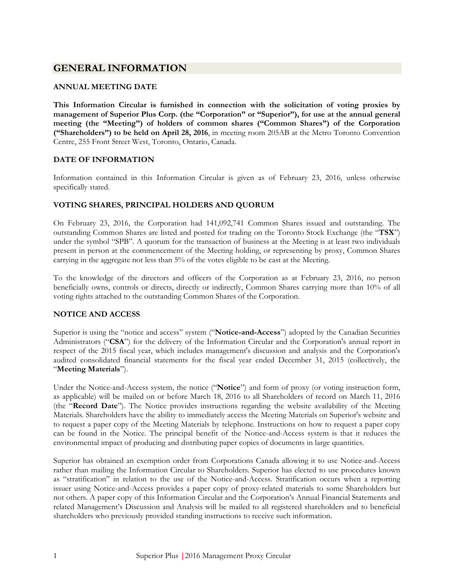# **GENERAL INFORMATION**

#### **ANNUAL MEETING DATE**

**This Information Circular is furnished in connection with the solicitation of voting proxies by management of Superior Plus Corp. (the "Corporation" or "Superior"), for use at the annual general meeting (the "Meeting") of holders of common shares ("Common Shares") of the Corporation ("Shareholders") to be held on April 28, 2016**, in meeting room 205AB at the Metro Toronto Convention Centre, 255 Front Street West, Toronto, Ontario, Canada.

#### **DATE OF INFORMATION**

Information contained in this Information Circular is given as of February 23, 2016, unless otherwise specifically stated.

#### **VOTING SHARES, PRINCIPAL HOLDERS AND QUORUM**

On February 23, 2016, the Corporation had 141,092,741 Common Shares issued and outstanding. The outstanding Common Shares are listed and posted for trading on the Toronto Stock Exchange (the "**TSX**") under the symbol "SPB". A quorum for the transaction of business at the Meeting is at least two individuals present in person at the commencement of the Meeting holding, or representing by proxy, Common Shares carrying in the aggregate not less than 5% of the votes eligible to be cast at the Meeting.

To the knowledge of the directors and officers of the Corporation as at February 23, 2016, no person beneficially owns, controls or directs, directly or indirectly, Common Shares carrying more than 10% of all voting rights attached to the outstanding Common Shares of the Corporation.

#### **NOTICE AND ACCESS**

Superior is using the "notice and access" system ("**Notice-and-Access**") adopted by the Canadian Securities Administrators ("**CSA**") for the delivery of the Information Circular and the Corporation's annual report in respect of the 2015 fiscal year, which includes management's discussion and analysis and the Corporation's audited consolidated financial statements for the fiscal year ended December 31, 2015 (collectively, the "**Meeting Materials**").

Under the Notice-and-Access system, the notice ("**Notice**") and form of proxy (or voting instruction form, as applicable) will be mailed on or before March 18, 2016 to all Shareholders of record on March 11, 2016 (the "**Record Date**"). The Notice provides instructions regarding the website availability of the Meeting Materials. Shareholders have the ability to immediately access the Meeting Materials on Superior's website and to request a paper copy of the Meeting Materials by telephone. Instructions on how to request a paper copy can be found in the Notice. The principal benefit of the Notice-and-Access system is that it reduces the environmental impact of producing and distributing paper copies of documents in large quantities.

Superior has obtained an exemption order from Corporations Canada allowing it to use Notice-and-Access rather than mailing the Information Circular to Shareholders. Superior has elected to use procedures known as "stratification" in relation to the use of the Notice-and-Access. Stratification occurs when a reporting issuer using Notice-and-Access provides a paper copy of proxy-related materials to some Shareholders but not others. A paper copy of this Information Circular and the Corporation's Annual Financial Statements and related Management's Discussion and Analysis will be mailed to all registered shareholders and to beneficial shareholders who previously provided standing instructions to receive such information.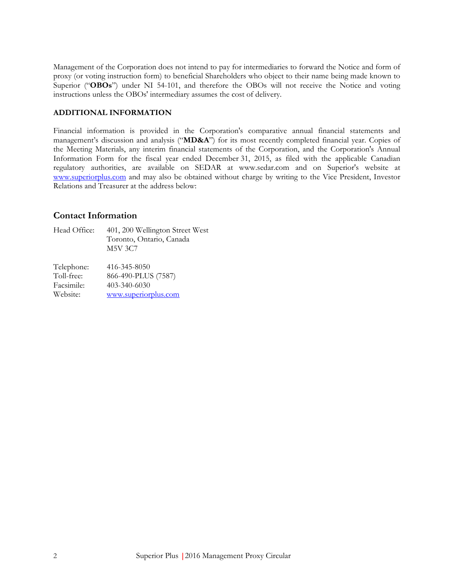Management of the Corporation does not intend to pay for intermediaries to forward the Notice and form of proxy (or voting instruction form) to beneficial Shareholders who object to their name being made known to Superior ("**OBOs**") under NI 54-101, and therefore the OBOs will not receive the Notice and voting instructions unless the OBOs' intermediary assumes the cost of delivery.

#### **ADDITIONAL INFORMATION**

Financial information is provided in the Corporation's comparative annual financial statements and management's discussion and analysis ("**MD&A**") for its most recently completed financial year. Copies of the Meeting Materials, any interim financial statements of the Corporation, and the Corporation's Annual Information Form for the fiscal year ended December 31, 2015, as filed with the applicable Canadian regulatory authorities, are available on SEDAR at www.sedar.com and on Superior's website at www.superiorplus.com and may also be obtained without charge by writing to the Vice President, Investor Relations and Treasurer at the address below:

#### **Contact Information**

| Head Office: | 401, 200 Wellington Street West<br>Toronto, Ontario, Canada<br><b>M5V 3C7</b> |
|--------------|-------------------------------------------------------------------------------|
| Telephone:   | 416-345-8050                                                                  |
| Toll-free:   | 866-490-PLUS (7587)                                                           |
| Facsimile:   | 403-340-6030                                                                  |
| Website:     | www.superiorplus.com                                                          |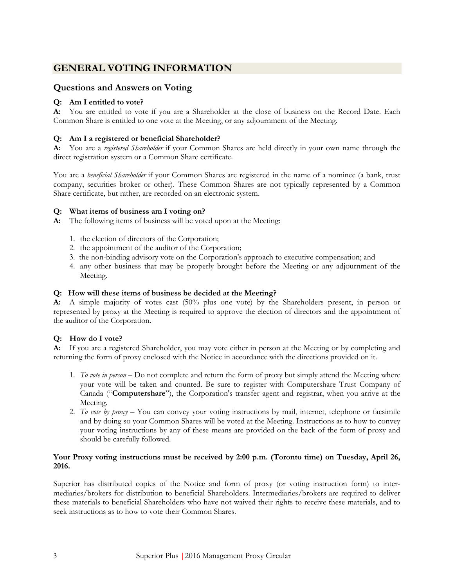# **GENERAL VOTING INFORMATION**

# **Questions and Answers on Voting**

#### **Q: Am I entitled to vote?**

**A:** You are entitled to vote if you are a Shareholder at the close of business on the Record Date. Each Common Share is entitled to one vote at the Meeting, or any adjournment of the Meeting.

#### **Q: Am I a registered or beneficial Shareholder?**

**A:** You are a *registered Shareholder* if your Common Shares are held directly in your own name through the direct registration system or a Common Share certificate.

You are a *beneficial Shareholder* if your Common Shares are registered in the name of a nominee (a bank, trust company, securities broker or other). These Common Shares are not typically represented by a Common Share certificate, but rather, are recorded on an electronic system.

#### **Q: What items of business am I voting on?**

**A:** The following items of business will be voted upon at the Meeting:

- 1. the election of directors of the Corporation;
- 2. the appointment of the auditor of the Corporation;
- 3. the non-binding advisory vote on the Corporation's approach to executive compensation; and
- 4. any other business that may be properly brought before the Meeting or any adjournment of the Meeting.

#### **Q: How will these items of business be decided at the Meeting?**

**A:** A simple majority of votes cast (50% plus one vote) by the Shareholders present, in person or represented by proxy at the Meeting is required to approve the election of directors and the appointment of the auditor of the Corporation.

#### **Q: How do I vote?**

**A:** If you are a registered Shareholder, you may vote either in person at the Meeting or by completing and returning the form of proxy enclosed with the Notice in accordance with the directions provided on it.

- 1. *To vote in person* Do not complete and return the form of proxy but simply attend the Meeting where your vote will be taken and counted. Be sure to register with Computershare Trust Company of Canada ("**Computershare**"), the Corporation's transfer agent and registrar, when you arrive at the Meeting.
- 2. *To vote by proxy*  You can convey your voting instructions by mail, internet, telephone or facsimile and by doing so your Common Shares will be voted at the Meeting. Instructions as to how to convey your voting instructions by any of these means are provided on the back of the form of proxy and should be carefully followed.

#### **Your Proxy voting instructions must be received by 2:00 p.m. (Toronto time) on Tuesday, April 26, 2016.**

Superior has distributed copies of the Notice and form of proxy (or voting instruction form) to intermediaries/brokers for distribution to beneficial Shareholders. Intermediaries/brokers are required to deliver these materials to beneficial Shareholders who have not waived their rights to receive these materials, and to seek instructions as to how to vote their Common Shares.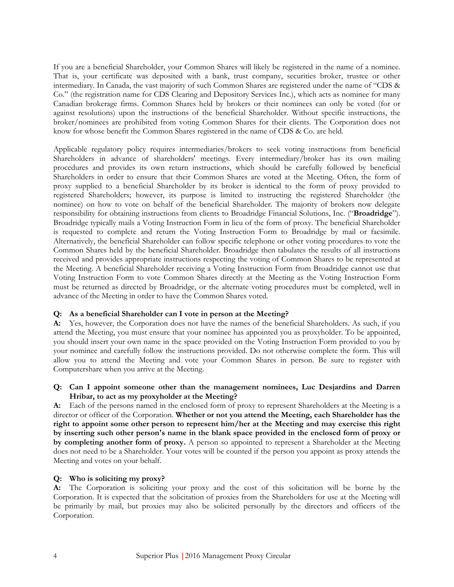If you are a beneficial Shareholder, your Common Shares will likely be registered in the name of a nominee. That is, your certificate was deposited with a bank, trust company, securities broker, trustee or other intermediary. In Canada, the vast majority of such Common Shares are registered under the name of "CDS & Co." (the registration name for CDS Clearing and Depository Services Inc.), which acts as nominee for many Canadian brokerage firms. Common Shares held by brokers or their nominees can only be voted (for or against resolutions) upon the instructions of the beneficial Shareholder. Without specific instructions, the broker/nominees are prohibited from voting Common Shares for their clients. The Corporation does not know for whose benefit the Common Shares registered in the name of CDS & Co. are held.

Applicable regulatory policy requires intermediaries/brokers to seek voting instructions from beneficial Shareholders in advance of shareholders' meetings. Every intermediary/broker has its own mailing procedures and provides its own return instructions, which should be carefully followed by beneficial Shareholders in order to ensure that their Common Shares are voted at the Meeting. Often, the form of proxy supplied to a beneficial Shareholder by its broker is identical to the form of proxy provided to registered Shareholders; however, its purpose is limited to instructing the registered Shareholder (the nominee) on how to vote on behalf of the beneficial Shareholder. The majority of brokers now delegate responsibility for obtaining instructions from clients to Broadridge Financial Solutions, Inc. ("**Broadridge**"). Broadridge typically mails a Voting Instruction Form in lieu of the form of proxy. The beneficial Shareholder is requested to complete and return the Voting Instruction Form to Broadridge by mail or facsimile. Alternatively, the beneficial Shareholder can follow specific telephone or other voting procedures to vote the Common Shares held by the beneficial Shareholder. Broadridge then tabulates the results of all instructions received and provides appropriate instructions respecting the voting of Common Shares to be represented at the Meeting. A beneficial Shareholder receiving a Voting Instruction Form from Broadridge cannot use that Voting Instruction Form to vote Common Shares directly at the Meeting as the Voting Instruction Form must be returned as directed by Broadridge, or the alternate voting procedures must be completed, well in advance of the Meeting in order to have the Common Shares voted.

#### **Q: As a beneficial Shareholder can I vote in person at the Meeting?**

**A:** Yes, however, the Corporation does not have the names of the beneficial Shareholders. As such, if you attend the Meeting, you must ensure that your nominee has appointed you as proxyholder. To be appointed, you should insert your own name in the space provided on the Voting Instruction Form provided to you by your nominee and carefully follow the instructions provided. Do not otherwise complete the form. This will allow you to attend the Meeting and vote your Common Shares in person. Be sure to register with Computershare when you arrive at the Meeting.

#### **Q: Can I appoint someone other than the management nominees, Luc Desjardins and Darren Hribar, to act as my proxyholder at the Meeting?**

**A:** Each of the persons named in the enclosed form of proxy to represent Shareholders at the Meeting is a director or officer of the Corporation. **Whether or not you attend the Meeting, each Shareholder has the right to appoint some other person to represent him/her at the Meeting and may exercise this right by inserting such other person's name in the blank space provided in the enclosed form of proxy or by completing another form of proxy.** A person so appointed to represent a Shareholder at the Meeting does not need to be a Shareholder. Your votes will be counted if the person you appoint as proxy attends the Meeting and votes on your behalf.

#### **Q: Who is soliciting my proxy?**

**A:** The Corporation is soliciting your proxy and the cost of this solicitation will be borne by the Corporation. It is expected that the solicitation of proxies from the Shareholders for use at the Meeting will be primarily by mail, but proxies may also be solicited personally by the directors and officers of the Corporation.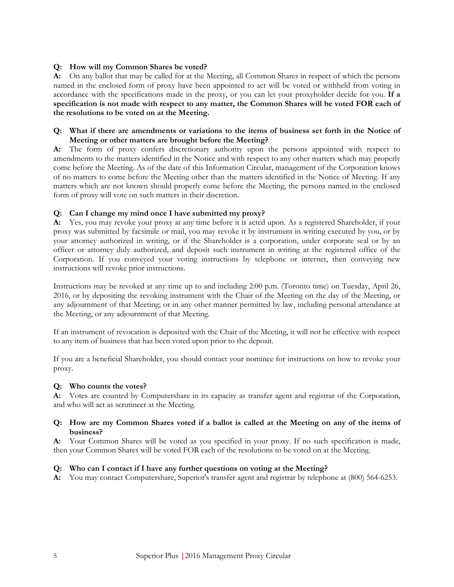#### **Q: How will my Common Shares be voted?**

**A:** On any ballot that may be called for at the Meeting, all Common Shares in respect of which the persons named in the enclosed form of proxy have been appointed to act will be voted or withheld from voting in accordance with the specifications made in the proxy, or you can let your proxyholder decide for you. **If a specification is not made with respect to any matter, the Common Shares will be voted FOR each of the resolutions to be voted on at the Meeting.**

#### **Q: What if there are amendments or variations to the items of business set forth in the Notice of Meeting or other matters are brought before the Meeting?**

**A:** The form of proxy confers discretionary authority upon the persons appointed with respect to amendments to the matters identified in the Notice and with respect to any other matters which may properly come before the Meeting. As of the date of this Information Circular, management of the Corporation knows of no matters to come before the Meeting other than the matters identified in the Notice of Meeting. If any matters which are not known should properly come before the Meeting, the persons named in the enclosed form of proxy will vote on such matters in their discretion.

#### **Q: Can I change my mind once I have submitted my proxy?**

**A:** Yes, you may revoke your proxy at any time before it is acted upon. As a registered Shareholder, if your proxy was submitted by facsimile or mail, you may revoke it by instrument in writing executed by you, or by your attorney authorized in writing, or if the Shareholder is a corporation, under corporate seal or by an officer or attorney duly authorized, and deposit such instrument in writing at the registered office of the Corporation. If you conveyed your voting instructions by telephone or internet, then conveying new instructions will revoke prior instructions.

Instructions may be revoked at any time up to and including 2:00 p.m. (Toronto time) on Tuesday, April 26, 2016, or by depositing the revoking instrument with the Chair of the Meeting on the day of the Meeting, or any adjournment of that Meeting; or in any other manner permitted by law, including personal attendance at the Meeting, or any adjournment of that Meeting.

If an instrument of revocation is deposited with the Chair of the Meeting, it will not be effective with respect to any item of business that has been voted upon prior to the deposit.

If you are a beneficial Shareholder, you should contact your nominee for instructions on how to revoke your proxy.

#### **Q: Who counts the votes?**

**A:** Votes are counted by Computershare in its capacity as transfer agent and registrar of the Corporation, and who will act as scrutineer at the Meeting.

#### **Q: How are my Common Shares voted if a ballot is called at the Meeting on any of the items of business?**

**A:** Your Common Shares will be voted as you specified in your proxy. If no such specification is made, then your Common Shares will be voted FOR each of the resolutions to be voted on at the Meeting.

#### **Q: Who can I contact if I have any further questions on voting at the Meeting?**

**A:** You may contact Computershare, Superior's transfer agent and registrar by telephone at (800) 564-6253.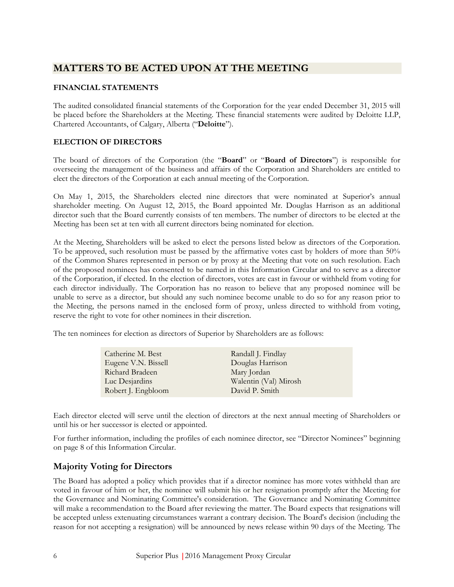# **MATTERS TO BE ACTED UPON AT THE MEETING**

#### **FINANCIAL STATEMENTS**

The audited consolidated financial statements of the Corporation for the year ended December 31, 2015 will be placed before the Shareholders at the Meeting. These financial statements were audited by Deloitte LLP, Chartered Accountants, of Calgary, Alberta ("**Deloitte**").

#### **ELECTION OF DIRECTORS**

The board of directors of the Corporation (the "**Board**" or "**Board of Directors**") is responsible for overseeing the management of the business and affairs of the Corporation and Shareholders are entitled to elect the directors of the Corporation at each annual meeting of the Corporation.

On May 1, 2015, the Shareholders elected nine directors that were nominated at Superior's annual shareholder meeting. On August 12, 2015, the Board appointed Mr. Douglas Harrison as an additional director such that the Board currently consists of ten members. The number of directors to be elected at the Meeting has been set at ten with all current directors being nominated for election.

At the Meeting, Shareholders will be asked to elect the persons listed below as directors of the Corporation. To be approved, such resolution must be passed by the affirmative votes cast by holders of more than 50% of the Common Shares represented in person or by proxy at the Meeting that vote on such resolution. Each of the proposed nominees has consented to be named in this Information Circular and to serve as a director of the Corporation, if elected. In the election of directors, votes are cast in favour or withheld from voting for each director individually. The Corporation has no reason to believe that any proposed nominee will be unable to serve as a director, but should any such nominee become unable to do so for any reason prior to the Meeting, the persons named in the enclosed form of proxy, unless directed to withhold from voting, reserve the right to vote for other nominees in their discretion.

The ten nominees for election as directors of Superior by Shareholders are as follows:

| Catherine M. Best   | Randall J. Findlay    |
|---------------------|-----------------------|
| Eugene V.N. Bissell | Douglas Harrison      |
| Richard Bradeen     | Mary Jordan           |
| Luc Desjardins      | Walentin (Val) Mirosh |
| Robert J. Engbloom  | David P. Smith        |

Each director elected will serve until the election of directors at the next annual meeting of Shareholders or until his or her successor is elected or appointed.

For further information, including the profiles of each nominee director, see "Director Nominees" beginning on page 8 of this Information Circular.

# **Majority Voting for Directors**

The Board has adopted a policy which provides that if a director nominee has more votes withheld than are voted in favour of him or her, the nominee will submit his or her resignation promptly after the Meeting for the Governance and Nominating Committee's consideration. The Governance and Nominating Committee will make a recommendation to the Board after reviewing the matter. The Board expects that resignations will be accepted unless extenuating circumstances warrant a contrary decision. The Board's decision (including the reason for not accepting a resignation) will be announced by news release within 90 days of the Meeting. The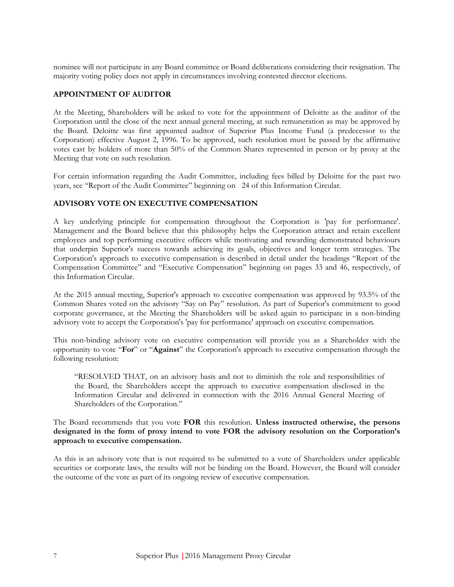nominee will not participate in any Board committee or Board deliberations considering their resignation. The majority voting policy does not apply in circumstances involving contested director elections.

#### **APPOINTMENT OF AUDITOR**

At the Meeting, Shareholders will be asked to vote for the appointment of Deloitte as the auditor of the Corporation until the close of the next annual general meeting, at such remuneration as may be approved by the Board. Deloitte was first appointed auditor of Superior Plus Income Fund (a predecessor to the Corporation) effective August 2, 1996. To be approved, such resolution must be passed by the affirmative votes cast by holders of more than 50% of the Common Shares represented in person or by proxy at the Meeting that vote on such resolution.

For certain information regarding the Audit Committee, including fees billed by Deloitte for the past two years, see "Report of the Audit Committee" beginning on 24 of this Information Circular.

#### **ADVISORY VOTE ON EXECUTIVE COMPENSATION**

A key underlying principle for compensation throughout the Corporation is 'pay for performance'. Management and the Board believe that this philosophy helps the Corporation attract and retain excellent employees and top performing executive officers while motivating and rewarding demonstrated behaviours that underpin Superior's success towards achieving its goals, objectives and longer term strategies. The Corporation's approach to executive compensation is described in detail under the headings "Report of the Compensation Committee" and "Executive Compensation" beginning on pages 33 and 46, respectively, of this Information Circular.

At the 2015 annual meeting, Superior's approach to executive compensation was approved by 93.5% of the Common Shares voted on the advisory "Say on Pay" resolution. As part of Superior's commitment to good corporate governance, at the Meeting the Shareholders will be asked again to participate in a non-binding advisory vote to accept the Corporation's 'pay for performance' approach on executive compensation.

This non-binding advisory vote on executive compensation will provide you as a Shareholder with the opportunity to vote "**For**" or "**Against**" the Corporation's approach to executive compensation through the following resolution:

"RESOLVED THAT, on an advisory basis and not to diminish the role and responsibilities of the Board, the Shareholders accept the approach to executive compensation disclosed in the Information Circular and delivered in connection with the 2016 Annual General Meeting of Shareholders of the Corporation."

The Board recommends that you vote **FOR** this resolution. **Unless instructed otherwise, the persons designated in the form of proxy intend to vote FOR the advisory resolution on the Corporation's approach to executive compensation.**

As this is an advisory vote that is not required to be submitted to a vote of Shareholders under applicable securities or corporate laws, the results will not be binding on the Board. However, the Board will consider the outcome of the vote as part of its ongoing review of executive compensation.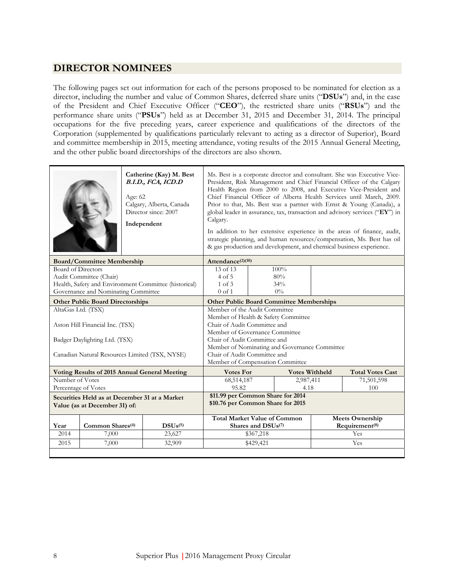# **DIRECTOR NOMINEES**

The following pages set out information for each of the persons proposed to be nominated for election as a director, including the number and value of Common Shares, deferred share units ("**DSUs**") and, in the case of the President and Chief Executive Officer ("**CEO**"), the restricted share units ("**RSUs**") and the performance share units ("**PSUs**") held as at December 31, 2015 and December 31, 2014. The principal occupations for the five preceding years, career experience and qualifications of the directors of the Corporation (supplemented by qualifications particularly relevant to acting as a director of Superior), Board and committee membership in 2015, meeting attendance, voting results of the 2015 Annual General Meeting, and the other public board directorships of the directors are also shown.

|                                                                                                                                                      |                                   | Catherine (Kay) M. Best<br>B.I.D., FCA, ICD.D<br>Age: 62<br>Calgary, Alberta, Canada<br>Director since: 2007<br>Independent | Ms. Best is a corporate director and consultant. She was Executive Vice-<br>President, Risk Management and Chief Financial Officer of the Calgary<br>Health Region from 2000 to 2008, and Executive Vice-President and<br>Chief Financial Officer of Alberta Health Services until March, 2009.<br>Prior to that, Ms. Best was a partner with Ernst & Young (Canada), a<br>global leader in assurance, tax, transaction and advisory services ("EY") in<br>Calgary.<br>In addition to her extensive experience in the areas of finance, audit,<br>strategic planning, and human resources/compensation, Ms. Best has oil<br>& gas production and development, and chemical business experience. |                                            |                             |  |                                                      |  |
|------------------------------------------------------------------------------------------------------------------------------------------------------|-----------------------------------|-----------------------------------------------------------------------------------------------------------------------------|-------------------------------------------------------------------------------------------------------------------------------------------------------------------------------------------------------------------------------------------------------------------------------------------------------------------------------------------------------------------------------------------------------------------------------------------------------------------------------------------------------------------------------------------------------------------------------------------------------------------------------------------------------------------------------------------------|--------------------------------------------|-----------------------------|--|------------------------------------------------------|--|
|                                                                                                                                                      | <b>Board/Committee Membership</b> |                                                                                                                             | Attendance $(2)(10)$                                                                                                                                                                                                                                                                                                                                                                                                                                                                                                                                                                                                                                                                            |                                            |                             |  |                                                      |  |
| <b>Board of Directors</b><br>Audit Committee (Chair)<br>Health, Safety and Environment Committee (historical)<br>Governance and Nominating Committee |                                   |                                                                                                                             | $13$ of $13$<br>4 of 5<br>$1 \text{ of } 3$<br>$0$ of 1                                                                                                                                                                                                                                                                                                                                                                                                                                                                                                                                                                                                                                         |                                            | 100%<br>80%<br>34%<br>$0\%$ |  |                                                      |  |
| <b>Other Public Board Directorships</b>                                                                                                              |                                   | <b>Other Public Board Committee Memberships</b>                                                                             |                                                                                                                                                                                                                                                                                                                                                                                                                                                                                                                                                                                                                                                                                                 |                                            |                             |  |                                                      |  |
| AltaGas Ltd. (TSX)<br>Aston Hill Financial Inc. (TSX)<br>Badger Daylighting Ltd. (TSX)<br>Canadian Natural Resources Limited (TSX, NYSE)             |                                   |                                                                                                                             | Member of the Audit Committee<br>Member of Health & Safety Committee<br>Chair of Audit Committee and<br>Member of Governance Committee<br>Chair of Audit Committee and<br>Member of Nominating and Governance Committee<br>Chair of Audit Committee and<br>Member of Compensation Committee                                                                                                                                                                                                                                                                                                                                                                                                     |                                            |                             |  |                                                      |  |
|                                                                                                                                                      |                                   | Voting Results of 2015 Annual General Meeting                                                                               | <b>Votes For</b>                                                                                                                                                                                                                                                                                                                                                                                                                                                                                                                                                                                                                                                                                |                                            | <b>Votes Withheld</b>       |  | <b>Total Votes Cast</b>                              |  |
| Number of Votes<br>Percentage of Votes                                                                                                               |                                   |                                                                                                                             | 68,514,187<br>95.82                                                                                                                                                                                                                                                                                                                                                                                                                                                                                                                                                                                                                                                                             |                                            | 2,987,411<br>4.18           |  | 71,501,598<br>100                                    |  |
| Securities Held as at December 31 at a Market<br>Value (as at December 31) of:                                                                       |                                   | \$11.99 per Common Share for 2014<br>\$10.76 per Common Share for 2015                                                      |                                                                                                                                                                                                                                                                                                                                                                                                                                                                                                                                                                                                                                                                                                 |                                            |                             |  |                                                      |  |
| Year                                                                                                                                                 | Common Shares <sup>(4)</sup>      | DSUs <sup>(5)</sup>                                                                                                         | <b>Total Market Value of Common</b>                                                                                                                                                                                                                                                                                                                                                                                                                                                                                                                                                                                                                                                             | Shares and DSU <sub>s</sub> <sup>(7)</sup> |                             |  | <b>Meets Ownership</b><br>Requirement <sup>(8)</sup> |  |
| 2014                                                                                                                                                 | 7,000                             | 23,627                                                                                                                      |                                                                                                                                                                                                                                                                                                                                                                                                                                                                                                                                                                                                                                                                                                 | \$367,218                                  |                             |  | Yes                                                  |  |
| 2015                                                                                                                                                 | 7,000                             | 32,909                                                                                                                      |                                                                                                                                                                                                                                                                                                                                                                                                                                                                                                                                                                                                                                                                                                 | \$429,421                                  |                             |  | Yes                                                  |  |
|                                                                                                                                                      |                                   |                                                                                                                             |                                                                                                                                                                                                                                                                                                                                                                                                                                                                                                                                                                                                                                                                                                 |                                            |                             |  |                                                      |  |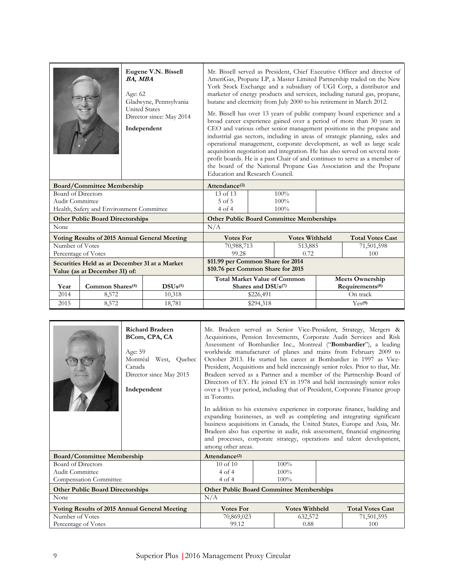|                                                                                                       | <b>BA, MBA</b><br>Age: 62<br><b>United States</b> | Eugene V.N. Bissell<br>Gladwyne, Pennsylvania<br>Director since: May 2014<br>Independent | Mr. Bissell served as President, Chief Executive Officer and director of<br>AmeriGas, Propane LP, a Master Limited Partnership traded on the New<br>York Stock Exchange and a subsidiary of UGI Corp, a distributor and<br>marketer of energy products and services, including natural gas, propane,<br>butane and electricity from July 2000 to his retirement in March 2012.<br>Mr. Bissell has over 13 years of public company board experience and a<br>broad career experience gained over a period of more than 30 years in<br>CEO and various other senior management positions in the propane and<br>industrial gas sectors, including in areas of strategic planning, sales and<br>operational management, corporate development, as well as large scale<br>acquisition negotiation and integration. He has also served on several non-<br>profit boards. He is a past Chair of and continues to serve as a member of<br>the board of the National Propane Gas Association and the Propane<br>Education and Research Council. |                                              |                       |        |                                         |
|-------------------------------------------------------------------------------------------------------|---------------------------------------------------|------------------------------------------------------------------------------------------|----------------------------------------------------------------------------------------------------------------------------------------------------------------------------------------------------------------------------------------------------------------------------------------------------------------------------------------------------------------------------------------------------------------------------------------------------------------------------------------------------------------------------------------------------------------------------------------------------------------------------------------------------------------------------------------------------------------------------------------------------------------------------------------------------------------------------------------------------------------------------------------------------------------------------------------------------------------------------------------------------------------------------------------|----------------------------------------------|-----------------------|--------|-----------------------------------------|
| <b>Board/Committee Membership</b>                                                                     |                                                   |                                                                                          | Attendance $(2)$                                                                                                                                                                                                                                                                                                                                                                                                                                                                                                                                                                                                                                                                                                                                                                                                                                                                                                                                                                                                                       |                                              |                       |        |                                         |
| <b>Board of Directors</b><br>Audit Committee                                                          |                                                   |                                                                                          | 13 of 13                                                                                                                                                                                                                                                                                                                                                                                                                                                                                                                                                                                                                                                                                                                                                                                                                                                                                                                                                                                                                               |                                              | 100%                  |        |                                         |
| Health, Safety and Environment Committee                                                              |                                                   |                                                                                          | 5 of 5<br>100%<br>100%<br>$4$ of $4$                                                                                                                                                                                                                                                                                                                                                                                                                                                                                                                                                                                                                                                                                                                                                                                                                                                                                                                                                                                                   |                                              |                       |        |                                         |
| <b>Other Public Board Directorships</b>                                                               |                                                   |                                                                                          | <b>Other Public Board Committee Memberships</b>                                                                                                                                                                                                                                                                                                                                                                                                                                                                                                                                                                                                                                                                                                                                                                                                                                                                                                                                                                                        |                                              |                       |        |                                         |
| <b>None</b>                                                                                           |                                                   |                                                                                          | N/A                                                                                                                                                                                                                                                                                                                                                                                                                                                                                                                                                                                                                                                                                                                                                                                                                                                                                                                                                                                                                                    |                                              |                       |        |                                         |
| Voting Results of 2015 Annual General Meeting                                                         |                                                   |                                                                                          | <b>Votes For</b>                                                                                                                                                                                                                                                                                                                                                                                                                                                                                                                                                                                                                                                                                                                                                                                                                                                                                                                                                                                                                       |                                              | <b>Votes Withheld</b> |        | <b>Total Votes Cast</b>                 |
| Number of Votes                                                                                       |                                                   |                                                                                          | 70,988,713                                                                                                                                                                                                                                                                                                                                                                                                                                                                                                                                                                                                                                                                                                                                                                                                                                                                                                                                                                                                                             |                                              | 513,885               |        | 71,501,598                              |
| Percentage of Votes<br>Securities Held as at December 31 at a Market<br>Value (as at December 31) of: |                                                   | 99.28<br>0.72<br>\$11.99 per Common Share for 2014<br>\$10.76 per Common Share for 2015  |                                                                                                                                                                                                                                                                                                                                                                                                                                                                                                                                                                                                                                                                                                                                                                                                                                                                                                                                                                                                                                        |                                              | 100                   |        |                                         |
| Common Shares <sup>(4)</sup>                                                                          |                                                   |                                                                                          | <b>Total Market Value of Common</b>                                                                                                                                                                                                                                                                                                                                                                                                                                                                                                                                                                                                                                                                                                                                                                                                                                                                                                                                                                                                    |                                              |                       |        | Meets Ownership                         |
| Year<br>2014<br>8,572                                                                                 |                                                   | DSUs <sup>(5)</sup><br>10,318                                                            |                                                                                                                                                                                                                                                                                                                                                                                                                                                                                                                                                                                                                                                                                                                                                                                                                                                                                                                                                                                                                                        | Shares and DSU <sub>s</sub> (7)<br>\$226,491 |                       |        | Requirements <sup>(8)</sup><br>On track |
| 2015<br>8,572                                                                                         |                                                   | 18,781                                                                                   | \$294,318                                                                                                                                                                                                                                                                                                                                                                                                                                                                                                                                                                                                                                                                                                                                                                                                                                                                                                                                                                                                                              |                                              |                       | Yes(9) |                                         |

|                                               | <b>Richard Bradeen</b><br>BCom, CPA, CA<br>Age: 59<br>Montréal West, Quebec<br>Canada<br>Director since May 2015<br>Independent | Mr. Bradeen served as Senior Vice-President, Strategy, Mergers &<br>Acquisitions, Pension Investments, Corporate Audit Services and Risk<br>Assessment of Bombardier Inc., Montreal ("Bombardier"), a leading<br>worldwide manufacturer of planes and trains from February 2009 to<br>October 2013. He started his career at Bombardier in 1997 as Vice-<br>President, Acquisitions and held increasingly senior roles. Prior to that, Mr.<br>Bradeen served as a Partner and a member of the Partnership Board of<br>Directors of EY. He joined EY in 1978 and held increasingly senior roles<br>over a 19 year period, including that of President, Corporate Finance group<br>in Toronto.<br>In addition to his extensive experience in corporate finance, building and<br>expanding businesses, as well as completing and integrating significant<br>business acquisitions in Canada, the United States, Europe and Asia, Mr.<br>Bradeen also has expertise in audit, risk assessment, financial engineering<br>and processes, corporate strategy, operations and talent development,<br>among other areas. |                       |                 |                         |  |  |
|-----------------------------------------------|---------------------------------------------------------------------------------------------------------------------------------|-----------------------------------------------------------------------------------------------------------------------------------------------------------------------------------------------------------------------------------------------------------------------------------------------------------------------------------------------------------------------------------------------------------------------------------------------------------------------------------------------------------------------------------------------------------------------------------------------------------------------------------------------------------------------------------------------------------------------------------------------------------------------------------------------------------------------------------------------------------------------------------------------------------------------------------------------------------------------------------------------------------------------------------------------------------------------------------------------------------------|-----------------------|-----------------|-------------------------|--|--|
| <b>Board/Committee Membership</b>             |                                                                                                                                 | Attendance <sup>(2)</sup>                                                                                                                                                                                                                                                                                                                                                                                                                                                                                                                                                                                                                                                                                                                                                                                                                                                                                                                                                                                                                                                                                       |                       |                 |                         |  |  |
| Board of Directors<br>Audit Committee         |                                                                                                                                 | $10$ of $10$<br>4 of 4                                                                                                                                                                                                                                                                                                                                                                                                                                                                                                                                                                                                                                                                                                                                                                                                                                                                                                                                                                                                                                                                                          |                       | 100%<br>$100\%$ |                         |  |  |
| Compensation Committee                        |                                                                                                                                 | $4$ of $4$                                                                                                                                                                                                                                                                                                                                                                                                                                                                                                                                                                                                                                                                                                                                                                                                                                                                                                                                                                                                                                                                                                      |                       | $100\%$         |                         |  |  |
| <b>Other Public Board Directorships</b>       |                                                                                                                                 | <b>Other Public Board Committee Memberships</b>                                                                                                                                                                                                                                                                                                                                                                                                                                                                                                                                                                                                                                                                                                                                                                                                                                                                                                                                                                                                                                                                 |                       |                 |                         |  |  |
| None                                          |                                                                                                                                 | N/A                                                                                                                                                                                                                                                                                                                                                                                                                                                                                                                                                                                                                                                                                                                                                                                                                                                                                                                                                                                                                                                                                                             |                       |                 |                         |  |  |
| Voting Results of 2015 Annual General Meeting | <b>Votes For</b>                                                                                                                |                                                                                                                                                                                                                                                                                                                                                                                                                                                                                                                                                                                                                                                                                                                                                                                                                                                                                                                                                                                                                                                                                                                 | <b>Votes Withheld</b> |                 | <b>Total Votes Cast</b> |  |  |
| Number of Votes                               | 70,869,023                                                                                                                      |                                                                                                                                                                                                                                                                                                                                                                                                                                                                                                                                                                                                                                                                                                                                                                                                                                                                                                                                                                                                                                                                                                                 | 632,572               |                 | 71,501,595              |  |  |
| Percentage of Votes                           | 99.12<br>0.88                                                                                                                   |                                                                                                                                                                                                                                                                                                                                                                                                                                                                                                                                                                                                                                                                                                                                                                                                                                                                                                                                                                                                                                                                                                                 |                       |                 | 100                     |  |  |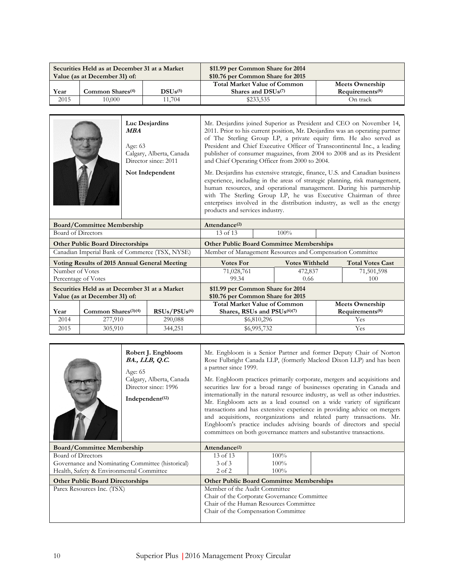| Securities Held as at December 31 at a Market<br>Value (as at December 31) of: |                              |                      | \$11.99 per Common Share for 2014<br>\$10.76 per Common Share for 2015 |                                                       |
|--------------------------------------------------------------------------------|------------------------------|----------------------|------------------------------------------------------------------------|-------------------------------------------------------|
| Year                                                                           | Common Shares <sup>(4)</sup> | DSU <sub>s</sub> (5) | <b>Total Market Value of Common</b><br>Shares and $DSUs^{(7)}$         | <b>Meets Ownership</b><br>Requirements <sup>(8)</sup> |
|                                                                                |                              |                      |                                                                        |                                                       |
| 2015                                                                           | 10,000                       | 11,704               | \$233,535                                                              | On track                                              |

|                                                                                |                                               | MBA<br>Age: 63                                                         | Luc Desjardins<br>Calgary, Alberta, Canada<br>Director since: 2011<br>Not Independent | Mr. Desjardins joined Superior as President and CEO on November 14,<br>2011. Prior to his current position, Mr. Desjardins was an operating partner<br>of The Sterling Group LP, a private equity firm. He also served as<br>President and Chief Executive Officer of Transcontinental Inc., a leading<br>publisher of consumer magazines, from 2004 to 2008 and as its President<br>and Chief Operating Officer from 2000 to 2004.<br>Mr. Desjardins has extensive strategic, finance, U.S. and Canadian business<br>experience, including in the areas of strategic planning, risk management,<br>human resources, and operational management. During his partnership<br>with The Sterling Group LP, he was Executive Chairman of three<br>enterprises involved in the distribution industry, as well as the energy<br>products and services industry. |             |         |                         |                             |  |
|--------------------------------------------------------------------------------|-----------------------------------------------|------------------------------------------------------------------------|---------------------------------------------------------------------------------------|----------------------------------------------------------------------------------------------------------------------------------------------------------------------------------------------------------------------------------------------------------------------------------------------------------------------------------------------------------------------------------------------------------------------------------------------------------------------------------------------------------------------------------------------------------------------------------------------------------------------------------------------------------------------------------------------------------------------------------------------------------------------------------------------------------------------------------------------------------|-------------|---------|-------------------------|-----------------------------|--|
| <b>Board/Committee Membership</b>                                              |                                               | Attendance $(2)$                                                       |                                                                                       |                                                                                                                                                                                                                                                                                                                                                                                                                                                                                                                                                                                                                                                                                                                                                                                                                                                          |             |         |                         |                             |  |
| <b>Board of Directors</b>                                                      |                                               |                                                                        |                                                                                       | $13$ of $13$                                                                                                                                                                                                                                                                                                                                                                                                                                                                                                                                                                                                                                                                                                                                                                                                                                             |             | 100%    |                         |                             |  |
|                                                                                | <b>Other Public Board Directorships</b>       |                                                                        |                                                                                       | <b>Other Public Board Committee Memberships</b>                                                                                                                                                                                                                                                                                                                                                                                                                                                                                                                                                                                                                                                                                                                                                                                                          |             |         |                         |                             |  |
|                                                                                |                                               |                                                                        | Canadian Imperial Bank of Commerce (TSX, NYSE)                                        | Member of Management Resources and Compensation Committee                                                                                                                                                                                                                                                                                                                                                                                                                                                                                                                                                                                                                                                                                                                                                                                                |             |         |                         |                             |  |
|                                                                                | Voting Results of 2015 Annual General Meeting |                                                                        |                                                                                       | <b>Votes Withheld</b><br><b>Votes For</b>                                                                                                                                                                                                                                                                                                                                                                                                                                                                                                                                                                                                                                                                                                                                                                                                                |             |         | <b>Total Votes Cast</b> |                             |  |
| Number of Votes                                                                |                                               |                                                                        |                                                                                       | 71,028,761                                                                                                                                                                                                                                                                                                                                                                                                                                                                                                                                                                                                                                                                                                                                                                                                                                               |             | 472,837 |                         | 71,501,598                  |  |
|                                                                                | Percentage of Votes                           |                                                                        |                                                                                       | 99.34                                                                                                                                                                                                                                                                                                                                                                                                                                                                                                                                                                                                                                                                                                                                                                                                                                                    |             | 0.66    |                         | 100                         |  |
| Securities Held as at December 31 at a Market<br>Value (as at December 31) of: |                                               | \$11.99 per Common Share for 2014<br>\$10.76 per Common Share for 2015 |                                                                                       |                                                                                                                                                                                                                                                                                                                                                                                                                                                                                                                                                                                                                                                                                                                                                                                                                                                          |             |         |                         |                             |  |
|                                                                                |                                               |                                                                        |                                                                                       | <b>Total Market Value of Common</b>                                                                                                                                                                                                                                                                                                                                                                                                                                                                                                                                                                                                                                                                                                                                                                                                                      |             |         | <b>Meets Ownership</b>  |                             |  |
| Year                                                                           | Common Shares <sup>(3)(4)</sup>               |                                                                        | $RSUs/PSUs^{(6)}$                                                                     | Shares, RSUs and PSUs(6)(7)                                                                                                                                                                                                                                                                                                                                                                                                                                                                                                                                                                                                                                                                                                                                                                                                                              |             |         |                         | Requirements <sup>(8)</sup> |  |
| 2014                                                                           | 277,910                                       |                                                                        | 290,088                                                                               |                                                                                                                                                                                                                                                                                                                                                                                                                                                                                                                                                                                                                                                                                                                                                                                                                                                          | \$6,810,296 |         |                         | Yes                         |  |
| 2015                                                                           | 305,910                                       |                                                                        | 344,251                                                                               |                                                                                                                                                                                                                                                                                                                                                                                                                                                                                                                                                                                                                                                                                                                                                                                                                                                          | \$6,995,732 |         |                         | Yes                         |  |

|                                          | Robert J. Engbloom<br>BA., LLB, Q.C.<br>Age: 65<br>Calgary, Alberta, Canada<br>Director since: 1996<br>Independent $(12)$ | Mr. Engbloom is a Senior Partner and former Deputy Chair of Norton<br>Rose Fulbright Canada LLP, (formerly Macleod Dixon LLP) and has been<br>a partner since 1999.<br>Mr. Engbloom practices primarily corporate, mergers and acquisitions and<br>securities law for a broad range of businesses operating in Canada and<br>internationally in the natural resource industry, as well as other industries.<br>Mr. Engbloom acts as a lead counsel on a wide variety of significant<br>transactions and has extensive experience in providing advice on mergers<br>and acquisitions, reorganizations and related party transactions. Mr.<br>Engbloom's practice includes advising boards of directors and special<br>committees on both governance matters and substantive transactions. |                                             |  |  |  |
|------------------------------------------|---------------------------------------------------------------------------------------------------------------------------|------------------------------------------------------------------------------------------------------------------------------------------------------------------------------------------------------------------------------------------------------------------------------------------------------------------------------------------------------------------------------------------------------------------------------------------------------------------------------------------------------------------------------------------------------------------------------------------------------------------------------------------------------------------------------------------------------------------------------------------------------------------------------------------|---------------------------------------------|--|--|--|
| <b>Board/Committee Membership</b>        |                                                                                                                           | Attendance <sup>(2)</sup>                                                                                                                                                                                                                                                                                                                                                                                                                                                                                                                                                                                                                                                                                                                                                                |                                             |  |  |  |
| Board of Directors                       |                                                                                                                           | 13 of 13                                                                                                                                                                                                                                                                                                                                                                                                                                                                                                                                                                                                                                                                                                                                                                                 | 100%                                        |  |  |  |
|                                          | Governance and Nominating Committee (historical)                                                                          | $3$ of $3$                                                                                                                                                                                                                                                                                                                                                                                                                                                                                                                                                                                                                                                                                                                                                                               | $100\%$                                     |  |  |  |
| Health, Safety & Environmental Committee |                                                                                                                           | $2$ of $2$                                                                                                                                                                                                                                                                                                                                                                                                                                                                                                                                                                                                                                                                                                                                                                               | 100%                                        |  |  |  |
| <b>Other Public Board Directorships</b>  |                                                                                                                           | <b>Other Public Board Committee Memberships</b>                                                                                                                                                                                                                                                                                                                                                                                                                                                                                                                                                                                                                                                                                                                                          |                                             |  |  |  |
| Parex Resources Inc. (TSX)               |                                                                                                                           | Member of the Audit Committee                                                                                                                                                                                                                                                                                                                                                                                                                                                                                                                                                                                                                                                                                                                                                            |                                             |  |  |  |
|                                          |                                                                                                                           |                                                                                                                                                                                                                                                                                                                                                                                                                                                                                                                                                                                                                                                                                                                                                                                          | Chair of the Corporate Governance Committee |  |  |  |
|                                          |                                                                                                                           | Chair of the Human Resources Committee                                                                                                                                                                                                                                                                                                                                                                                                                                                                                                                                                                                                                                                                                                                                                   |                                             |  |  |  |
|                                          |                                                                                                                           |                                                                                                                                                                                                                                                                                                                                                                                                                                                                                                                                                                                                                                                                                                                                                                                          | Chair of the Compensation Committee         |  |  |  |
|                                          |                                                                                                                           |                                                                                                                                                                                                                                                                                                                                                                                                                                                                                                                                                                                                                                                                                                                                                                                          |                                             |  |  |  |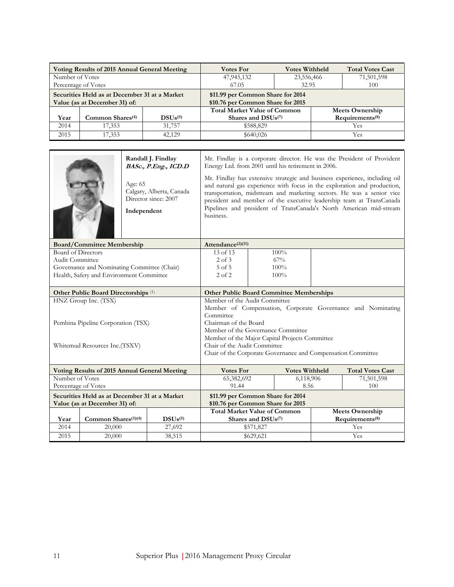| Voting Results of 2015 Annual General Meeting |                                                                                                                                                          |              | <b>Votes For</b><br><b>Votes Withheld</b> |            | <b>Total Votes Cast</b> |                             |
|-----------------------------------------------|----------------------------------------------------------------------------------------------------------------------------------------------------------|--------------|-------------------------------------------|------------|-------------------------|-----------------------------|
| Number of Votes                               |                                                                                                                                                          |              | 47,945,132                                | 23,556,466 | 71,501,598              |                             |
|                                               | Percentage of Votes                                                                                                                                      |              | 67.05<br>32.95                            |            |                         | 100                         |
|                                               | Securities Held as at December 31 at a Market<br>\$11.99 per Common Share for 2014<br>\$10.76 per Common Share for 2015<br>Value (as at December 31) of: |              |                                           |            |                         |                             |
|                                               |                                                                                                                                                          |              | <b>Total Market Value of Common</b>       |            | <b>Meets Ownership</b>  |                             |
| Year                                          | Common Shares <sup>(4)</sup>                                                                                                                             | $DSUs^{(5)}$ | Shares and DSU <sub>s</sub> (7)           |            |                         | Requirements <sup>(8)</sup> |
| 2014                                          | 17,353                                                                                                                                                   | 31,757       | \$588,829                                 |            | Yes                     |                             |
| 2015                                          | 17.353                                                                                                                                                   | 42.129       | \$640,026                                 |            |                         | Yes                         |

|                                                                                                       |                                      | Randall J. Findlay<br>BASc., P.Eng., ICD.D<br>Age: 65<br>Calgary, Alberta, Canada<br>Director since: 2007<br>Independent | Mr. Findlay is a corporate director. He was the President of Provident<br>Energy Ltd. from 2001 until his retirement in 2006.<br>Mr. Findlay has extensive strategic and business experience, including oil<br>and natural gas experience with focus in the exploration and production,<br>transportation, midstream and marketing sectors. He was a senior vice<br>president and member of the executive leadership team at TransCanada<br>Pipelines and president of TransCanada's North American mid-stream<br>business. |                                 |                       |  |                                                       |  |
|-------------------------------------------------------------------------------------------------------|--------------------------------------|--------------------------------------------------------------------------------------------------------------------------|-----------------------------------------------------------------------------------------------------------------------------------------------------------------------------------------------------------------------------------------------------------------------------------------------------------------------------------------------------------------------------------------------------------------------------------------------------------------------------------------------------------------------------|---------------------------------|-----------------------|--|-------------------------------------------------------|--|
|                                                                                                       | <b>Board/Committee Membership</b>    |                                                                                                                          | Attendance <sup>(2)(11)</sup>                                                                                                                                                                                                                                                                                                                                                                                                                                                                                               |                                 |                       |  |                                                       |  |
| Board of Directors<br>Audit Committee<br>Governance and Nominating Committee (Chair)                  |                                      |                                                                                                                          | 13 of 13<br>$2$ of $3$<br>$5$ of $5$                                                                                                                                                                                                                                                                                                                                                                                                                                                                                        |                                 | 100%<br>67%<br>100%   |  |                                                       |  |
| Health, Safety and Environment Committee                                                              |                                      |                                                                                                                          | $2$ of $2$                                                                                                                                                                                                                                                                                                                                                                                                                                                                                                                  |                                 | 100%                  |  |                                                       |  |
|                                                                                                       | Other Public Board Directorships (1) |                                                                                                                          | <b>Other Public Board Committee Memberships</b>                                                                                                                                                                                                                                                                                                                                                                                                                                                                             |                                 |                       |  |                                                       |  |
| HNZ Group Inc. (TSX)<br>Pembina Pipeline Corporation (TSX)<br>Whitemud Resources Inc.(TSXV)           |                                      |                                                                                                                          | Member of the Audit Committee<br>Member of Compensation, Corporate Governance and Nominating<br>Committee<br>Chairman of the Board<br>Member of the Governance Committee<br>Member of the Major Capital Projects Committee<br>Chair of the Audit Committee<br>Chair of the Corporate Governance and Compensation Committee                                                                                                                                                                                                  |                                 |                       |  |                                                       |  |
|                                                                                                       |                                      | <b>Voting Results of 2015 Annual General Meeting</b>                                                                     | <b>Votes For</b>                                                                                                                                                                                                                                                                                                                                                                                                                                                                                                            |                                 | <b>Votes Withheld</b> |  | <b>Total Votes Cast</b>                               |  |
| Number of Votes                                                                                       |                                      |                                                                                                                          | 65,382,692<br>91.44                                                                                                                                                                                                                                                                                                                                                                                                                                                                                                         |                                 | 6,118,906<br>8.56     |  | 71,501,598<br>100                                     |  |
| Percentage of Votes<br>Securities Held as at December 31 at a Market<br>Value (as at December 31) of: |                                      | \$11.99 per Common Share for 2014<br>\$10.76 per Common Share for 2015                                                   |                                                                                                                                                                                                                                                                                                                                                                                                                                                                                                                             |                                 |                       |  |                                                       |  |
| Year                                                                                                  | Common Shares <sup>(3)(4)</sup>      | DSUs <sup>(5)</sup>                                                                                                      | <b>Total Market Value of Common</b>                                                                                                                                                                                                                                                                                                                                                                                                                                                                                         | Shares and DSU <sub>s</sub> (7) |                       |  | <b>Meets Ownership</b><br>Requirements <sup>(8)</sup> |  |
| 2014                                                                                                  | 20,000                               | 27,692                                                                                                                   |                                                                                                                                                                                                                                                                                                                                                                                                                                                                                                                             | \$571,827                       |                       |  | Yes                                                   |  |
| 2015                                                                                                  | 20,000                               | 38,515                                                                                                                   | Yes<br>\$629,621                                                                                                                                                                                                                                                                                                                                                                                                                                                                                                            |                                 |                       |  |                                                       |  |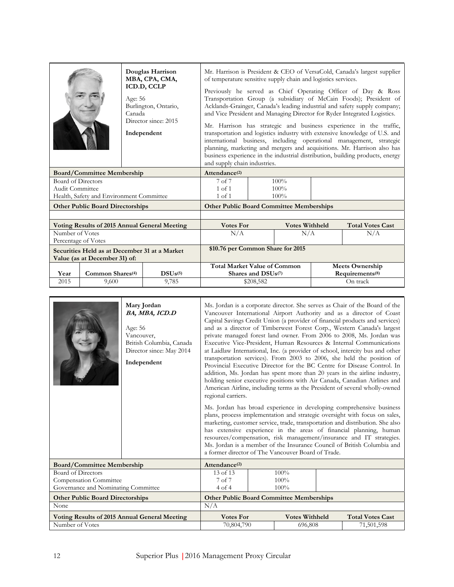| Douglas Harrison<br>MBA, CPA, CMA,<br>ICD.D, CCLP<br>Age: 56<br>Burlington, Ontario,<br>Canada<br>Director since: 2015<br>Independent |                                               |  |                     | Mr. Harrison is President & CEO of VersaCold, Canada's largest supplier<br>of temperature sensitive supply chain and logistics services.<br>Previously he served as Chief Operating Officer of Day & Ross<br>Transportation Group (a subsidiary of McCain Foods); President of<br>Acklands-Grainger, Canada's leading industrial and safety supply company;<br>and Vice President and Managing Director for Ryder Integrated Logistics.<br>Mr. Harrison has strategic and business experience in the traffic,<br>transportation and logistics industry with extensive knowledge of U.S. and<br>international business, including operational management, strategic<br>planning, marketing and mergers and acquisitions. Mr. Harrison also has<br>business experience in the industrial distribution, building products, energy<br>and supply chain industries. |                                 |                       |                                                       |                         |  |
|---------------------------------------------------------------------------------------------------------------------------------------|-----------------------------------------------|--|---------------------|----------------------------------------------------------------------------------------------------------------------------------------------------------------------------------------------------------------------------------------------------------------------------------------------------------------------------------------------------------------------------------------------------------------------------------------------------------------------------------------------------------------------------------------------------------------------------------------------------------------------------------------------------------------------------------------------------------------------------------------------------------------------------------------------------------------------------------------------------------------|---------------------------------|-----------------------|-------------------------------------------------------|-------------------------|--|
|                                                                                                                                       | <b>Board/Committee Membership</b>             |  |                     | Attendance $(2)$                                                                                                                                                                                                                                                                                                                                                                                                                                                                                                                                                                                                                                                                                                                                                                                                                                               |                                 |                       |                                                       |                         |  |
| Board of Directors                                                                                                                    |                                               |  |                     | 100%<br>7 of 7                                                                                                                                                                                                                                                                                                                                                                                                                                                                                                                                                                                                                                                                                                                                                                                                                                                 |                                 |                       |                                                       |                         |  |
| Audit Committee                                                                                                                       |                                               |  |                     | $1 \text{ of } 1$                                                                                                                                                                                                                                                                                                                                                                                                                                                                                                                                                                                                                                                                                                                                                                                                                                              |                                 | $100\%$               |                                                       |                         |  |
|                                                                                                                                       | Health, Safety and Environment Committee      |  |                     | $1$ of $1$<br>100%                                                                                                                                                                                                                                                                                                                                                                                                                                                                                                                                                                                                                                                                                                                                                                                                                                             |                                 |                       |                                                       |                         |  |
|                                                                                                                                       | <b>Other Public Board Directorships</b>       |  |                     | <b>Other Public Board Committee Memberships</b>                                                                                                                                                                                                                                                                                                                                                                                                                                                                                                                                                                                                                                                                                                                                                                                                                |                                 |                       |                                                       |                         |  |
|                                                                                                                                       |                                               |  |                     |                                                                                                                                                                                                                                                                                                                                                                                                                                                                                                                                                                                                                                                                                                                                                                                                                                                                |                                 |                       |                                                       |                         |  |
|                                                                                                                                       | Voting Results of 2015 Annual General Meeting |  |                     | <b>Votes For</b>                                                                                                                                                                                                                                                                                                                                                                                                                                                                                                                                                                                                                                                                                                                                                                                                                                               |                                 | <b>Votes Withheld</b> |                                                       | <b>Total Votes Cast</b> |  |
| Number of Votes                                                                                                                       |                                               |  |                     | N/A                                                                                                                                                                                                                                                                                                                                                                                                                                                                                                                                                                                                                                                                                                                                                                                                                                                            |                                 | N/A                   |                                                       | N/A                     |  |
|                                                                                                                                       | Percentage of Votes                           |  |                     | \$10.76 per Common Share for 2015                                                                                                                                                                                                                                                                                                                                                                                                                                                                                                                                                                                                                                                                                                                                                                                                                              |                                 |                       |                                                       |                         |  |
|                                                                                                                                       | Securities Held as at December 31 at a Market |  |                     |                                                                                                                                                                                                                                                                                                                                                                                                                                                                                                                                                                                                                                                                                                                                                                                                                                                                |                                 |                       |                                                       |                         |  |
|                                                                                                                                       | Value (as at December 31) of:                 |  |                     |                                                                                                                                                                                                                                                                                                                                                                                                                                                                                                                                                                                                                                                                                                                                                                                                                                                                |                                 |                       |                                                       |                         |  |
| Year                                                                                                                                  | Common Shares <sup>(4)</sup>                  |  | DSUs <sup>(5)</sup> | <b>Total Market Value of Common</b>                                                                                                                                                                                                                                                                                                                                                                                                                                                                                                                                                                                                                                                                                                                                                                                                                            | Shares and DSU <sub>s</sub> (7) |                       | <b>Meets Ownership</b><br>Requirements <sup>(8)</sup> |                         |  |
| 2015                                                                                                                                  | 9,600                                         |  | 9,785               |                                                                                                                                                                                                                                                                                                                                                                                                                                                                                                                                                                                                                                                                                                                                                                                                                                                                | \$208,582                       |                       | On track                                              |                         |  |

|                                               | Mary Jordan<br>BA, MBA, ICD.D<br>Age: 56<br>Vancouver,<br>British Columbia, Canada<br>Director since: May 2014<br>Independent | regional carriers.<br>a former director of The Vancouver Board of Trade. |  |                       |  | Ms. Jordan is a corporate director. She serves as Chair of the Board of the<br>Vancouver International Airport Authority and as a director of Coast<br>Capital Savings Credit Union (a provider of financial products and services)<br>and as a director of Timberwest Forest Corp., Western Canada's largest<br>private managed forest land owner. From 2006 to 2008, Ms. Jordan was<br>Executive Vice-President, Human Resources & Internal Communications<br>at Laidlaw International, Inc. (a provider of school, intercity bus and other<br>transportation services). From 2003 to 2006, she held the position of<br>Provincial Executive Director for the BC Centre for Disease Control. In<br>addition, Ms. Jordan has spent more than 20 years in the airline industry,<br>holding senior executive positions with Air Canada, Canadian Airlines and<br>American Airline, including terms as the President of several wholly-owned<br>Ms. Jordan has broad experience in developing comprehensive business<br>plans, process implementation and strategic oversight with focus on sales,<br>marketing, customer service, trade, transportation and distribution. She also<br>has extensive experience in the areas of financial planning, human<br>resources/compensation, risk management/insurance and IT strategies.<br>Ms. Jordan is a member of the Insurance Council of British Columbia and |
|-----------------------------------------------|-------------------------------------------------------------------------------------------------------------------------------|--------------------------------------------------------------------------|--|-----------------------|--|------------------------------------------------------------------------------------------------------------------------------------------------------------------------------------------------------------------------------------------------------------------------------------------------------------------------------------------------------------------------------------------------------------------------------------------------------------------------------------------------------------------------------------------------------------------------------------------------------------------------------------------------------------------------------------------------------------------------------------------------------------------------------------------------------------------------------------------------------------------------------------------------------------------------------------------------------------------------------------------------------------------------------------------------------------------------------------------------------------------------------------------------------------------------------------------------------------------------------------------------------------------------------------------------------------------------------------------------------------------------------------------------------------|
| <b>Board/Committee Membership</b>             |                                                                                                                               | Attendance <sup>(2)</sup>                                                |  |                       |  |                                                                                                                                                                                                                                                                                                                                                                                                                                                                                                                                                                                                                                                                                                                                                                                                                                                                                                                                                                                                                                                                                                                                                                                                                                                                                                                                                                                                            |
| <b>Board of Directors</b>                     |                                                                                                                               | 13 of 13                                                                 |  | 100%                  |  |                                                                                                                                                                                                                                                                                                                                                                                                                                                                                                                                                                                                                                                                                                                                                                                                                                                                                                                                                                                                                                                                                                                                                                                                                                                                                                                                                                                                            |
| Compensation Committee                        |                                                                                                                               | 7 of 7                                                                   |  | 100%                  |  |                                                                                                                                                                                                                                                                                                                                                                                                                                                                                                                                                                                                                                                                                                                                                                                                                                                                                                                                                                                                                                                                                                                                                                                                                                                                                                                                                                                                            |
| Governance and Nominating Committee           |                                                                                                                               | 4 of 4                                                                   |  | 100%                  |  |                                                                                                                                                                                                                                                                                                                                                                                                                                                                                                                                                                                                                                                                                                                                                                                                                                                                                                                                                                                                                                                                                                                                                                                                                                                                                                                                                                                                            |
| <b>Other Public Board Directorships</b>       |                                                                                                                               | <b>Other Public Board Committee Memberships</b>                          |  |                       |  |                                                                                                                                                                                                                                                                                                                                                                                                                                                                                                                                                                                                                                                                                                                                                                                                                                                                                                                                                                                                                                                                                                                                                                                                                                                                                                                                                                                                            |
| None                                          |                                                                                                                               | N/A                                                                      |  |                       |  |                                                                                                                                                                                                                                                                                                                                                                                                                                                                                                                                                                                                                                                                                                                                                                                                                                                                                                                                                                                                                                                                                                                                                                                                                                                                                                                                                                                                            |
| Voting Results of 2015 Annual General Meeting |                                                                                                                               | <b>Votes For</b>                                                         |  | <b>Votes Withheld</b> |  | <b>Total Votes Cast</b>                                                                                                                                                                                                                                                                                                                                                                                                                                                                                                                                                                                                                                                                                                                                                                                                                                                                                                                                                                                                                                                                                                                                                                                                                                                                                                                                                                                    |
| Number of Votes                               |                                                                                                                               |                                                                          |  | 696,808               |  | 71,501,598                                                                                                                                                                                                                                                                                                                                                                                                                                                                                                                                                                                                                                                                                                                                                                                                                                                                                                                                                                                                                                                                                                                                                                                                                                                                                                                                                                                                 |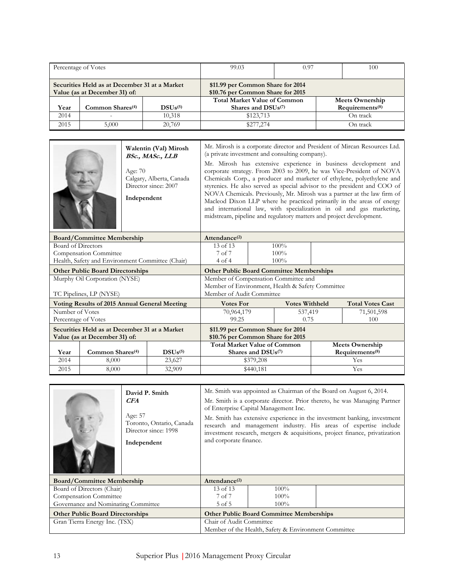|      | Percentage of Votes                                                            |                      | 99.03                                                                  | 0.97 | 100                         |  |  |  |
|------|--------------------------------------------------------------------------------|----------------------|------------------------------------------------------------------------|------|-----------------------------|--|--|--|
|      | Securities Held as at December 31 at a Market<br>Value (as at December 31) of: |                      | \$11.99 per Common Share for 2014<br>\$10.76 per Common Share for 2015 |      |                             |  |  |  |
|      |                                                                                |                      | <b>Total Market Value of Common</b>                                    |      | <b>Meets Ownership</b>      |  |  |  |
| Year | Common Shares <sup>(4)</sup>                                                   | DSU <sub>S</sub> (5) | Shares and $DSUs^{(7)}$                                                |      | Requirements <sup>(8)</sup> |  |  |  |
| 2014 |                                                                                | 10,318               | \$123,713                                                              |      | On track-                   |  |  |  |
| 2015 | 5.000                                                                          | 20,769               | \$277,274                                                              |      | On track.                   |  |  |  |

|                                   |                                                                                | Age: 70<br>Independent | Walentin (Val) Mirosh<br>BSc., MASc., LLB<br>Calgary, Alberta, Canada<br>Director since: 2007 | Mr. Mirosh is a corporate director and President of Mircan Resources Ltd.<br>(a private investment and consulting company).<br>Mr. Mirosh has extensive experience in business development and<br>corporate strategy. From 2003 to 2009, he was Vice-President of NOVA<br>Chemicals Corp., a producer and marketer of ethylene, polyethylene and<br>styrenics. He also served as special advisor to the president and COO of<br>NOVA Chemicals. Previously, Mr. Mirosh was a partner at the law firm of<br>Macleod Dixon LLP where he practiced primarily in the areas of energy<br>and international law, with specialization in oil and gas marketing,<br>midstream, pipeline and regulatory matters and project development. |                                 |                       |  |                             |  |  |
|-----------------------------------|--------------------------------------------------------------------------------|------------------------|-----------------------------------------------------------------------------------------------|---------------------------------------------------------------------------------------------------------------------------------------------------------------------------------------------------------------------------------------------------------------------------------------------------------------------------------------------------------------------------------------------------------------------------------------------------------------------------------------------------------------------------------------------------------------------------------------------------------------------------------------------------------------------------------------------------------------------------------|---------------------------------|-----------------------|--|-----------------------------|--|--|
| <b>Board/Committee Membership</b> |                                                                                |                        | Attendance <sup>(2)</sup>                                                                     |                                                                                                                                                                                                                                                                                                                                                                                                                                                                                                                                                                                                                                                                                                                                 |                                 |                       |  |                             |  |  |
| Board of Directors                |                                                                                |                        |                                                                                               | 13 of 13                                                                                                                                                                                                                                                                                                                                                                                                                                                                                                                                                                                                                                                                                                                        |                                 | 100%                  |  |                             |  |  |
|                                   | Compensation Committee                                                         |                        |                                                                                               | 7 of 7                                                                                                                                                                                                                                                                                                                                                                                                                                                                                                                                                                                                                                                                                                                          |                                 | 100%                  |  |                             |  |  |
|                                   | Health, Safety and Environment Committee (Chair)                               |                        |                                                                                               | $100\%$<br>4 of 4                                                                                                                                                                                                                                                                                                                                                                                                                                                                                                                                                                                                                                                                                                               |                                 |                       |  |                             |  |  |
|                                   | <b>Other Public Board Directorships</b>                                        |                        |                                                                                               | <b>Other Public Board Committee Memberships</b>                                                                                                                                                                                                                                                                                                                                                                                                                                                                                                                                                                                                                                                                                 |                                 |                       |  |                             |  |  |
|                                   | Murphy Oil Corporation (NYSE)                                                  |                        |                                                                                               | Member of Compensation Committee and                                                                                                                                                                                                                                                                                                                                                                                                                                                                                                                                                                                                                                                                                            |                                 |                       |  |                             |  |  |
|                                   |                                                                                |                        |                                                                                               | Member of Environment, Health & Safety Committee                                                                                                                                                                                                                                                                                                                                                                                                                                                                                                                                                                                                                                                                                |                                 |                       |  |                             |  |  |
|                                   | TC Pipelines, LP (NYSE)                                                        |                        |                                                                                               | Member of Audit Committee                                                                                                                                                                                                                                                                                                                                                                                                                                                                                                                                                                                                                                                                                                       |                                 |                       |  |                             |  |  |
|                                   | Voting Results of 2015 Annual General Meeting                                  |                        |                                                                                               | <b>Votes For</b>                                                                                                                                                                                                                                                                                                                                                                                                                                                                                                                                                                                                                                                                                                                |                                 | <b>Votes Withheld</b> |  | <b>Total Votes Cast</b>     |  |  |
| Number of Votes                   |                                                                                |                        |                                                                                               | 70,964,179                                                                                                                                                                                                                                                                                                                                                                                                                                                                                                                                                                                                                                                                                                                      |                                 | 537,419               |  | 71,501,598                  |  |  |
|                                   | Percentage of Votes                                                            |                        |                                                                                               | 99.25                                                                                                                                                                                                                                                                                                                                                                                                                                                                                                                                                                                                                                                                                                                           |                                 | 0.75                  |  | 100                         |  |  |
|                                   | Securities Held as at December 31 at a Market<br>Value (as at December 31) of: |                        |                                                                                               | \$11.99 per Common Share for 2014<br>\$10.76 per Common Share for 2015                                                                                                                                                                                                                                                                                                                                                                                                                                                                                                                                                                                                                                                          |                                 |                       |  |                             |  |  |
|                                   |                                                                                |                        |                                                                                               | <b>Total Market Value of Common</b>                                                                                                                                                                                                                                                                                                                                                                                                                                                                                                                                                                                                                                                                                             |                                 |                       |  | <b>Meets Ownership</b>      |  |  |
| Year                              | Common Shares <sup>(4)</sup>                                                   |                        | DSUs <sup>(5)</sup>                                                                           |                                                                                                                                                                                                                                                                                                                                                                                                                                                                                                                                                                                                                                                                                                                                 | Shares and DSU <sub>s</sub> (7) |                       |  | Requirements <sup>(8)</sup> |  |  |
| 2014                              | 8,000                                                                          |                        | 23,627                                                                                        |                                                                                                                                                                                                                                                                                                                                                                                                                                                                                                                                                                                                                                                                                                                                 | \$379,208                       |                       |  | Yes                         |  |  |
| 2015                              | 8,000                                                                          |                        | 32,909                                                                                        | \$440,181                                                                                                                                                                                                                                                                                                                                                                                                                                                                                                                                                                                                                                                                                                                       |                                 |                       |  | Yes                         |  |  |

|                                         | David P. Smith<br><b>CFA</b><br>Age: 57<br>Toronto, Ontario, Canada<br>Director since: 1998<br>Independent | Mr. Smith was appointed as Chairman of the Board on August 6, 2014.<br>Mr. Smith is a corporate director. Prior thereto, he was Managing Partner<br>of Enterprise Capital Management Inc.<br>Mr. Smith has extensive experience in the investment banking, investment<br>research and management industry. His areas of expertise include<br>investment research, mergers & acquisitions, project finance, privatization<br>and corporate finance. |      |  |  |
|-----------------------------------------|------------------------------------------------------------------------------------------------------------|----------------------------------------------------------------------------------------------------------------------------------------------------------------------------------------------------------------------------------------------------------------------------------------------------------------------------------------------------------------------------------------------------------------------------------------------------|------|--|--|
| <b>Board/Committee Membership</b>       |                                                                                                            | Attendance <sup>(2)</sup>                                                                                                                                                                                                                                                                                                                                                                                                                          |      |  |  |
| Board of Directors (Chair)              |                                                                                                            | 13 of 13                                                                                                                                                                                                                                                                                                                                                                                                                                           | 100% |  |  |
| Compensation Committee                  |                                                                                                            | 7 of 7                                                                                                                                                                                                                                                                                                                                                                                                                                             | 100% |  |  |
| Governance and Nominating Committee     |                                                                                                            | 5 of 5                                                                                                                                                                                                                                                                                                                                                                                                                                             | 100% |  |  |
| <b>Other Public Board Directorships</b> |                                                                                                            | <b>Other Public Board Committee Memberships</b>                                                                                                                                                                                                                                                                                                                                                                                                    |      |  |  |
| Gran Tierra Energy Inc. (TSX)           |                                                                                                            | Chair of Audit Committee                                                                                                                                                                                                                                                                                                                                                                                                                           |      |  |  |
|                                         |                                                                                                            | Member of the Health, Safety & Environment Committee                                                                                                                                                                                                                                                                                                                                                                                               |      |  |  |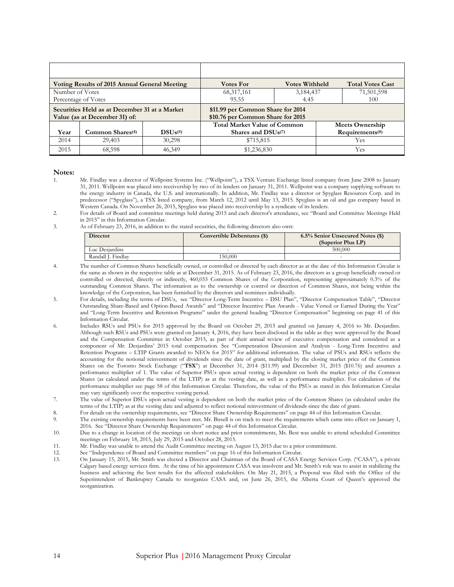|                                                                                | Voting Results of 2015 Annual General Meeting |                                 | <b>Votes For</b>                                                       | Votes Withheld |                        | <b>Total Votes Cast</b>     |  |
|--------------------------------------------------------------------------------|-----------------------------------------------|---------------------------------|------------------------------------------------------------------------|----------------|------------------------|-----------------------------|--|
| Number of Votes                                                                |                                               |                                 | 68, 317, 161                                                           | 3,184,437      |                        | 71,501,598                  |  |
| Percentage of Votes                                                            |                                               |                                 | 95.55                                                                  | 4.45           |                        | 100                         |  |
| Securities Held as at December 31 at a Market<br>Value (as at December 31) of: |                                               |                                 | \$11.99 per Common Share for 2014<br>\$10.76 per Common Share for 2015 |                |                        |                             |  |
|                                                                                |                                               |                                 | <b>Total Market Value of Common</b>                                    |                | <b>Meets Ownership</b> |                             |  |
| Year                                                                           | Common Shares <sup>(4)</sup>                  | DSU <sub>s</sub> <sup>(5)</sup> | Shares and $DSUs$ <sup>(7)</sup>                                       |                |                        | Requirements <sup>(8)</sup> |  |
| 2014                                                                           | 29,403                                        | 30,298                          | \$715,815                                                              |                |                        | Yes                         |  |
| 2015                                                                           | 68,598                                        | 46,349                          | \$1,236,830                                                            |                | Yes                    |                             |  |

#### **Notes:**

1. Mr. Findlay was a director of Wellpoint Systems Inc. ("Wellpoint"), a TSX Venture Exchange listed company from June 2008 to January 31, 2011. Wellpoint was placed into receivership by two of its lenders on January 31, 2011. Wellpoint was a company supplying software to the energy industry in Canada, the U.S. and internationally. In addition, Mr. Findlay was a director or Spyglass Resources Corp. and its predecessor ("Spyglass"), a TSX listed company, from March 12, 2012 until May 13, 2015. Spyglass is an oil and gas company based in Western Canada. On November 26, 2015, Spyglass was placed into receivership by a syndicate of its lenders.

2. For details of Board and committee meetings held during 2015 and each director's attendance, see "Board and Committee Meetings Held in 2015" in this Information Circular.

<sup>3.</sup> As of February 23, 2016, in addition to the stated securities, the following directors also own:

| <b>Director</b>    | Convertible Debentures (\$) | 6.5% Senior Unsecured Notes (\$)<br>(Superior Plus LP) |
|--------------------|-----------------------------|--------------------------------------------------------|
| Luc Desiardins     |                             | 500.000                                                |
| Randall I. Findlay | 150.000                     | -                                                      |

- 4. The number of Common Shares beneficially owned, or controlled or directed by each director as at the date of this Information Circular is the same as shown in the respective table as at December 31, 2015. As of February 23, 2016, the directors as a group beneficially owned or controlled or directed, directly or indirectly, 460,033 Common Shares of the Corporation, representing approximately 0.3% of the outstanding Common Shares. The information as to the ownership or control or direction of Common Shares, not being within the knowledge of the Corporation, has been furnished by the directors and nominees individually.
- 5. For details, including the terms of DSUs, see "Director Long-Term Incentive DSU Plan", "Director Compensation Table", "Director Outstanding Share-Based and Option-Based Awards" and "Director Incentive Plan Awards - Value Vested or Earned During the Year" and "Long-Term Incentive and Retention Programs" under the general heading "Director Compensation" beginning on page 41 of this Information Circular.
- 6. Includes RSUs and PSUs for 2015 approved by the Board on October 29, 2015 and granted on January 4, 2016 to Mr. Desjardins. Although such RSUs and PSUs were granted on January 4, 2016, they have been disclosed in the table as they were approved by the Board and the Compensation Committee in October 2015, as part of their annual review of executive compensation and considered as a component of Mr. Desjardins' 2015 total compensation. See "Compensation Discussion and Analysis - Long-Term Incentive and Retention Programs – LTIP Grants awarded to NEOs for 2015" for additional information. The value of PSUs and RSUs reflects the accounting for the notional reinvestment of dividends since the date of grant, multiplied by the closing market price of the Common Shares on the Toronto Stock Exchange ("**TSX**") at December 31, 2014 (\$11.99) and December 31, 2015 (\$10.76) and assumes a performance multiplier of 1. The value of Superior PSUs upon actual vesting is dependent on both the market price of the Common Shares (as calculated under the terms of the LTIP) as at the vesting date, as well as a performance multiplier. For calculation of the performance multiplier see page 58 of this Information Circular. Therefore, the value of the PSUs as stated in this Information Circular may vary significantly over the respective vesting period.
- 7. The value of Superior DSUs upon actual vesting is dependent on both the market price of the Common Shares (as calculated under the terms of the LTIP) as at the vesting date and adjusted to reflect notional reinvestment of dividends since the date of grant.
- 8. For details on the ownership requirements, see "Director Share Ownership Requirements" on page 44 of this Information Circular.
- 9. The existing ownership requirements have been met. Mr. Bissell is on track to meet the requirements which came into effect on January 1, 2016. See "Director Share Ownership Requirements" on page 44 of this Information Circular.
- 10. Due to a change in location of the meetings on short notice and prior commitments, Ms. Best was unable to attend scheduled Committee meetings on February 18, 2015, July 29, 2015 and October 28, 2015.
- 11. Mr. Findlay was unable to attend the Audit Committee meeting on August 13, 2015 due to a prior commitment.<br>12. See "Independence of Board and Committee members" on page 16 of this Information Circular.
- 12. See "Independence of Board and Committee members" on page 16 of this Information Circular.<br>13. On January 15, 2015. Mr. Smith was elected a Director and Chairman of the Board of CASA F
- 13. On January 15, 2015, Mr. Smith was elected a Director and Chairman of the Board of CASA Energy Services Corp. ("CASA"), a private Calgary based energy services firm. At the time of his appointment CASA was insolvent and Mr. Smith's role was to assist in stabilizing the business and achieving the best results for the affected stakeholders. On May 21, 2015, a Proposal was filed with the Office of the Superintendent of Bankruptcy Canada to reorganize CASA and, on June 26, 2015, the Alberta Court of Queen's approved the reorganization.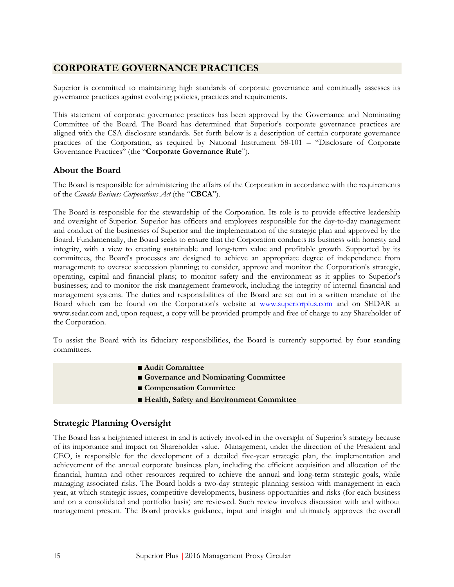# **CORPORATE GOVERNANCE PRACTICES**

Superior is committed to maintaining high standards of corporate governance and continually assesses its governance practices against evolving policies, practices and requirements.

This statement of corporate governance practices has been approved by the Governance and Nominating Committee of the Board. The Board has determined that Superior's corporate governance practices are aligned with the CSA disclosure standards. Set forth below is a description of certain corporate governance practices of the Corporation, as required by National Instrument 58-101 – "Disclosure of Corporate Governance Practices" (the "**Corporate Governance Rule**").

### **About the Board**

The Board is responsible for administering the affairs of the Corporation in accordance with the requirements of the *Canada Business Corporations Act* (the "**CBCA**").

The Board is responsible for the stewardship of the Corporation. Its role is to provide effective leadership and oversight of Superior. Superior has officers and employees responsible for the day-to-day management and conduct of the businesses of Superior and the implementation of the strategic plan and approved by the Board. Fundamentally, the Board seeks to ensure that the Corporation conducts its business with honesty and integrity, with a view to creating sustainable and long-term value and profitable growth. Supported by its committees, the Board's processes are designed to achieve an appropriate degree of independence from management; to oversee succession planning; to consider, approve and monitor the Corporation's strategic, operating, capital and financial plans; to monitor safety and the environment as it applies to Superior's businesses; and to monitor the risk management framework, including the integrity of internal financial and management systems. The duties and responsibilities of the Board are set out in a written mandate of the Board which can be found on the Corporation's website at www.superiorplus.com and on SEDAR at www.sedar.com and, upon request, a copy will be provided promptly and free of charge to any Shareholder of the Corporation.

To assist the Board with its fiduciary responsibilities, the Board is currently supported by four standing committees.

- ■*Audit Committee*
- **■ Governance and Nominating Committee**
- **■ Compensation Committee**
- Health, Safety and Environment Committee

### **Strategic Planning Oversight**

The Board has a heightened interest in and is actively involved in the oversight of Superior's strategy because of its importance and impact on Shareholder value. Management, under the direction of the President and CEO, is responsible for the development of a detailed five-year strategic plan, the implementation and achievement of the annual corporate business plan, including the efficient acquisition and allocation of the financial, human and other resources required to achieve the annual and long-term strategic goals, while managing associated risks. The Board holds a two-day strategic planning session with management in each year, at which strategic issues, competitive developments, business opportunities and risks (for each business and on a consolidated and portfolio basis) are reviewed. Such review involves discussion with and without management present. The Board provides guidance, input and insight and ultimately approves the overall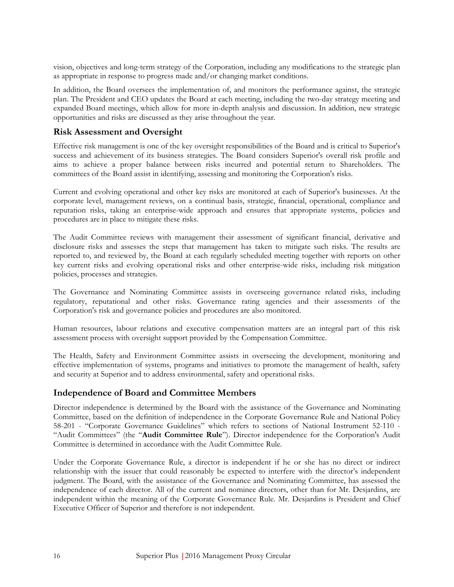vision, objectives and long-term strategy of the Corporation, including any modifications to the strategic plan as appropriate in response to progress made and/or changing market conditions.

In addition, the Board oversees the implementation of, and monitors the performance against, the strategic plan. The President and CEO updates the Board at each meeting, including the two-day strategy meeting and expanded Board meetings, which allow for more in-depth analysis and discussion. In addition, new strategic opportunities and risks are discussed as they arise throughout the year.

#### **Risk Assessment and Oversight**

Effective risk management is one of the key oversight responsibilities of the Board and is critical to Superior's success and achievement of its business strategies. The Board considers Superior's overall risk profile and aims to achieve a proper balance between risks incurred and potential return to Shareholders. The committees of the Board assist in identifying, assessing and monitoring the Corporation's risks.

Current and evolving operational and other key risks are monitored at each of Superior's businesses. At the corporate level, management reviews, on a continual basis, strategic, financial, operational, compliance and reputation risks, taking an enterprise-wide approach and ensures that appropriate systems, policies and procedures are in place to mitigate these risks.

The Audit Committee reviews with management their assessment of significant financial, derivative and disclosure risks and assesses the steps that management has taken to mitigate such risks. The results are reported to, and reviewed by, the Board at each regularly scheduled meeting together with reports on other key current risks and evolving operational risks and other enterprise-wide risks, including risk mitigation policies, processes and strategies.

The Governance and Nominating Committee assists in overseeing governance related risks, including regulatory, reputational and other risks. Governance rating agencies and their assessments of the Corporation's risk and governance policies and procedures are also monitored.

Human resources, labour relations and executive compensation matters are an integral part of this risk assessment process with oversight support provided by the Compensation Committee.

The Health, Safety and Environment Committee assists in overseeing the development, monitoring and effective implementation of systems, programs and initiatives to promote the management of health, safety and security at Superior and to address environmental, safety and operational risks.

### **Independence of Board and Committee Members**

Director independence is determined by the Board with the assistance of the Governance and Nominating Committee, based on the definition of independence in the Corporate Governance Rule and National Policy 58-201 - "Corporate Governance Guidelines" which refers to sections of National Instrument 52-110 - "Audit Committees" (the "**Audit Committee Rule**"). Director independence for the Corporation's Audit Committee is determined in accordance with the Audit Committee Rule.

Under the Corporate Governance Rule, a director is independent if he or she has no direct or indirect relationship with the issuer that could reasonably be expected to interfere with the director's independent judgment. The Board, with the assistance of the Governance and Nominating Committee, has assessed the independence of each director. All of the current and nominee directors, other than for Mr. Desjardins, are independent within the meaning of the Corporate Governance Rule. Mr. Desjardins is President and Chief Executive Officer of Superior and therefore is not independent.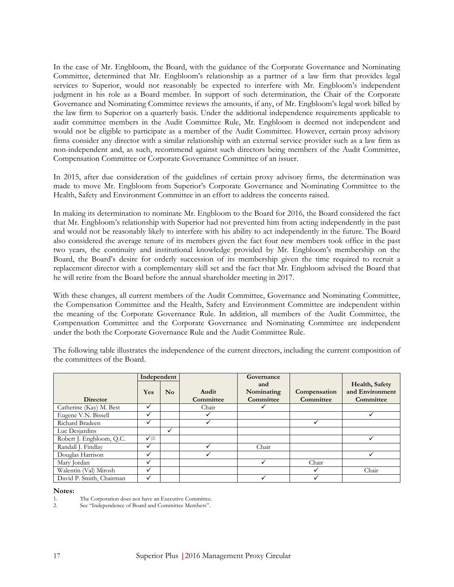In the case of Mr. Engbloom, the Board, with the guidance of the Corporate Governance and Nominating Committee, determined that Mr. Engbloom's relationship as a partner of a law firm that provides legal services to Superior, would not reasonably be expected to interfere with Mr. Engbloom's independent judgment in his role as a Board member. In support of such determination, the Chair of the Corporate Governance and Nominating Committee reviews the amounts, if any, of Mr. Engbloom's legal work billed by the law firm to Superior on a quarterly basis. Under the additional independence requirements applicable to audit committee members in the Audit Committee Rule, Mr. Engbloom is deemed not independent and would not be eligible to participate as a member of the Audit Committee. However, certain proxy advisory firms consider any director with a similar relationship with an external service provider such as a law firm as non-independent and, as such, recommend against such directors being members of the Audit Committee, Compensation Committee or Corporate Governance Committee of an issuer.

In 2015, after due consideration of the guidelines of certain proxy advisory firms, the determination was made to move Mr. Engbloom from Superior's Corporate Governance and Nominating Committee to the Health, Safety and Environment Committee in an effort to address the concerns raised.

In making its determination to nominate Mr. Engbloom to the Board for 2016, the Board considered the fact that Mr. Engbloom's relationship with Superior had not prevented him from acting independently in the past and would not be reasonably likely to interfere with his ability to act independently in the future. The Board also considered the average tenure of its members given the fact four new members took office in the past two years, the continuity and institutional knowledge provided by Mr. Engbloom's membership on the Board, the Board's desire for orderly succession of its membership given the time required to recruit a replacement director with a complementary skill set and the fact that Mr. Engbloom advised the Board that he will retire from the Board before the annual shareholder meeting in 2017.

With these changes, all current members of the Audit Committee, Governance and Nominating Committee, the Compensation Committee and the Health, Safety and Environment Committee are independent within the meaning of the Corporate Governance Rule. In addition, all members of the Audit Committee, the Compensation Committee and the Corporate Governance and Nominating Committee are independent under the both the Corporate Governance Rule and the Audit Committee Rule.

|                          | Independent      |                        |           | Governance        |              |                                   |
|--------------------------|------------------|------------------------|-----------|-------------------|--------------|-----------------------------------|
|                          | Yes              | $\mathbf{N}\mathbf{o}$ | Audit     | and<br>Nominating | Compensation | Health, Safety<br>and Environment |
| <b>Director</b>          |                  |                        | Committee | Committee         | Committee    | Committee                         |
| Catherine (Kay) M. Best  | √                |                        | Chair     |                   |              |                                   |
| Eugene V.N. Bissell      | ✓                |                        |           |                   |              |                                   |
| Richard Bradeen          | ✓                |                        |           |                   | ✓            |                                   |
| Luc Desjardins           |                  | ✓                      |           |                   |              |                                   |
| Robert J. Engbloom, Q.C. | $\checkmark$ (2) |                        |           |                   |              |                                   |
| Randall J. Findlay       | ✓                |                        |           | Chair             |              |                                   |
| Douglas Harrison         | ✓                |                        |           |                   |              |                                   |
| Mary Jordan              | ✓                |                        |           |                   | Chair        |                                   |
| Walentin (Val) Mirosh    | ✓                |                        |           |                   |              | Chair                             |
| David P. Smith, Chairman | ✓                |                        |           |                   |              |                                   |

The following table illustrates the independence of the current directors, including the current composition of the committees of the Board.

**Notes:**<br>1. The Corporation does not have an Executive Committee.<br>2. See "Independence of Board and Committee Members"

See "Independence of Board and Committee Members".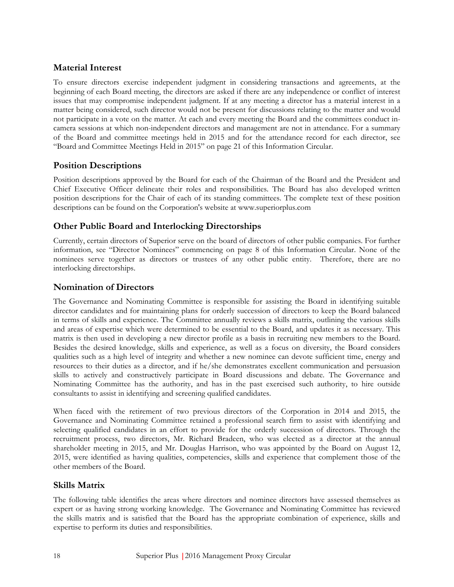# **Material Interest**

To ensure directors exercise independent judgment in considering transactions and agreements, at the beginning of each Board meeting, the directors are asked if there are any independence or conflict of interest issues that may compromise independent judgment. If at any meeting a director has a material interest in a matter being considered, such director would not be present for discussions relating to the matter and would not participate in a vote on the matter. At each and every meeting the Board and the committees conduct incamera sessions at which non-independent directors and management are not in attendance. For a summary of the Board and committee meetings held in 2015 and for the attendance record for each director, see "Board and Committee Meetings Held in 2015" on page 21 of this Information Circular.

# **Position Descriptions**

Position descriptions approved by the Board for each of the Chairman of the Board and the President and Chief Executive Officer delineate their roles and responsibilities. The Board has also developed written position descriptions for the Chair of each of its standing committees. The complete text of these position descriptions can be found on the Corporation's website at www.superiorplus.com

# **Other Public Board and Interlocking Directorships**

Currently, certain directors of Superior serve on the board of directors of other public companies. For further information, see "Director Nominees" commencing on page 8 of this Information Circular. None of the nominees serve together as directors or trustees of any other public entity. Therefore, there are no interlocking directorships.

# **Nomination of Directors**

The Governance and Nominating Committee is responsible for assisting the Board in identifying suitable director candidates and for maintaining plans for orderly succession of directors to keep the Board balanced in terms of skills and experience. The Committee annually reviews a skills matrix, outlining the various skills and areas of expertise which were determined to be essential to the Board, and updates it as necessary. This matrix is then used in developing a new director profile as a basis in recruiting new members to the Board. Besides the desired knowledge, skills and experience, as well as a focus on diversity, the Board considers qualities such as a high level of integrity and whether a new nominee can devote sufficient time, energy and resources to their duties as a director, and if he/she demonstrates excellent communication and persuasion skills to actively and constructively participate in Board discussions and debate. The Governance and Nominating Committee has the authority, and has in the past exercised such authority, to hire outside consultants to assist in identifying and screening qualified candidates.

When faced with the retirement of two previous directors of the Corporation in 2014 and 2015, the Governance and Nominating Committee retained a professional search firm to assist with identifying and selecting qualified candidates in an effort to provide for the orderly succession of directors. Through the recruitment process, two directors, Mr. Richard Bradeen, who was elected as a director at the annual shareholder meeting in 2015, and Mr. Douglas Harrison, who was appointed by the Board on August 12, 2015, were identified as having qualities, competencies, skills and experience that complement those of the other members of the Board.

### **Skills Matrix**

The following table identifies the areas where directors and nominee directors have assessed themselves as expert or as having strong working knowledge. The Governance and Nominating Committee has reviewed the skills matrix and is satisfied that the Board has the appropriate combination of experience, skills and expertise to perform its duties and responsibilities.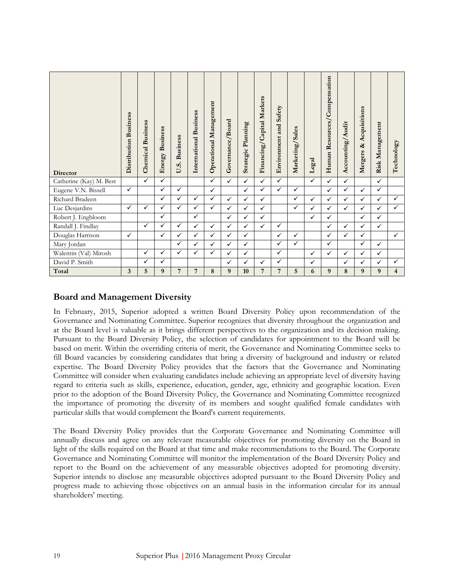| <b>Director</b>         | <b>Business</b><br>Distribution | <b>Chemical Business</b> | <b>Business</b><br>Energy | usiness<br>$\dot{a}$<br>U.S. | <b>International Business</b> | Operational Management | Governance/Board | Planning<br>Strategic | Financing/Capital Markets | Safety<br>Environment and | Marketing/Sales | Legal        | Resources/Compensation<br>Human | Accounting/Audit | Acquisitions<br>ళ<br>Mergers | Risk Management | Technology   |
|-------------------------|---------------------------------|--------------------------|---------------------------|------------------------------|-------------------------------|------------------------|------------------|-----------------------|---------------------------|---------------------------|-----------------|--------------|---------------------------------|------------------|------------------------------|-----------------|--------------|
| Catherine (Kay) M. Best |                                 | $\checkmark$             | $\checkmark$              |                              |                               | $\checkmark$           | $\checkmark$     | $\checkmark$          | $\checkmark$              | $\checkmark$              |                 | $\checkmark$ | $\checkmark$                    | $\checkmark$     |                              | $\checkmark$    |              |
| Eugene V.N. Bissell     | $\checkmark$                    |                          | $\checkmark$              | $\checkmark$                 |                               | $\checkmark$           |                  | $\checkmark$          | ✓                         | $\checkmark$              | $\checkmark$    |              | $\checkmark$                    | $\checkmark$     | $\checkmark$                 | $\checkmark$    |              |
| Richard Bradeen         |                                 |                          | $\checkmark$              | $\checkmark$                 | ✓                             | $\checkmark$           | $\checkmark$     | $\checkmark$          | $\checkmark$              |                           | ✓               | $\checkmark$ | $\checkmark$                    | $\checkmark$     | $\checkmark$                 | ✓               | $\checkmark$ |
| Luc Desjardins          | $\checkmark$                    | $\checkmark$             | ✓                         | $\checkmark$                 | ✓                             | $\checkmark$           | $\checkmark$     | $\checkmark$          | $\checkmark$              |                           | $\checkmark$    | $\checkmark$ | $\checkmark$                    | $\checkmark$     | $\checkmark$                 | $\checkmark$    | $\checkmark$ |
| Robert J. Engbloom      |                                 |                          | $\checkmark$              |                              | $\checkmark$                  |                        | $\checkmark$     | $\checkmark$          | $\checkmark$              |                           |                 | $\checkmark$ | $\checkmark$                    |                  | $\checkmark$                 | ✓               |              |
| Randall J. Findlay      |                                 |                          |                           |                              |                               |                        |                  |                       |                           |                           |                 |              |                                 |                  |                              |                 |              |
|                         |                                 | $\checkmark$             | ✓                         | ✓                            | $\checkmark$                  | $\checkmark$           | $\checkmark$     | $\checkmark$          | $\checkmark$              | $\checkmark$              |                 |              | $\checkmark$                    | ✓                | $\checkmark$                 | ✓               |              |
| Douglas Harrison        | $\checkmark$                    |                          | $\checkmark$              | $\checkmark$                 | $\checkmark$                  | $\checkmark$           | $\checkmark$     | $\checkmark$          |                           | $\checkmark$              | $\checkmark$    |              | $\checkmark$                    | ✓                | $\checkmark$                 |                 | $\checkmark$ |
| Mary Jordan             |                                 |                          |                           | $\checkmark$                 | $\checkmark$                  | $\checkmark$           | $\checkmark$     | $\checkmark$          |                           | $\checkmark$              | $\checkmark$    |              | $\checkmark$                    |                  | ✓                            | $\checkmark$    |              |
| Walentin (Val) Mirosh   |                                 | $\checkmark$             | $\checkmark$              | $\checkmark$                 | $\checkmark$                  | $\checkmark$           | $\checkmark$     | $\checkmark$          |                           | $\checkmark$              |                 | $\checkmark$ | $\checkmark$                    | $\checkmark$     | $\checkmark$                 | ✓               |              |
| David P. Smith          |                                 | ✓                        | ✓                         |                              |                               |                        | $\checkmark$     | ✓                     | ✓                         | ✓                         |                 | ✓            |                                 | $\checkmark$     | $\checkmark$                 | $\checkmark$    | $\checkmark$ |

# **Board and Management Diversity**

In February, 2015, Superior adopted a written Board Diversity Policy upon recommendation of the Governance and Nominating Committee. Superior recognizes that diversity throughout the organization and at the Board level is valuable as it brings different perspectives to the organization and its decision making. Pursuant to the Board Diversity Policy, the selection of candidates for appointment to the Board will be based on merit. Within the overriding criteria of merit, the Governance and Nominating Committee seeks to fill Board vacancies by considering candidates that bring a diversity of background and industry or related expertise. The Board Diversity Policy provides that the factors that the Governance and Nominating Committee will consider when evaluating candidates include achieving an appropriate level of diversity having regard to criteria such as skills, experience, education, gender, age, ethnicity and geographic location. Even prior to the adoption of the Board Diversity Policy, the Governance and Nominating Committee recognized the importance of promoting the diversity of its members and sought qualified female candidates with particular skills that would complement the Board's current requirements.

The Board Diversity Policy provides that the Corporate Governance and Nominating Committee will annually discuss and agree on any relevant measurable objectives for promoting diversity on the Board in light of the skills required on the Board at that time and make recommendations to the Board. The Corporate Governance and Nominating Committee will monitor the implementation of the Board Diversity Policy and report to the Board on the achievement of any measurable objectives adopted for promoting diversity. Superior intends to disclose any measurable objectives adopted pursuant to the Board Diversity Policy and progress made to achieving those objectives on an annual basis in the information circular for its annual shareholders' meeting.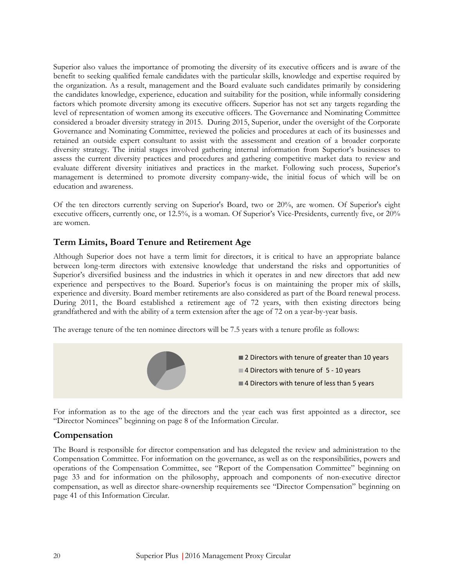Superior also values the importance of promoting the diversity of its executive officers and is aware of the benefit to seeking qualified female candidates with the particular skills, knowledge and expertise required by the organization. As a result, management and the Board evaluate such candidates primarily by considering the candidates knowledge, experience, education and suitability for the position, while informally considering factors which promote diversity among its executive officers. Superior has not set any targets regarding the level of representation of women among its executive officers. The Governance and Nominating Committee considered a broader diversity strategy in 2015. During 2015, Superior, under the oversight of the Corporate Governance and Nominating Committee, reviewed the policies and procedures at each of its businesses and retained an outside expert consultant to assist with the assessment and creation of a broader corporate diversity strategy. The initial stages involved gathering internal information from Superior's businesses to assess the current diversity practices and procedures and gathering competitive market data to review and evaluate different diversity initiatives and practices in the market. Following such process, Superior's management is determined to promote diversity company-wide, the initial focus of which will be on education and awareness.

Of the ten directors currently serving on Superior's Board, two or 20%, are women. Of Superior's eight executive officers, currently one, or 12.5%, is a woman. Of Superior's Vice-Presidents, currently five, or 20% are women.

# **Term Limits, Board Tenure and Retirement Age**

Although Superior does not have a term limit for directors, it is critical to have an appropriate balance between long-term directors with extensive knowledge that understand the risks and opportunities of Superior's diversified business and the industries in which it operates in and new directors that add new experience and perspectives to the Board. Superior's focus is on maintaining the proper mix of skills, experience and diversity. Board member retirements are also considered as part of the Board renewal process. During 2011, the Board established a retirement age of 72 years, with then existing directors being grandfathered and with the ability of a term extension after the age of 72 on a year-by-year basis.

The average tenure of the ten nominee directors will be 7.5 years with a tenure profile as follows:



For information as to the age of the directors and the year each was first appointed as a director, see "Director Nominees" beginning on page 8 of the Information Circular.

### **Compensation**

The Board is responsible for director compensation and has delegated the review and administration to the Compensation Committee. For information on the governance, as well as on the responsibilities, powers and operations of the Compensation Committee, see "Report of the Compensation Committee" beginning on page 33 and for information on the philosophy, approach and components of non-executive director compensation, as well as director share-ownership requirements see "Director Compensation" beginning on page 41 of this Information Circular.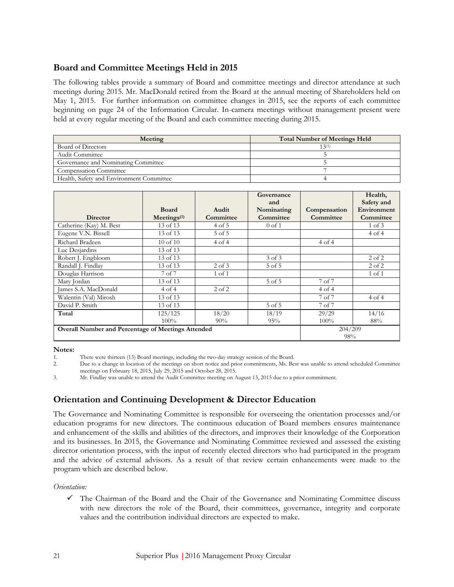# **Board and Committee Meetings Held in 2015**

The following tables provide a summary of Board and committee meetings and director attendance at such meetings during 2015. Mr. MacDonald retired from the Board at the annual meeting of Shareholders held on May 1, 2015. For further information on committee changes in 2015, see the reports of each committee beginning on page 24 of the Information Circular. In-camera meetings without management present were held at every regular meeting of the Board and each committee meeting during 2015.

| Meeting                                  | <b>Total Number of Meetings Held</b> |  |  |  |
|------------------------------------------|--------------------------------------|--|--|--|
| Board of Directors                       | 13(1)                                |  |  |  |
| Audit Committee                          |                                      |  |  |  |
| Governance and Nominating Committee      |                                      |  |  |  |
| <b>Compensation Committee</b>            |                                      |  |  |  |
| Health, Safety and Environment Committee |                                      |  |  |  |

|                                                    |                         |                   | Governance<br>and |              | Health,<br>Safety and |  |
|----------------------------------------------------|-------------------------|-------------------|-------------------|--------------|-----------------------|--|
|                                                    | <b>Board</b>            | Audit             | Nominating        | Compensation | Environment           |  |
| <b>Director</b>                                    | Mectings <sup>(1)</sup> | Committee         | Committee         | Committee    | Committee             |  |
| Catherine (Kay) M. Best                            | 13 of 13                | $4$ of 5          | $0$ of $1$        |              | $1 \text{ of } 3$     |  |
| Eugene V.N. Bissell                                | 13 of 13                | $5$ of $5$        |                   |              | 4 of 4                |  |
| Richard Bradeen                                    | $10$ of $10$            | 4 of 4            |                   | 4 of 4       |                       |  |
| Luc Desjardins                                     | 13 of 13                |                   |                   |              |                       |  |
| Robert J. Engbloom                                 | 13 of 13                |                   | $3$ of $3$        |              | $2$ of $2$            |  |
| Randall J. Findlay                                 | 13 of 13                | $2$ of $3$        | $5$ of $5$        |              | $2$ of $2$            |  |
| Douglas Harrison                                   | 7 of 7                  | $1 \text{ of } 1$ |                   |              | $1$ of $1$            |  |
| Mary Jordan                                        | 13 of 13                |                   | $5$ of $5$        | 7 of 7       |                       |  |
| James S.A. MacDonald                               | 4 of 4                  | $2$ of $2$        |                   | 4 of 4       |                       |  |
| Walentin (Val) Mirosh                              | 13 of 13                |                   |                   | 7 of 7       | 4 of 4                |  |
| David P. Smith                                     | 13 of 13                |                   | $5$ of $5$        | 7 of 7       |                       |  |
| Total                                              | 125/125                 | 18/20             | 18/19             | 29/29        | 14/16                 |  |
|                                                    | $100\%$                 | 90%               | 95%               | 100%         | 88%                   |  |
| Overall Number and Percentage of Meetings Attended |                         |                   |                   | 204/209      |                       |  |
|                                                    |                         |                   |                   | 98%          |                       |  |

#### **Notes:**

1. There were thirteen (13) Board meetings, including the two-day strategy session of the Board.<br>2. Due to a change in location of the meetings on short notice and prior commitments, Ms. Be 2. Due to a change in location of the meetings on short notice and prior commitments, Ms. Best was unable to attend scheduled Committee meetings on February 18, 2015, July 29, 2015 and October 28, 2015.

3. Mr. Findlay was unable to attend the Audit Committee meeting on August 13, 2015 due to a prior commitment.

# **Orientation and Continuing Development & Director Education**

The Governance and Nominating Committee is responsible for overseeing the orientation processes and/or education programs for new directors. The continuous education of Board members ensures maintenance and enhancement of the skills and abilities of the directors, and improves their knowledge of the Corporation and its businesses. In 2015, the Governance and Nominating Committee reviewed and assessed the existing director orientation process, with the input of recently elected directors who had participated in the program and the advice of external advisors. As a result of that review certain enhancements were made to the program which are described below.

#### *Orientation:*

 $\checkmark$  The Chairman of the Board and the Chair of the Governance and Nominating Committee discuss with new directors the role of the Board, their committees, governance, integrity and corporate values and the contribution individual directors are expected to make.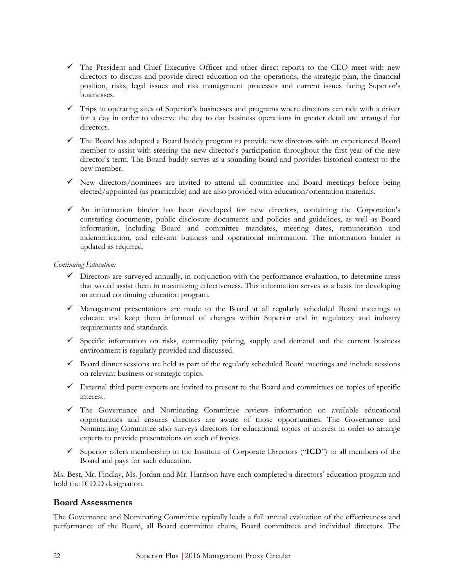- $\checkmark$  The President and Chief Executive Officer and other direct reports to the CEO meet with new directors to discuss and provide direct education on the operations, the strategic plan, the financial position, risks, legal issues and risk management processes and current issues facing Superior's businesses.
- $\checkmark$  Trips to operating sites of Superior's businesses and programs where directors can ride with a driver for a day in order to observe the day to day business operations in greater detail are arranged for directors.
- $\checkmark$  The Board has adopted a Board buddy program to provide new directors with an experienced Board member to assist with steering the new director's participation throughout the first year of the new director's term. The Board buddy serves as a sounding board and provides historical context to the new member.
- $\checkmark$  New directors/nominees are invited to attend all committee and Board meetings before being elected/appointed (as practicable) and are also provided with education/orientation materials.
- $\checkmark$  An information binder has been developed for new directors, containing the Corporation's constating documents, public disclosure documents and policies and guidelines, as well as Board information, including Board and committee mandates, meeting dates, remuneration and indemnification, and relevant business and operational information. The information binder is updated as required.

#### *Continuing Education:*

- $\checkmark$  Directors are surveyed annually, in conjunction with the performance evaluation, to determine areas that would assist them in maximizing effectiveness. This information serves as a basis for developing an annual continuing education program.
- $\checkmark$  Management presentations are made to the Board at all regularly scheduled Board meetings to educate and keep them informed of changes within Superior and in regulatory and industry requirements and standards.
- $\checkmark$  Specific information on risks, commodity pricing, supply and demand and the current business environment is regularly provided and discussed.
- $\checkmark$  Board dinner sessions are held as part of the regularly scheduled Board meetings and include sessions on relevant business or strategic topics.
- $\checkmark$  External third party experts are invited to present to the Board and committees on topics of specific interest.
- $\checkmark$  The Governance and Nominating Committee reviews information on available educational opportunities and ensures directors are aware of those opportunities. The Governance and Nominating Committee also surveys directors for educational topics of interest in order to arrange experts to provide presentations on such of topics.
- $\checkmark$  Superior offers membership in the Institute of Corporate Directors ("**ICD**") to all members of the Board and pays for such education.

Ms. Best, Mr. Findlay, Ms. Jordan and Mr. Harrison have each completed a directors' education program and hold the ICD.D designation.

#### **Board Assessments**

The Governance and Nominating Committee typically leads a full annual evaluation of the effectiveness and performance of the Board, all Board committee chairs, Board committees and individual directors. The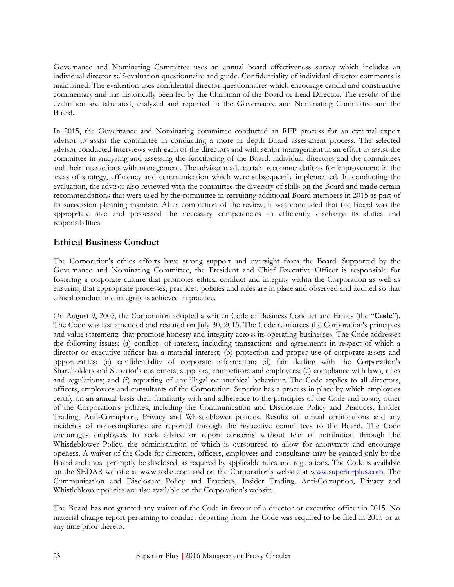Governance and Nominating Committee uses an annual board effectiveness survey which includes an individual director self-evaluation questionnaire and guide. Confidentiality of individual director comments is maintained. The evaluation uses confidential director questionnaires which encourage candid and constructive commentary and has historically been led by the Chairman of the Board or Lead Director. The results of the evaluation are tabulated, analyzed and reported to the Governance and Nominating Committee and the Board.

In 2015, the Governance and Nominating committee conducted an RFP process for an external expert advisor to assist the committee in conducting a more in depth Board assessment process. The selected advisor conducted interviews with each of the directors and with senior management in an effort to assist the committee in analyzing and assessing the functioning of the Board, individual directors and the committees and their interactions with management. The advisor made certain recommendations for improvement in the areas of strategy, efficiency and communication which were subsequently implemented. In conducting the evaluation, the advisor also reviewed with the committee the diversity of skills on the Board and made certain recommendations that were used by the committee in recruiting additional Board members in 2015 as part of its succession planning mandate. After completion of the review, it was concluded that the Board was the appropriate size and possessed the necessary competencies to efficiently discharge its duties and responsibilities.

# **Ethical Business Conduct**

The Corporation's ethics efforts have strong support and oversight from the Board. Supported by the Governance and Nominating Committee, the President and Chief Executive Officer is responsible for fostering a corporate culture that promotes ethical conduct and integrity within the Corporation as well as ensuring that appropriate processes, practices, policies and rules are in place and observed and audited so that ethical conduct and integrity is achieved in practice.

On August 9, 2005, the Corporation adopted a written Code of Business Conduct and Ethics (the "**Code**"). The Code was last amended and restated on July 30, 2015. The Code reinforces the Corporation's principles and value statements that promote honesty and integrity across its operating businesses. The Code addresses the following issues: (a) conflicts of interest, including transactions and agreements in respect of which a director or executive officer has a material interest; (b) protection and proper use of corporate assets and opportunities; (c) confidentiality of corporate information; (d) fair dealing with the Corporation's Shareholders and Superior's customers, suppliers, competitors and employees; (e) compliance with laws, rules and regulations; and (f) reporting of any illegal or unethical behaviour. The Code applies to all directors, officers, employees and consultants of the Corporation. Superior has a process in place by which employees certify on an annual basis their familiarity with and adherence to the principles of the Code and to any other of the Corporation's policies, including the Communication and Disclosure Policy and Practices, Insider Trading, Anti-Corruption, Privacy and Whistleblower policies. Results of annual certifications and any incidents of non-compliance are reported through the respective committees to the Board. The Code encourages employees to seek advice or report concerns without fear of retribution through the Whistleblower Policy, the administration of which is outsourced to allow for anonymity and encourage openess. A waiver of the Code for directors, officers, employees and consultants may be granted only by the Board and must promptly be disclosed, as required by applicable rules and regulations. The Code is available on the SEDAR website at www.sedar.com and on the Corporation's website at www.superiorplus.com. The Communication and Disclosure Policy and Practices, Insider Trading, Anti-Corruption, Privacy and Whistleblower policies are also available on the Corporation's website.

The Board has not granted any waiver of the Code in favour of a director or executive officer in 2015. No material change report pertaining to conduct departing from the Code was required to be filed in 2015 or at any time prior thereto.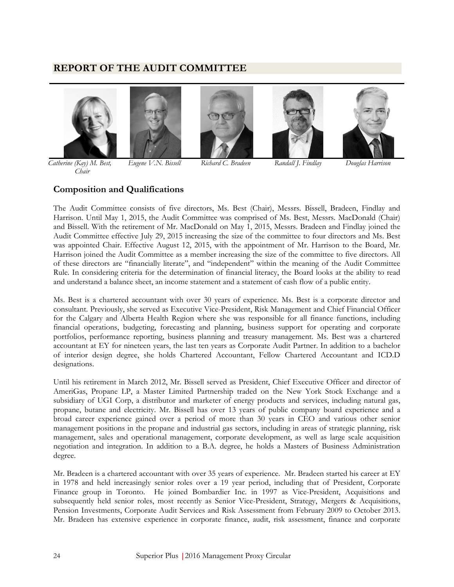# **REPORT OF THE AUDIT COMMITTEE**











*Catherine (Kay) M. Best, Eugene V.N. Bissell Richard C. Bradeen Randall J. Findlay Douglas Harrison Chair* 

# **Composition and Qualifications**

The Audit Committee consists of five directors, Ms. Best (Chair), Messrs. Bissell, Bradeen, Findlay and Harrison. Until May 1, 2015, the Audit Committee was comprised of Ms. Best, Messrs. MacDonald (Chair) and Bissell. With the retirement of Mr. MacDonald on May 1, 2015, Messrs. Bradeen and Findlay joined the Audit Committee effective July 29, 2015 increasing the size of the committee to four directors and Ms. Best was appointed Chair. Effective August 12, 2015, with the appointment of Mr. Harrison to the Board, Mr. Harrison joined the Audit Committee as a member increasing the size of the committee to five directors. All of these directors are "financially literate", and "independent" within the meaning of the Audit Committee Rule. In considering criteria for the determination of financial literacy, the Board looks at the ability to read and understand a balance sheet, an income statement and a statement of cash flow of a public entity.

Ms. Best is a chartered accountant with over 30 years of experience. Ms. Best is a corporate director and consultant. Previously, she served as Executive Vice-President, Risk Management and Chief Financial Officer for the Calgary and Alberta Health Region where she was responsible for all finance functions, including financial operations, budgeting, forecasting and planning, business support for operating and corporate portfolios, performance reporting, business planning and treasury management. Ms. Best was a chartered accountant at EY for nineteen years, the last ten years as Corporate Audit Partner. In addition to a bachelor of interior design degree, she holds Chartered Accountant, Fellow Chartered Accountant and ICD.D designations.

Until his retirement in March 2012, Mr. Bissell served as President, Chief Executive Officer and director of AmeriGas, Propane LP, a Master Limited Partnership traded on the New York Stock Exchange and a subsidiary of UGI Corp, a distributor and marketer of energy products and services, including natural gas, propane, butane and electricity. Mr. Bissell has over 13 years of public company board experience and a broad career experience gained over a period of more than 30 years in CEO and various other senior management positions in the propane and industrial gas sectors, including in areas of strategic planning, risk management, sales and operational management, corporate development, as well as large scale acquisition negotiation and integration. In addition to a B.A. degree, he holds a Masters of Business Administration degree.

Mr. Bradeen is a chartered accountant with over 35 years of experience. Mr. Bradeen started his career at EY in 1978 and held increasingly senior roles over a 19 year period, including that of President, Corporate Finance group in Toronto. He joined Bombardier Inc. in 1997 as Vice-President, Acquisitions and subsequently held senior roles, most recently as Senior Vice-President, Strategy, Mergers & Acquisitions, Pension Investments, Corporate Audit Services and Risk Assessment from February 2009 to October 2013. Mr. Bradeen has extensive experience in corporate finance, audit, risk assessment, finance and corporate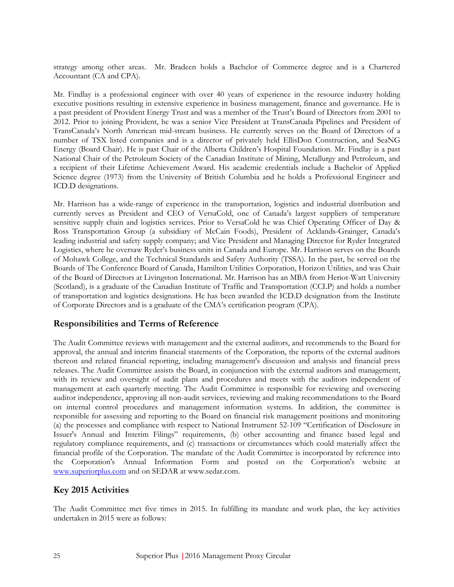strategy among other areas. Mr. Bradeen holds a Bachelor of Commerce degree and is a Chartered Accountant (CA and CPA).

Mr. Findlay is a professional engineer with over 40 years of experience in the resource industry holding executive positions resulting in extensive experience in business management, finance and governance. He is a past president of Provident Energy Trust and was a member of the Trust's Board of Directors from 2001 to 2012. Prior to joining Provident, he was a senior Vice President at TransCanada Pipelines and President of TransCanada's North American mid-stream business. He currently serves on the Board of Directors of a number of TSX listed companies and is a director of privately held EllisDon Construction, and SeaNG Energy (Board Chair). He is past Chair of the Alberta Children's Hospital Foundation. Mr. Findlay is a past National Chair of the Petroleum Society of the Canadian Institute of Mining, Metallurgy and Petroleum, and a recipient of their Lifetime Achievement Award. His academic credentials include a Bachelor of Applied Science degree (1973) from the University of British Columbia and he holds a Professional Engineer and ICD.D designations.

Mr. Harrison has a wide-range of experience in the transportation, logistics and industrial distribution and currently serves as President and CEO of VersaCold, one of Canada's largest suppliers of temperature sensitive supply chain and logistics services. Prior to VersaCold he was Chief Operating Officer of Day & Ross Transportation Group (a subsidiary of McCain Foods), President of Acklands-Grainger, Canada's leading industrial and safety supply company; and Vice President and Managing Director for Ryder Integrated Logistics, where he oversaw Ryder's business units in Canada and Europe. Mr. Harrison serves on the Boards of Mohawk College, and the Technical Standards and Safety Authority (TSSA). In the past, he served on the Boards of The Conference Board of Canada, Hamilton Utilities Corporation, Horizon Utilities, and was Chair of the Board of Directors at Livingston International. Mr. Harrison has an MBA from Heriot-Watt University (Scotland), is a graduate of the Canadian Institute of Traffic and Transportation (CCLP) and holds a number of transportation and logistics designations. He has been awarded the ICD.D designation from the Institute of Corporate Directors and is a graduate of the CMA's certification program (CPA).

### **Responsibilities and Terms of Reference**

The Audit Committee reviews with management and the external auditors, and recommends to the Board for approval, the annual and interim financial statements of the Corporation, the reports of the external auditors thereon and related financial reporting, including management's discussion and analysis and financial press releases. The Audit Committee assists the Board, in conjunction with the external auditors and management, with its review and oversight of audit plans and procedures and meets with the auditors independent of management at each quarterly meeting. The Audit Committee is responsible for reviewing and overseeing auditor independence, approving all non-audit services, reviewing and making recommendations to the Board on internal control procedures and management information systems. In addition, the committee is responsible for assessing and reporting to the Board on financial risk management positions and monitoring (a) the processes and compliance with respect to National Instrument 52-109 "Certification of Disclosure in Issuer's Annual and Interim Filings" requirements, (b) other accounting and finance based legal and regulatory compliance requirements, and (c) transactions or circumstances which could materially affect the financial profile of the Corporation. The mandate of the Audit Committee is incorporated by reference into the Corporation's Annual Information Form and posted on the Corporation's website at www.superiorplus.com and on SEDAR at www.sedar.com.

# **Key 2015 Activities**

The Audit Committee met five times in 2015. In fulfilling its mandate and work plan, the key activities undertaken in 2015 were as follows: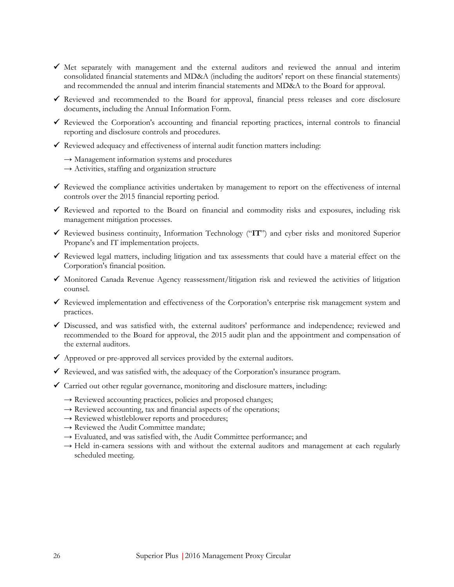- $\checkmark$  Met separately with management and the external auditors and reviewed the annual and interim consolidated financial statements and MD&A (including the auditors' report on these financial statements) and recommended the annual and interim financial statements and MD&A to the Board for approval.
- Reviewed and recommended to the Board for approval, financial press releases and core disclosure documents, including the Annual Information Form.
- Reviewed the Corporation's accounting and financial reporting practices, internal controls to financial reporting and disclosure controls and procedures.
- $\checkmark$  Reviewed adequacy and effectiveness of internal audit function matters including:
	- $\rightarrow$  Management information systems and procedures
	- $\rightarrow$  Activities, staffing and organization structure
- Reviewed the compliance activities undertaken by management to report on the effectiveness of internal controls over the 2015 financial reporting period.
- Reviewed and reported to the Board on financial and commodity risks and exposures, including risk management mitigation processes.
- Reviewed business continuity, Information Technology ("**IT**") and cyber risks and monitored Superior Propane's and IT implementation projects.
- Reviewed legal matters, including litigation and tax assessments that could have a material effect on the Corporation's financial position.
- $\checkmark$  Monitored Canada Revenue Agency reassessment/litigation risk and reviewed the activities of litigation counsel.
- Reviewed implementation and effectiveness of the Corporation's enterprise risk management system and practices.
- $\checkmark$  Discussed, and was satisfied with, the external auditors' performance and independence; reviewed and recommended to the Board for approval, the 2015 audit plan and the appointment and compensation of the external auditors.
- $\blacklozenge$  Approved or pre-approved all services provided by the external auditors.
- Reviewed, and was satisfied with, the adequacy of the Corporation's insurance program.
- Carried out other regular governance, monitoring and disclosure matters, including:
	- → Reviewed accounting practices, policies and proposed changes;
	- $\rightarrow$  Reviewed accounting, tax and financial aspects of the operations;
	- $\rightarrow$  Reviewed whistleblower reports and procedures;
	- $\rightarrow$  Reviewed the Audit Committee mandate;
	- → Evaluated, and was satisfied with, the Audit Committee performance; and
	- $\rightarrow$  Held in-camera sessions with and without the external auditors and management at each regularly scheduled meeting.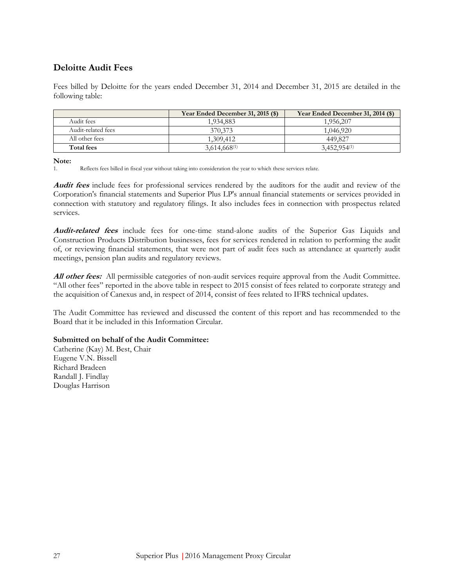# **Deloitte Audit Fees**

Fees billed by Deloitte for the years ended December 31, 2014 and December 31, 2015 are detailed in the following table:

|                    | Year Ended December 31, 2015 (\$) | Year Ended December 31, 2014 (\$) |
|--------------------|-----------------------------------|-----------------------------------|
| Audit fees         | 1.934.883                         | .956.207                          |
| Audit-related fees | 370,373                           | .046.920                          |
| All other fees     | 1,309,412                         | 449,827                           |
| Total fees         | $3,614,668^{(1)}$                 | $3,452,954^{(1)}$                 |

**Note:** 

1. Reflects fees billed in fiscal year without taking into consideration the year to which these services relate.

**Audit fees** include fees for professional services rendered by the auditors for the audit and review of the Corporation's financial statements and Superior Plus LP's annual financial statements or services provided in connection with statutory and regulatory filings. It also includes fees in connection with prospectus related services.

**Audit-related fees** include fees for one-time stand-alone audits of the Superior Gas Liquids and Construction Products Distribution businesses, fees for services rendered in relation to performing the audit of, or reviewing financial statements, that were not part of audit fees such as attendance at quarterly audit meetings, pension plan audits and regulatory reviews.

**All other fees:** All permissible categories of non-audit services require approval from the Audit Committee. "All other fees" reported in the above table in respect to 2015 consist of fees related to corporate strategy and the acquisition of Canexus and, in respect of 2014, consist of fees related to IFRS technical updates.

The Audit Committee has reviewed and discussed the content of this report and has recommended to the Board that it be included in this Information Circular.

#### **Submitted on behalf of the Audit Committee:**

Catherine (Kay) M. Best, Chair Eugene V.N. Bissell Richard Bradeen Randall J. Findlay Douglas Harrison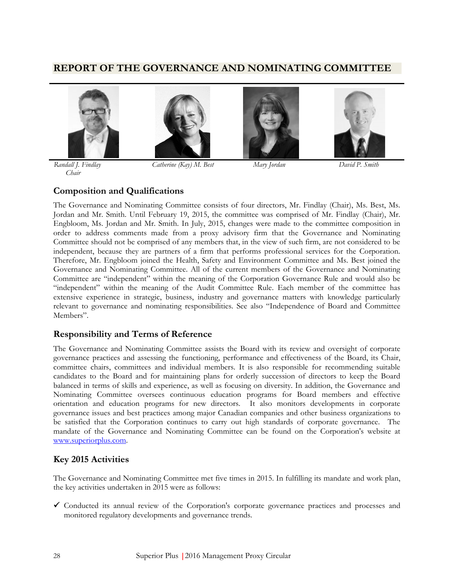# **REPORT OF THE GOVERNANCE AND NOMINATING COMMITTEE**



*Chair* 



 *Randall J. Findlay Catherine (Kay) M. Best Mary Jordan David P. Smith* 





# **Composition and Qualifications**

The Governance and Nominating Committee consists of four directors, Mr. Findlay (Chair), Ms. Best, Ms. Jordan and Mr. Smith. Until February 19, 2015, the committee was comprised of Mr. Findlay (Chair), Mr. Engbloom, Ms. Jordan and Mr. Smith. In July, 2015, changes were made to the committee composition in order to address comments made from a proxy advisory firm that the Governance and Nominating Committee should not be comprised of any members that, in the view of such firm, are not considered to be independent, because they are partners of a firm that performs professional services for the Corporation. Therefore, Mr. Engbloom joined the Health, Safety and Environment Committee and Ms. Best joined the Governance and Nominating Committee. All of the current members of the Governance and Nominating Committee are "independent" within the meaning of the Corporation Governance Rule and would also be "independent" within the meaning of the Audit Committee Rule. Each member of the committee has extensive experience in strategic, business, industry and governance matters with knowledge particularly relevant to governance and nominating responsibilities. See also "Independence of Board and Committee Members".

### **Responsibility and Terms of Reference**

The Governance and Nominating Committee assists the Board with its review and oversight of corporate governance practices and assessing the functioning, performance and effectiveness of the Board, its Chair, committee chairs, committees and individual members. It is also responsible for recommending suitable candidates to the Board and for maintaining plans for orderly succession of directors to keep the Board balanced in terms of skills and experience, as well as focusing on diversity. In addition, the Governance and Nominating Committee oversees continuous education programs for Board members and effective orientation and education programs for new directors. It also monitors developments in corporate governance issues and best practices among major Canadian companies and other business organizations to be satisfied that the Corporation continues to carry out high standards of corporate governance. The mandate of the Governance and Nominating Committee can be found on the Corporation's website at www.superiorplus.com.

# **Key 2015 Activities**

The Governance and Nominating Committee met five times in 2015. In fulfilling its mandate and work plan, the key activities undertaken in 2015 were as follows:

 $\checkmark$  Conducted its annual review of the Corporation's corporate governance practices and processes and monitored regulatory developments and governance trends.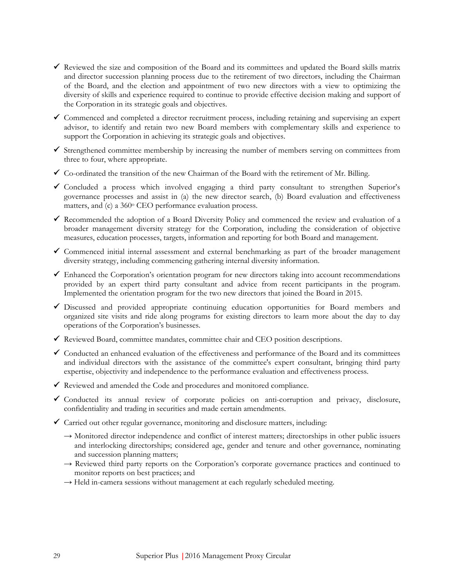- $\checkmark$  Reviewed the size and composition of the Board and its committees and updated the Board skills matrix and director succession planning process due to the retirement of two directors, including the Chairman of the Board, and the election and appointment of two new directors with a view to optimizing the diversity of skills and experience required to continue to provide effective decision making and support of the Corporation in its strategic goals and objectives.
- Commenced and completed a director recruitment process, including retaining and supervising an expert advisor, to identify and retain two new Board members with complementary skills and experience to support the Corporation in achieving its strategic goals and objectives.
- $\checkmark$  Strengthened committee membership by increasing the number of members serving on committees from three to four, where appropriate.
- $\checkmark$  Co-ordinated the transition of the new Chairman of the Board with the retirement of Mr. Billing.
- Concluded a process which involved engaging a third party consultant to strengthen Superior's governance processes and assist in (a) the new director search, (b) Board evaluation and effectiveness matters, and (c) a 360<sup>°</sup> CEO performance evaluation process.
- $\checkmark$  Recommended the adoption of a Board Diversity Policy and commenced the review and evaluation of a broader management diversity strategy for the Corporation, including the consideration of objective measures, education processes, targets, information and reporting for both Board and management.
- $\checkmark$  Commenced initial internal assessment and external benchmarking as part of the broader management diversity strategy, including commencing gathering internal diversity information.
- Enhanced the Corporation's orientation program for new directors taking into account recommendations provided by an expert third party consultant and advice from recent participants in the program. Implemented the orientation program for the two new directors that joined the Board in 2015.
- Discussed and provided appropriate continuing education opportunities for Board members and organized site visits and ride along programs for existing directors to learn more about the day to day operations of the Corporation's businesses.
- $\checkmark$  Reviewed Board, committee mandates, committee chair and CEO position descriptions.
- Conducted an enhanced evaluation of the effectiveness and performance of the Board and its committees and individual directors with the assistance of the committee's expert consultant, bringing third party expertise, objectivity and independence to the performance evaluation and effectiveness process.
- $\checkmark$  Reviewed and amended the Code and procedures and monitored compliance.
- Conducted its annual review of corporate policies on anti-corruption and privacy, disclosure, confidentiality and trading in securities and made certain amendments.
- Carried out other regular governance, monitoring and disclosure matters, including:
	- → Monitored director independence and conflict of interest matters; directorships in other public issuers and interlocking directorships; considered age, gender and tenure and other governance, nominating and succession planning matters;
	- → Reviewed third party reports on the Corporation's corporate governance practices and continued to monitor reports on best practices; and
	- $\rightarrow$  Held in-camera sessions without management at each regularly scheduled meeting.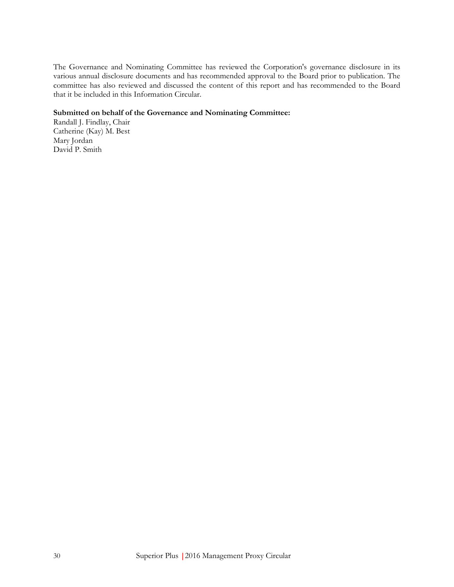The Governance and Nominating Committee has reviewed the Corporation's governance disclosure in its various annual disclosure documents and has recommended approval to the Board prior to publication. The committee has also reviewed and discussed the content of this report and has recommended to the Board that it be included in this Information Circular.

#### **Submitted on behalf of the Governance and Nominating Committee:**

Randall J. Findlay, Chair Catherine (Kay) M. Best Mary Jordan David P. Smith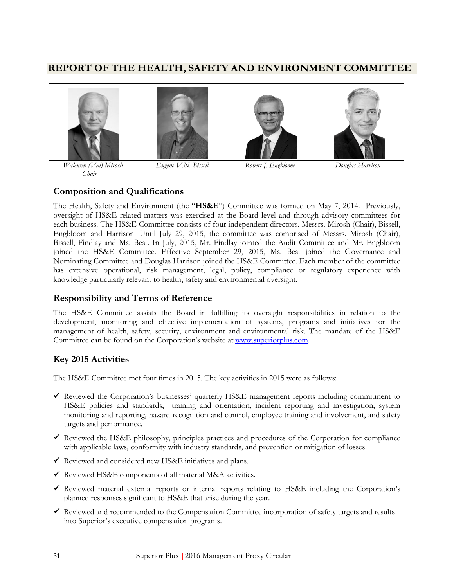# **REPORT OF THE HEALTH, SAFETY AND ENVIRONMENT COMMITTEE**









 *Walentin (Val) Mirosh Eugene V.N. Bissell Robert J. Engbloom Douglas Harrison Chair* 

# **Composition and Qualifications**

The Health, Safety and Environment (the "**HS&E**") Committee was formed on May 7, 2014. Previously, oversight of HS&E related matters was exercised at the Board level and through advisory committees for each business. The HS&E Committee consists of four independent directors. Messrs. Mirosh (Chair), Bissell, Engbloom and Harrison. Until July 29, 2015, the committee was comprised of Messrs. Mirosh (Chair), Bissell, Findlay and Ms. Best. In July, 2015, Mr. Findlay jointed the Audit Committee and Mr. Engbloom joined the HS&E Committee. Effective September 29, 2015, Ms. Best joined the Governance and Nominating Committee and Douglas Harrison joined the HS&E Committee. Each member of the committee has extensive operational, risk management, legal, policy, compliance or regulatory experience with knowledge particularly relevant to health, safety and environmental oversight.

# **Responsibility and Terms of Reference**

The HS&E Committee assists the Board in fulfilling its oversight responsibilities in relation to the development, monitoring and effective implementation of systems, programs and initiatives for the management of health, safety, security, environment and environmental risk. The mandate of the HS&E Committee can be found on the Corporation's website at www.superiorplus.com.

# **Key 2015 Activities**

The HS&E Committee met four times in 2015. The key activities in 2015 were as follows:

- $\checkmark$  Reviewed the Corporation's businesses' quarterly HS&E management reports including commitment to HS&E policies and standards, training and orientation, incident reporting and investigation, system monitoring and reporting, hazard recognition and control, employee training and involvement, and safety targets and performance.
- $\checkmark$  Reviewed the HS&E philosophy, principles practices and procedures of the Corporation for compliance with applicable laws, conformity with industry standards, and prevention or mitigation of losses.
- Reviewed and considered new HS&E initiatives and plans.
- Reviewed HS&E components of all material M&A activities.
- Reviewed material external reports or internal reports relating to HS&E including the Corporation's planned responses significant to HS&E that arise during the year.
- $\checkmark$  Reviewed and recommended to the Compensation Committee incorporation of safety targets and results into Superior's executive compensation programs.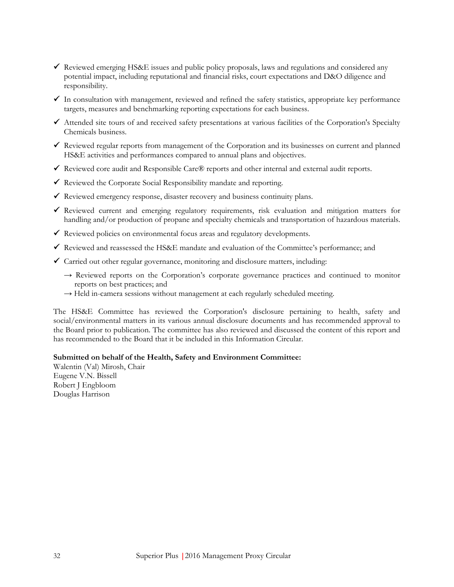- Reviewed emerging HS&E issues and public policy proposals, laws and regulations and considered any potential impact, including reputational and financial risks, court expectations and D&O diligence and responsibility.
- In consultation with management, reviewed and refined the safety statistics, appropriate key performance targets, measures and benchmarking reporting expectations for each business.
- Attended site tours of and received safety presentations at various facilities of the Corporation's Specialty Chemicals business.
- Reviewed regular reports from management of the Corporation and its businesses on current and planned HS&E activities and performances compared to annual plans and objectives.
- Reviewed core audit and Responsible Care® reports and other internal and external audit reports.
- $\checkmark$  Reviewed the Corporate Social Responsibility mandate and reporting.
- $\checkmark$  Reviewed emergency response, disaster recovery and business continuity plans.
- Reviewed current and emerging regulatory requirements, risk evaluation and mitigation matters for handling and/or production of propane and specialty chemicals and transportation of hazardous materials.
- Reviewed policies on environmental focus areas and regulatory developments.
- Reviewed and reassessed the HS&E mandate and evaluation of the Committee's performance; and
- $\checkmark$  Carried out other regular governance, monitoring and disclosure matters, including:
	- $\rightarrow$  Reviewed reports on the Corporation's corporate governance practices and continued to monitor reports on best practices; and
	- $\rightarrow$  Held in-camera sessions without management at each regularly scheduled meeting.

The HS&E Committee has reviewed the Corporation's disclosure pertaining to health, safety and social/environmental matters in its various annual disclosure documents and has recommended approval to the Board prior to publication. The committee has also reviewed and discussed the content of this report and has recommended to the Board that it be included in this Information Circular.

#### **Submitted on behalf of the Health, Safety and Environment Committee:**

Walentin (Val) Mirosh, Chair Eugene V.N. Bissell Robert J Engbloom Douglas Harrison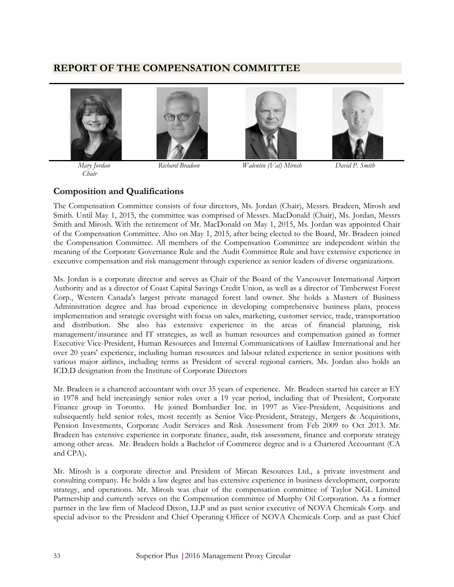## **REPORT OF THE COMPENSATION COMMITTEE**









*Chair* 

 *Mary Jordan Richard Bradeen Walentin (Val) Mirosh David P. Smith* 

### **Composition and Qualifications**

The Compensation Committee consists of four directors, Ms. Jordan (Chair), Messrs. Bradeen, Mirosh and Smith. Until May 1, 2015, the committee was comprised of Messrs. MacDonald (Chair), Ms. Jordan, Messrs Smith and Mirosh. With the retirement of Mr. MacDonald on May 1, 2015, Ms. Jordan was appointed Chair of the Compensation Committee. Also on May 1, 2015, after being elected to the Board, Mr. Bradeen joined the Compensation Committee. All members of the Compensation Committee are independent within the meaning of the Corporate Governance Rule and the Audit Committee Rule and have extensive experience in executive compensation and risk management through experience as senior leaders of diverse organizations.

Ms. Jordan is a corporate director and serves as Chair of the Board of the Vancouver International Airport Authority and as a director of Coast Capital Savings Credit Union, as well as a director of Timberwest Forest Corp., Western Canada's largest private managed forest land owner. She holds a Masters of Business Administration degree and has broad experience in developing comprehensive business plans, process implementation and strategic oversight with focus on sales, marketing, customer service, trade, transportation and distribution. She also has extensive experience in the areas of financial planning, risk management/insurance and IT strategies, as well as human resources and compensation gained as former Executive Vice-President, Human Resources and Internal Communications of Laidlaw International and her over 20 years' experience, including human resources and labour related experience in senior positions with various major airlines, including terms as President of several regional carriers. Ms. Jordan also holds an ICD.D designation from the Institute of Corporate Directors

Mr. Bradeen is a chartered accountant with over 35 years of experience. Mr. Bradeen started his career at EY in 1978 and held increasingly senior roles over a 19 year period, including that of President, Corporate Finance group in Toronto. He joined Bombardier Inc. in 1997 as Vice-President, Acquisitions and subsequently held senior roles, most recently as Senior Vice-President, Strategy, Mergers & Acquisitions, Pension Investments, Corporate Audit Services and Risk Assessment from Feb 2009 to Oct 2013. Mr. Bradeen has extensive experience in corporate finance, audit, risk assessment, finance and corporate strategy among other areas. Mr. Bradeen holds a Bachelor of Commerce degree and is a Chartered Accountant (CA and CPA)**.** 

Mr. Mirosh is a corporate director and President of Mircan Resources Ltd., a private investment and consulting company. He holds a law degree and has extensive experience in business development, corporate strategy, and operations. Mr. Mirosh was chair of the compensation committee of Taylor NGL Limited Partnership and currently serves on the Compensation committee of Murphy Oil Corporation. As a former partner in the law firm of Macleod Dixon, LLP and as past senior executive of NOVA Chemicals Corp. and special advisor to the President and Chief Operating Officer of NOVA Chemicals Corp. and as past Chief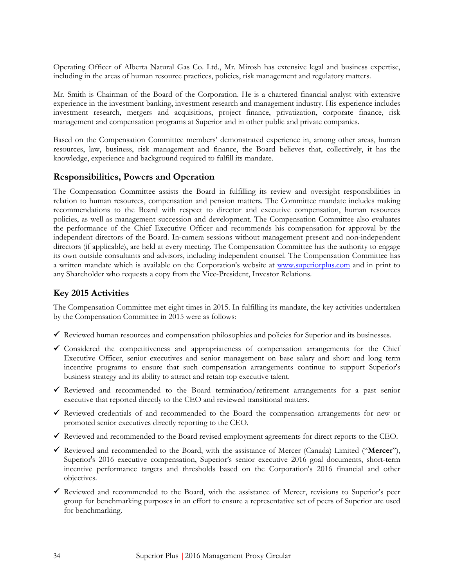Operating Officer of Alberta Natural Gas Co. Ltd., Mr. Mirosh has extensive legal and business expertise, including in the areas of human resource practices, policies, risk management and regulatory matters.

Mr. Smith is Chairman of the Board of the Corporation. He is a chartered financial analyst with extensive experience in the investment banking, investment research and management industry. His experience includes investment research, mergers and acquisitions, project finance, privatization, corporate finance, risk management and compensation programs at Superior and in other public and private companies.

Based on the Compensation Committee members' demonstrated experience in, among other areas, human resources, law, business, risk management and finance, the Board believes that, collectively, it has the knowledge, experience and background required to fulfill its mandate.

### **Responsibilities, Powers and Operation**

The Compensation Committee assists the Board in fulfilling its review and oversight responsibilities in relation to human resources, compensation and pension matters. The Committee mandate includes making recommendations to the Board with respect to director and executive compensation, human resources policies, as well as management succession and development. The Compensation Committee also evaluates the performance of the Chief Executive Officer and recommends his compensation for approval by the independent directors of the Board. In-camera sessions without management present and non-independent directors (if applicable), are held at every meeting. The Compensation Committee has the authority to engage its own outside consultants and advisors, including independent counsel. The Compensation Committee has a written mandate which is available on the Corporation's website at www.superiorplus.com and in print to any Shareholder who requests a copy from the Vice-President, Investor Relations.

### **Key 2015 Activities**

The Compensation Committee met eight times in 2015. In fulfilling its mandate, the key activities undertaken by the Compensation Committee in 2015 were as follows:

- $\checkmark$  Reviewed human resources and compensation philosophies and policies for Superior and its businesses.
- $\checkmark$  Considered the competitiveness and appropriateness of compensation arrangements for the Chief Executive Officer, senior executives and senior management on base salary and short and long term incentive programs to ensure that such compensation arrangements continue to support Superior's business strategy and its ability to attract and retain top executive talent.
- $\checkmark$  Reviewed and recommended to the Board termination/retirement arrangements for a past senior executive that reported directly to the CEO and reviewed transitional matters.
- Reviewed credentials of and recommended to the Board the compensation arrangements for new or promoted senior executives directly reporting to the CEO.
- $\checkmark$  Reviewed and recommended to the Board revised employment agreements for direct reports to the CEO.
- Reviewed and recommended to the Board, with the assistance of Mercer (Canada) Limited ("**Mercer**"), Superior's 2016 executive compensation, Superior's senior executive 2016 goal documents, short-term incentive performance targets and thresholds based on the Corporation's 2016 financial and other objectives.
- $\checkmark$  Reviewed and recommended to the Board, with the assistance of Mercer, revisions to Superior's peer group for benchmarking purposes in an effort to ensure a representative set of peers of Superior are used for benchmarking.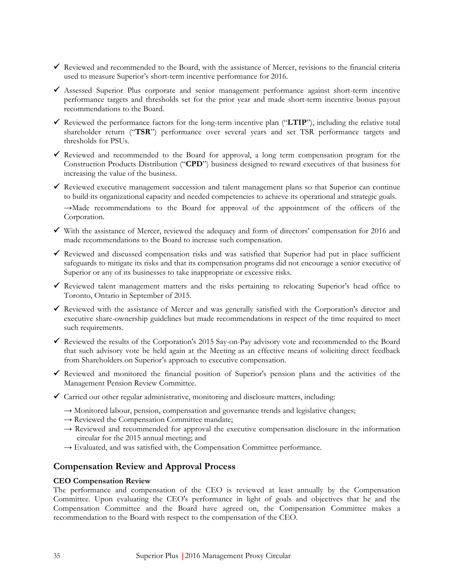- Reviewed and recommended to the Board, with the assistance of Mercer, revisions to the financial criteria used to measure Superior's short-term incentive performance for 2016.
- Assessed Superior Plus corporate and senior management performance against short-term incentive performance targets and thresholds set for the prior year and made short-term incentive bonus payout recommendations to the Board.
- Reviewed the performance factors for the long-term incentive plan ("**LTIP**"), including the relative total shareholder return ("**TSR**") performance over several years and set TSR performance targets and thresholds for PSUs.
- Reviewed and recommended to the Board for approval, a long term compensation program for the Construction Products Distribution ("**CPD**") business designed to reward executives of that business for increasing the value of the business.
- $\checkmark$  Reviewed executive management succession and talent management plans so that Superior can continue to build its organizational capacity and needed competencies to achieve its operational and strategic goals. →Made recommendations to the Board for approval of the appointment of the officers of the Corporation.
- $\checkmark$  With the assistance of Mercer, reviewed the adequacy and form of directors' compensation for 2016 and made recommendations to the Board to increase such compensation.
- Reviewed and discussed compensation risks and was satisfied that Superior had put in place sufficient safeguards to mitigate its risks and that its compensation programs did not encourage a senior executive of Superior or any of its businesses to take inappropriate or excessive risks.
- Reviewed talent management matters and the risks pertaining to relocating Superior's head office to Toronto, Ontario in September of 2015.
- Reviewed with the assistance of Mercer and was generally satisfied with the Corporation's director and executive share-ownership guidelines but made recommendations in respect of the time required to meet such requirements.
- Reviewed the results of the Corporation's 2015 Say-on-Pay advisory vote and recommended to the Board that such advisory vote be held again at the Meeting as an effective means of soliciting direct feedback from Shareholders on Superior's approach to executive compensation.
- $\checkmark$  Reviewed and monitored the financial position of Superior's pension plans and the activities of the Management Pension Review Committee.
- $\checkmark$  Carried out other regular administrative, monitoring and disclosure matters, including:
	- $\rightarrow$  Monitored labour, pension, compensation and governance trends and legislative changes;
	- $\rightarrow$  Reviewed the Compensation Committee mandate;
	- $\rightarrow$  Reviewed and recommended for approval the executive compensation disclosure in the information circular for the 2015 annual meeting; and
	- → Evaluated, and was satisfied with, the Compensation Committee performance.

#### **Compensation Review and Approval Process**

#### **CEO Compensation Review**

The performance and compensation of the CEO is reviewed at least annually by the Compensation Committee. Upon evaluating the CEO's performance in light of goals and objectives that he and the Compensation Committee and the Board have agreed on, the Compensation Committee makes a recommendation to the Board with respect to the compensation of the CEO.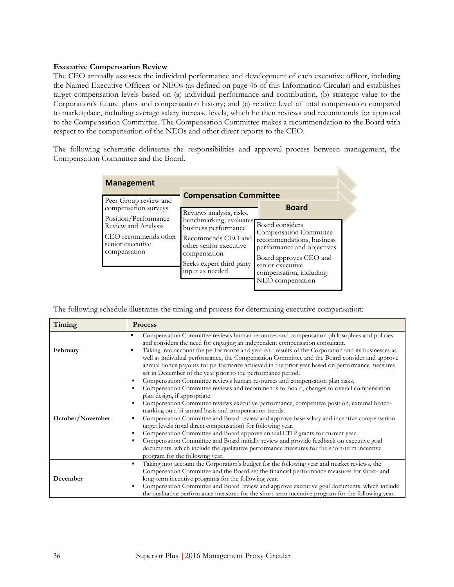#### **Executive Compensation Review**

The CEO annually assesses the individual performance and development of each executive officer, including the Named Executive Officers or NEOs (as defined on page 46 of this Information Circular) and establishes target compensation levels based on (a) individual performance and contribution, (b) strategic value to the Corporation's future plans and compensation history; and (c) relative level of total compensation compared to marketplace, including average salary increase levels, which he then reviews and recommends for approval to the Compensation Committee. The Compensation Committee makes a recommendation to the Board with respect to the compensation of the NEOs and other direct reports to the CEO.

The following schematic delineates the responsibilities and approval process between management, the Compensation Committee and the Board.

h.

| <b>Management</b>                                                                                                                                        |                                                                                                                                                                                                                             |                                                                                                                                                                                                             |
|----------------------------------------------------------------------------------------------------------------------------------------------------------|-----------------------------------------------------------------------------------------------------------------------------------------------------------------------------------------------------------------------------|-------------------------------------------------------------------------------------------------------------------------------------------------------------------------------------------------------------|
| Peer Group review and<br>compensation surveys<br>Position/Performance<br>Review and Analysis<br>CEO recommends other<br>senior executive<br>compensation | <b>Compensation Committee</b><br>Reviews analysis, risks,<br>benchmarking; evaluates<br>business performance<br>Recommends CEO and<br>other senior executive<br>compensation<br>Seeks expert third party<br>input as needed | <b>Board</b><br><b>Board</b> considers<br><b>Compensation Committee</b><br>recommendations, business<br>performance and objectives<br>Board approves CEO and<br>senior executive<br>compensation, including |

The following schedule illustrates the timing and process for determining executive compensation:

| Timing           | <b>Process</b>                                                                                                                                                                                                                                                                                                                                                                                                                                                                                                                                                                                                                                                                                                                                                                                                                                                       |
|------------------|----------------------------------------------------------------------------------------------------------------------------------------------------------------------------------------------------------------------------------------------------------------------------------------------------------------------------------------------------------------------------------------------------------------------------------------------------------------------------------------------------------------------------------------------------------------------------------------------------------------------------------------------------------------------------------------------------------------------------------------------------------------------------------------------------------------------------------------------------------------------|
| February         | Compensation Committee reviews human resources and compensation philosophies and policies<br>$\blacksquare$<br>and considers the need for engaging an independent compensation consultant.<br>Taking into account the performance and year-end results of the Corporation and its businesses as<br>٠<br>well as individual performance, the Compensation Committee and the Board consider and approve<br>annual bonus payouts for performance achieved in the prior year based on performance measures<br>set in December of the year prior to the performance period.                                                                                                                                                                                                                                                                                               |
| October/November | Compensation Committee reviews human resources and compensation plan risks.<br>٠<br>Compensation Committee reviews and recommends to Board, changes to overall compensation<br>٠<br>plan design, if appropriate.<br>Compensation Committee reviews executive performance, competitive position, external bench-<br>п<br>marking on a bi-annual basis and compensation trends.<br>Compensation Committee and Board review and approve base salary and incentive compensation<br>п<br>target levels (total direct compensation) for following year.<br>Compensation Committee and Board approve annual LTIP grants for current year.<br>Compensation Committee and Board initially review and provide feedback on executive goal<br>٠<br>documents, which include the qualitative performance measures for the short-term incentive<br>program for the following year. |
| December         | Taking into account the Corporation's budget for the following year and market reviews, the<br>$\blacksquare$<br>Compensation Committee and the Board set the financial performance measures for short- and<br>long-term incentive programs for the following year.<br>Compensation Committee and Board review and approve executive goal documents, which include<br>٠<br>the qualitative performance measures for the short-term incentive program for the following year.                                                                                                                                                                                                                                                                                                                                                                                         |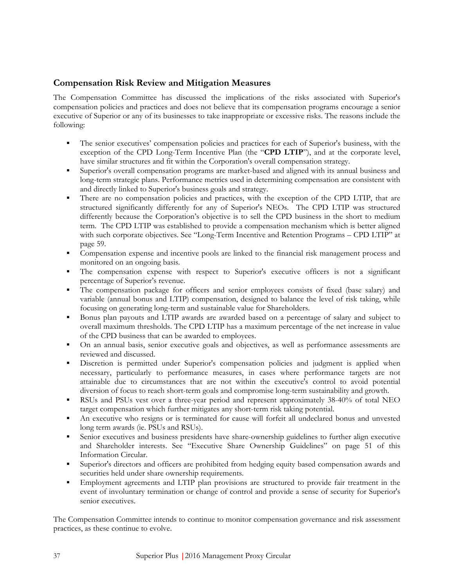### **Compensation Risk Review and Mitigation Measures**

The Compensation Committee has discussed the implications of the risks associated with Superior's compensation policies and practices and does not believe that its compensation programs encourage a senior executive of Superior or any of its businesses to take inappropriate or excessive risks. The reasons include the following:

- The senior executives' compensation policies and practices for each of Superior's business, with the exception of the CPD Long-Term Incentive Plan (the "**CPD LTIP**"), and at the corporate level, have similar structures and fit within the Corporation's overall compensation strategy.
- Superior's overall compensation programs are market-based and aligned with its annual business and long-term strategic plans. Performance metrics used in determining compensation are consistent with and directly linked to Superior's business goals and strategy.
- There are no compensation policies and practices, with the exception of the CPD LTIP, that are structured significantly differently for any of Superior's NEOs. The CPD LTIP was structured differently because the Corporation's objective is to sell the CPD business in the short to medium term. The CPD LTIP was established to provide a compensation mechanism which is better aligned with such corporate objectives. See "Long-Term Incentive and Retention Programs – CPD LTIP" at page 59.
- Compensation expense and incentive pools are linked to the financial risk management process and monitored on an ongoing basis.
- The compensation expense with respect to Superior's executive officers is not a significant percentage of Superior's revenue.
- The compensation package for officers and senior employees consists of fixed (base salary) and variable (annual bonus and LTIP) compensation, designed to balance the level of risk taking, while focusing on generating long-term and sustainable value for Shareholders.
- Bonus plan payouts and LTIP awards are awarded based on a percentage of salary and subject to overall maximum thresholds. The CPD LTIP has a maximum percentage of the net increase in value of the CPD business that can be awarded to employees.
- On an annual basis, senior executive goals and objectives, as well as performance assessments are reviewed and discussed.
- Discretion is permitted under Superior's compensation policies and judgment is applied when necessary, particularly to performance measures, in cases where performance targets are not attainable due to circumstances that are not within the executive's control to avoid potential diversion of focus to reach short-term goals and compromise long-term sustainability and growth.
- RSUs and PSUs vest over a three-year period and represent approximately 38-40% of total NEO target compensation which further mitigates any short-term risk taking potential.
- An executive who resigns or is terminated for cause will forfeit all undeclared bonus and unvested long term awards (ie. PSUs and RSUs).
- Senior executives and business presidents have share-ownership guidelines to further align executive and Shareholder interests. See "Executive Share Ownership Guidelines" on page 51 of this Information Circular.
- Superior's directors and officers are prohibited from hedging equity based compensation awards and securities held under share ownership requirements.
- Employment agreements and LTIP plan provisions are structured to provide fair treatment in the event of involuntary termination or change of control and provide a sense of security for Superior's senior executives.

The Compensation Committee intends to continue to monitor compensation governance and risk assessment practices, as these continue to evolve.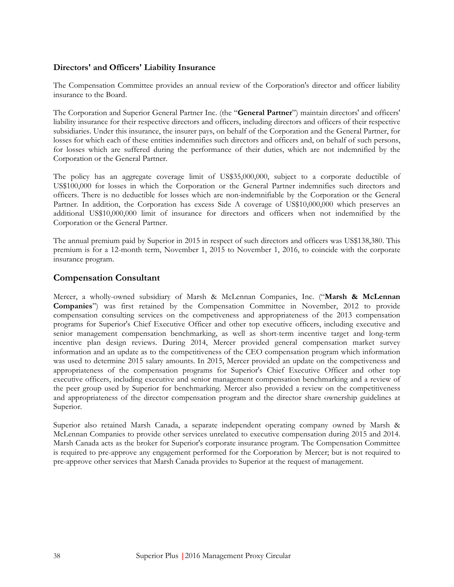### **Directors' and Officers' Liability Insurance**

The Compensation Committee provides an annual review of the Corporation's director and officer liability insurance to the Board.

The Corporation and Superior General Partner Inc. (the "**General Partner**") maintain directors' and officers' liability insurance for their respective directors and officers, including directors and officers of their respective subsidiaries. Under this insurance, the insurer pays, on behalf of the Corporation and the General Partner, for losses for which each of these entities indemnifies such directors and officers and, on behalf of such persons, for losses which are suffered during the performance of their duties, which are not indemnified by the Corporation or the General Partner.

The policy has an aggregate coverage limit of US\$35,000,000, subject to a corporate deductible of US\$100,000 for losses in which the Corporation or the General Partner indemnifies such directors and officers. There is no deductible for losses which are non-indemnifiable by the Corporation or the General Partner. In addition, the Corporation has excess Side A coverage of US\$10,000,000 which preserves an additional US\$10,000,000 limit of insurance for directors and officers when not indemnified by the Corporation or the General Partner.

The annual premium paid by Superior in 2015 in respect of such directors and officers was US\$138,380. This premium is for a 12-month term, November 1, 2015 to November 1, 2016, to coincide with the corporate insurance program.

### **Compensation Consultant**

Mercer, a wholly-owned subsidiary of Marsh & McLennan Companies, Inc. ("**Marsh & McLennan Companies**") was first retained by the Compensation Committee in November, 2012 to provide compensation consulting services on the competiveness and appropriateness of the 2013 compensation programs for Superior's Chief Executive Officer and other top executive officers, including executive and senior management compensation benchmarking, as well as short-term incentive target and long-term incentive plan design reviews. During 2014, Mercer provided general compensation market survey information and an update as to the competitiveness of the CEO compensation program which information was used to determine 2015 salary amounts. In 2015, Mercer provided an update on the competiveness and appropriateness of the compensation programs for Superior's Chief Executive Officer and other top executive officers, including executive and senior management compensation benchmarking and a review of the peer group used by Superior for benchmarking. Mercer also provided a review on the competitiveness and appropriateness of the director compensation program and the director share ownership guidelines at Superior.

Superior also retained Marsh Canada, a separate independent operating company owned by Marsh & McLennan Companies to provide other services unrelated to executive compensation during 2015 and 2014. Marsh Canada acts as the broker for Superior's corporate insurance program. The Compensation Committee is required to pre-approve any engagement performed for the Corporation by Mercer; but is not required to pre-approve other services that Marsh Canada provides to Superior at the request of management.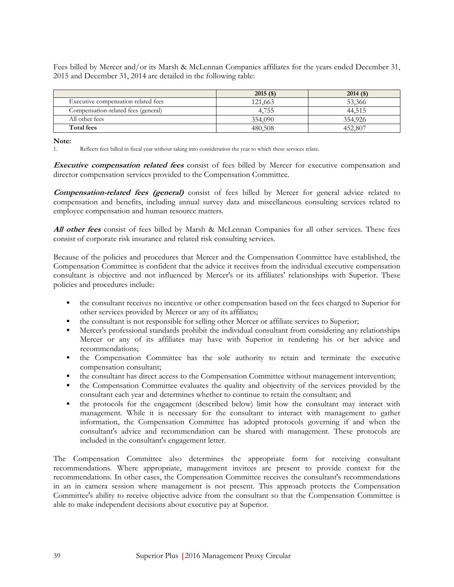Fees billed by Mercer and/or its Marsh & McLennan Companies affiliates for the years ended December 31, 2015 and December 31, 2014 are detailed in the following table:

|                                     | $2015($ \$) | $2014($ \$) |
|-------------------------------------|-------------|-------------|
| Executive compensation related fees | 121,663     | 53,366      |
| Compensation-related fees (general) | 4.755       | 44.515      |
| All other fees                      | 354,090     | 354,926     |
| Total fees                          | 480,508     | 452,807     |

**Note:** 

Reflects fees billed in fiscal year without taking into consideration the year to which these services relate.

**Executive compensation related fees** consist of fees billed by Mercer for executive compensation and director compensation services provided to the Compensation Committee.

**Compensation-related fees (general)** consist of fees billed by Mercer for general advice related to compensation and benefits, including annual survey data and miscellaneous consulting services related to employee compensation and human resource matters.

**All other fees** consist of fees billed by Marsh & McLennan Companies for all other services. These fees consist of corporate risk insurance and related risk consulting services.

Because of the policies and procedures that Mercer and the Compensation Committee have established, the Compensation Committee is confident that the advice it receives from the individual executive compensation consultant is objective and not influenced by Mercer's or its affiliates' relationships with Superior. These policies and procedures include:

- the consultant receives no incentive or other compensation based on the fees charged to Superior for other services provided by Mercer or any of its affiliates;
- the consultant is not responsible for selling other Mercer or affiliate services to Superior;
- Mercer's professional standards prohibit the individual consultant from considering any relationships Mercer or any of its affiliates may have with Superior in rendering his or her advice and recommendations;
- the Compensation Committee has the sole authority to retain and terminate the executive compensation consultant;
- the consultant has direct access to the Compensation Committee without management intervention;
- the Compensation Committee evaluates the quality and objectivity of the services provided by the consultant each year and determines whether to continue to retain the consultant; and
- the protocols for the engagement (described below) limit how the consultant may interact with management. While it is necessary for the consultant to interact with management to gather information, the Compensation Committee has adopted protocols governing if and when the consultant's advice and recommendation can be shared with management. These protocols are included in the consultant's engagement letter.

The Compensation Committee also determines the appropriate form for receiving consultant recommendations. Where appropriate, management invitees are present to provide context for the recommendations. In other cases, the Compensation Committee receives the consultant's recommendations in an in camera session where management is not present. This approach protects the Compensation Committee's ability to receive objective advice from the consultant so that the Compensation Committee is able to make independent decisions about executive pay at Superior.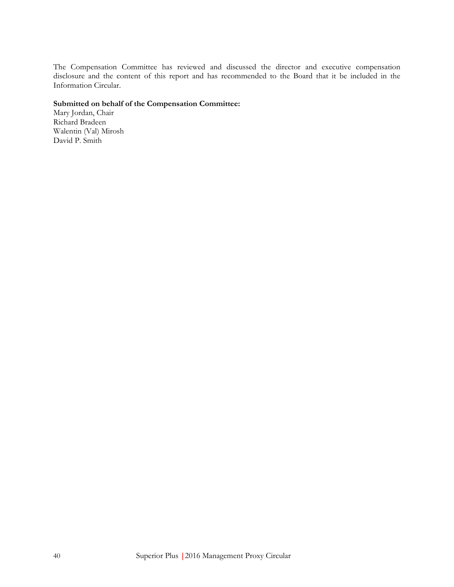The Compensation Committee has reviewed and discussed the director and executive compensation disclosure and the content of this report and has recommended to the Board that it be included in the Information Circular.

### **Submitted on behalf of the Compensation Committee:**

Mary Jordan, Chair Richard Bradeen Walentin (Val) Mirosh David P. Smith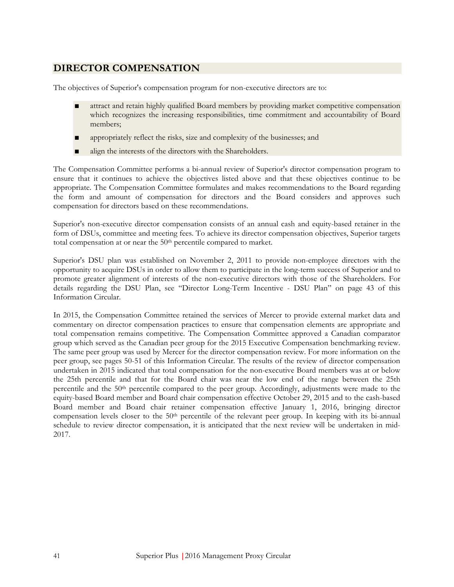## **DIRECTOR COMPENSATION**

The objectives of Superior's compensation program for non-executive directors are to:

- attract and retain highly qualified Board members by providing market competitive compensation which recognizes the increasing responsibilities, time commitment and accountability of Board members;
- appropriately reflect the risks, size and complexity of the businesses; and
- align the interests of the directors with the Shareholders.

The Compensation Committee performs a bi-annual review of Superior's director compensation program to ensure that it continues to achieve the objectives listed above and that these objectives continue to be appropriate. The Compensation Committee formulates and makes recommendations to the Board regarding the form and amount of compensation for directors and the Board considers and approves such compensation for directors based on these recommendations.

Superior's non-executive director compensation consists of an annual cash and equity-based retainer in the form of DSUs, committee and meeting fees. To achieve its director compensation objectives, Superior targets total compensation at or near the 50<sup>th</sup> percentile compared to market.

Superior's DSU plan was established on November 2, 2011 to provide non-employee directors with the opportunity to acquire DSUs in order to allow them to participate in the long-term success of Superior and to promote greater alignment of interests of the non-executive directors with those of the Shareholders. For details regarding the DSU Plan, see "Director Long-Term Incentive - DSU Plan" on page 43 of this Information Circular.

In 2015, the Compensation Committee retained the services of Mercer to provide external market data and commentary on director compensation practices to ensure that compensation elements are appropriate and total compensation remains competitive. The Compensation Committee approved a Canadian comparator group which served as the Canadian peer group for the 2015 Executive Compensation benchmarking review. The same peer group was used by Mercer for the director compensation review. For more information on the peer group, see pages 50-51 of this Information Circular. The results of the review of director compensation undertaken in 2015 indicated that total compensation for the non-executive Board members was at or below the 25th percentile and that for the Board chair was near the low end of the range between the 25th percentile and the 50th percentile compared to the peer group. Accordingly, adjustments were made to the equity-based Board member and Board chair compensation effective October 29, 2015 and to the cash-based Board member and Board chair retainer compensation effective January 1, 2016, bringing director compensation levels closer to the 50<sup>th</sup> percentile of the relevant peer group. In keeping with its bi-annual schedule to review director compensation, it is anticipated that the next review will be undertaken in mid-2017.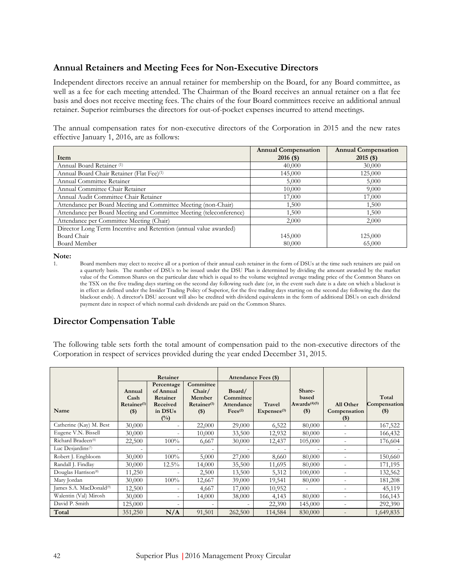### **Annual Retainers and Meeting Fees for Non-Executive Directors**

Independent directors receive an annual retainer for membership on the Board, for any Board committee, as well as a fee for each meeting attended. The Chairman of the Board receives an annual retainer on a flat fee basis and does not receive meeting fees. The chairs of the four Board committees receive an additional annual retainer. Superior reimburses the directors for out-of-pocket expenses incurred to attend meetings.

The annual compensation rates for non-executive directors of the Corporation in 2015 and the new rates effective January 1, 2016, are as follows:

|                                                                     | <b>Annual Compensation</b> | <b>Annual Compensation</b> |
|---------------------------------------------------------------------|----------------------------|----------------------------|
| Item                                                                | $2016($ \$)                | $2015($ \$)                |
| Annual Board Retainer <sup>(1)</sup>                                | 40,000                     | 30,000                     |
| Annual Board Chair Retainer (Flat Fee) <sup>(1)</sup>               | 145,000                    | 125,000                    |
| Annual Committee Retainer                                           | 5,000                      | 5,000                      |
| Annual Committee Chair Retainer                                     | 10,000                     | 9,000                      |
| Annual Audit Committee Chair Retainer                               | 17,000                     | 17,000                     |
| Attendance per Board Meeting and Committee Meeting (non-Chair)      | 1.500                      | 1,500                      |
| Attendance per Board Meeting and Committee Meeting (teleconference) | 1,500                      | 1,500                      |
| Attendance per Committee Meeting (Chair)                            | 2,000                      | 2,000                      |
| Director Long Term Incentive and Retention (annual value awarded)   |                            |                            |
| Board Chair                                                         | 145,000                    | 125,000                    |
| Board Member                                                        | 80,000                     | 65,000                     |

Note:

1. Board members may elect to receive all or a portion of their annual cash retainer in the form of DSUs at the time such retainers are paid on a quarterly basis. The number of DSUs to be issued under the DSU Plan is determined by dividing the amount awarded by the market value of the Common Shares on the particular date which is equal to the volume weighted average trading price of the Common Shares on the TSX on the five trading days starting on the second day following such date (or, in the event such date is a date on which a blackout is in effect as defined under the Insider Trading Policy of Superior, for the five trading days starting on the second day following the date the blackout ends). A director's DSU account will also be credited with dividend equivalents in the form of additional DSUs on each dividend payment date in respect of which normal cash dividends are paid on the Common Shares.

## **Director Compensation Table**

The following table sets forth the total amount of compensation paid to the non-executive directors of the Corporation in respect of services provided during the year ended December 31, 2015.

|                                     | Retainer                                      |                                                                      |                                                            | <b>Attendance Fees (\$)</b>                              |                                  |                                              |                                      |                                |
|-------------------------------------|-----------------------------------------------|----------------------------------------------------------------------|------------------------------------------------------------|----------------------------------------------------------|----------------------------------|----------------------------------------------|--------------------------------------|--------------------------------|
| Name                                | Annual<br>Cash<br>$Retainer^{(1)}$<br>$($ \$) | Percentage<br>of Annual<br>Retainer<br>Received<br>in DSUs<br>$(\%)$ | Committee<br>Chair/<br>Member<br>$Retainer^{(1)}$<br>$($)$ | Board/<br>Committee<br>Attendance<br>$\text{Fees}^{(2)}$ | <b>Travel</b><br>$Express^{(3)}$ | Share-<br>based<br>Awards $(4)(5)$<br>$(\$)$ | All Other<br>Compensation<br>$($ \$) | Total<br>Compensation<br>$($)$ |
| Catherine (Kay) M. Best             | 30,000                                        |                                                                      | 22,000                                                     | 29,000                                                   | 6,522                            | 80,000                                       |                                      | 167,522                        |
| Eugene V.N. Bissell                 | 30,000                                        |                                                                      | 10,000                                                     | 33,500                                                   | 12,932                           | 80,000                                       |                                      | 166,432                        |
| Richard Bradeen <sup>(6)</sup>      | 22,500                                        | $100\%$                                                              | 6,667                                                      | 30,000                                                   | 12,437                           | 105,000                                      |                                      | 176,604                        |
| Luc Desjardins <sup>(7)</sup>       |                                               |                                                                      |                                                            |                                                          |                                  |                                              | $\overline{\phantom{a}}$             |                                |
| Robert J. Engbloom                  | 30,000                                        | $100\%$                                                              | 5,000                                                      | 27,000                                                   | 8,660                            | 80,000                                       |                                      | 150,660                        |
| Randall J. Findlay                  | 30,000                                        | $12.5\%$                                                             | 14,000                                                     | 35,500                                                   | 11,695                           | 80,000                                       |                                      | 171,195                        |
| Douglas Harrison <sup>(8)</sup>     | 11,250                                        | $\overline{\phantom{a}}$                                             | 2,500                                                      | 13,500                                                   | 5,312                            | 100,000                                      | $\overline{\phantom{a}}$             | 132,562                        |
| Mary Jordan                         | 30,000                                        | $100\%$                                                              | 12,667                                                     | 39,000                                                   | 19,541                           | 80,000                                       | $\overline{\phantom{a}}$             | 181,208                        |
| James S.A. MacDonald <sup>(9)</sup> | 12,500                                        | $\overline{\phantom{a}}$                                             | 4,667                                                      | 17,000                                                   | 10,952                           |                                              | $\overline{\phantom{a}}$             | 45,119                         |
| Walentin (Val) Mirosh               | 30,000                                        | $\overline{\phantom{a}}$                                             | 14,000                                                     | 38,000                                                   | 4,143                            | 80,000                                       | $\overline{\phantom{a}}$             | 166,143                        |
| David P. Smith                      | 125,000                                       |                                                                      |                                                            |                                                          | 22,390                           | 145,000                                      | $\overline{\phantom{a}}$             | 292,390                        |
| Total                               | 351,250                                       | N/A                                                                  | 91,501                                                     | 262,500                                                  | 114,584                          | 830,000                                      |                                      | 1,649,835                      |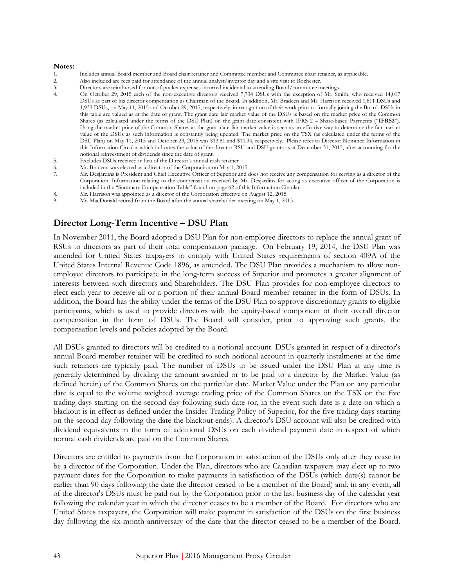#### **Notes:**

- 1. Includes annual Board member and Board chair retainer and Committee member and Committee chair retainer, as applicable.<br>2. Also included are fees paid for attendance of the annual analyst/investor day and a site visit t
- 2. Also included are fees paid for attendance of the annual analyst/investor day and a site visit to Rochester.
- 3. Directors are reimbursed for out-of-pocket expenses incurred incidental to attending Board/committee meetings.<br>4. On October 29, 2015 each of the non-executive directors received 7,734 DSUs with the exception of Mr. Sn
- 4. On October 29, 2015 each of the non-executive directors received 7,734 DSUs with the exception of Mr. Smith, who received 14,017 DSUs as part of his director compensation as Chairman of the Board. In addition, Mr. Bradeen and Mr. Harrison received 1,811 DSUs and 1,933 DSUs, on May 11, 2015 and October 29, 2015, respectively, in recognition of their work prior to formally joining the Board. DSUs in this table are valued as at the date of grant. The grant date fair market value of the DSUs is based on the market price of the Common Shares (as calculated under the terms of the DSU Plan) on the grant date consistent with IFRS 2 – Share-based Payments ("**IFRS2**"). Using the market price of the Common Shares as the grant date fair market value is seen as an effective way to determine the fair market value of the DSUs as such information is constantly being updated. The market price on the TSX (as calculated under the terms of the DSU Plan) on May 11, 2015 and October 29, 2015 was \$13.81 and \$10.34, respectively. Please refer to Director Nominee Information in this Information Circular which indicates the value of the director RSU and DSU grants as at December 31, 2015, after accounting for the notional reinvestment of dividends since the date of grant.
- 5. Excludes DSUs received in lieu of the Director's annual cash retainer
- 6. Mr. Bradeen was elected as a director of the Corporation on May 1, 2015.
- 7. Mr. Desjardins is President and Chief Executive Officer of Superior and does not receive any compensation for serving as a director of the Corporation. Information relating to the compensation received by Mr. Desjardins for acting as executive officer of the Corporation is included in the "Summary Compensation Table" found on page 62 of this Information Circular.
- 8. Mr. Harrison was appointed as a director of the Corporation effective on August 12, 2015.
- 9. Mr. MacDonald retired from the Board after the annual shareholder meeting on May 1, 2015.

### **Director Long-Term Incentive – DSU Plan**

In November 2011, the Board adopted a DSU Plan for non-employee directors to replace the annual grant of RSUs to directors as part of their total compensation package. On February 19, 2014, the DSU Plan was amended for United States taxpayers to comply with United States requirements of section 409A of the United States Internal Revenue Code 1896, as amended. The DSU Plan provides a mechanism to allow nonemployee directors to participate in the long-term success of Superior and promotes a greater alignment of interests between such directors and Shareholders. The DSU Plan provides for non-employee directors to elect each year to receive all or a portion of their annual Board member retainer in the form of DSUs. In addition, the Board has the ability under the terms of the DSU Plan to approve discretionary grants to eligible participants, which is used to provide directors with the equity-based component of their overall director compensation in the form of DSUs. The Board will consider, prior to approving such grants, the compensation levels and policies adopted by the Board.

All DSUs granted to directors will be credited to a notional account. DSUs granted in respect of a director's annual Board member retainer will be credited to such notional account in quarterly instalments at the time such retainers are typically paid. The number of DSUs to be issued under the DSU Plan at any time is generally determined by dividing the amount awarded or to be paid to a director by the Market Value (as defined herein) of the Common Shares on the particular date. Market Value under the Plan on any particular date is equal to the volume weighted average trading price of the Common Shares on the TSX on the five trading days starting on the second day following such date (or, in the event such date is a date on which a blackout is in effect as defined under the Insider Trading Policy of Superior, for the five trading days starting on the second day following the date the blackout ends). A director's DSU account will also be credited with dividend equivalents in the form of additional DSUs on each dividend payment date in respect of which normal cash dividends are paid on the Common Shares.

Directors are entitled to payments from the Corporation in satisfaction of the DSUs only after they cease to be a director of the Corporation. Under the Plan, directors who are Canadian taxpayers may elect up to two payment dates for the Corporation to make payments in satisfaction of the DSUs (which date(s) cannot be earlier than 90 days following the date the director ceased to be a member of the Board) and, in any event, all of the director's DSUs must be paid out by the Corporation prior to the last business day of the calendar year following the calendar year in which the director ceases to be a member of the Board. For directors who are United States taxpayers, the Corporation will make payment in satisfaction of the DSUs on the first business day following the six-month anniversary of the date that the director ceased to be a member of the Board.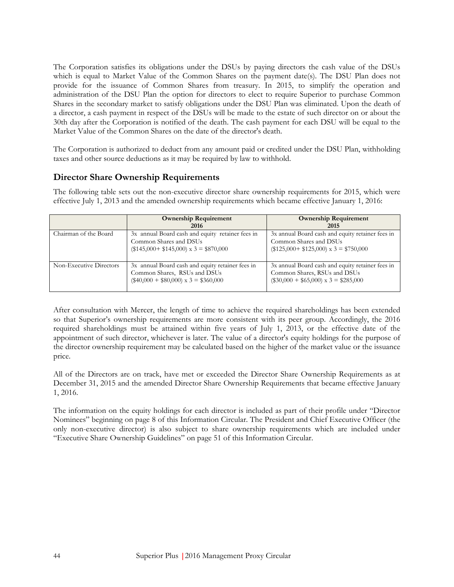The Corporation satisfies its obligations under the DSUs by paying directors the cash value of the DSUs which is equal to Market Value of the Common Shares on the payment date(s). The DSU Plan does not provide for the issuance of Common Shares from treasury. In 2015, to simplify the operation and administration of the DSU Plan the option for directors to elect to require Superior to purchase Common Shares in the secondary market to satisfy obligations under the DSU Plan was eliminated. Upon the death of a director, a cash payment in respect of the DSUs will be made to the estate of such director on or about the 30th day after the Corporation is notified of the death. The cash payment for each DSU will be equal to the Market Value of the Common Shares on the date of the director's death.

The Corporation is authorized to deduct from any amount paid or credited under the DSU Plan, withholding taxes and other source deductions as it may be required by law to withhold.

### **Director Share Ownership Requirements**

The following table sets out the non-executive director share ownership requirements for 2015, which were effective July 1, 2013 and the amended ownership requirements which became effective January 1, 2016:

|                         | <b>Ownership Requirement</b>                                                                                                     | <b>Ownership Requirement</b>                                                                                                     |
|-------------------------|----------------------------------------------------------------------------------------------------------------------------------|----------------------------------------------------------------------------------------------------------------------------------|
|                         | 2016                                                                                                                             | 2015                                                                                                                             |
| Chairman of the Board   | 3x annual Board cash and equity retainer fees in<br>Common Shares and DSUs<br>$($145,000 + $145,000) \times 3 = $870,000$        | 3x annual Board cash and equity retainer fees in<br>Common Shares and DSUs<br>$($125,000 + $125,000) \times 3 = $750,000$        |
| Non-Executive Directors | 3x annual Board cash and equity retainer fees in<br>Common Shares, RSUs and DSUs<br>$(\$40,000 + \$80,000) \times 3 = \$360,000$ | 3x annual Board cash and equity retainer fees in<br>Common Shares, RSUs and DSUs<br>$(\$30,000 + \$65,000) \times 3 = \$285,000$ |

After consultation with Mercer, the length of time to achieve the required shareholdings has been extended so that Superior's ownership requirements are more consistent with its peer group. Accordingly, the 2016 required shareholdings must be attained within five years of July 1, 2013, or the effective date of the appointment of such director, whichever is later. The value of a director's equity holdings for the purpose of the director ownership requirement may be calculated based on the higher of the market value or the issuance price.

All of the Directors are on track, have met or exceeded the Director Share Ownership Requirements as at December 31, 2015 and the amended Director Share Ownership Requirements that became effective January 1, 2016.

The information on the equity holdings for each director is included as part of their profile under "Director Nominees" beginning on page 8 of this Information Circular. The President and Chief Executive Officer (the only non-executive director) is also subject to share ownership requirements which are included under "Executive Share Ownership Guidelines" on page 51 of this Information Circular.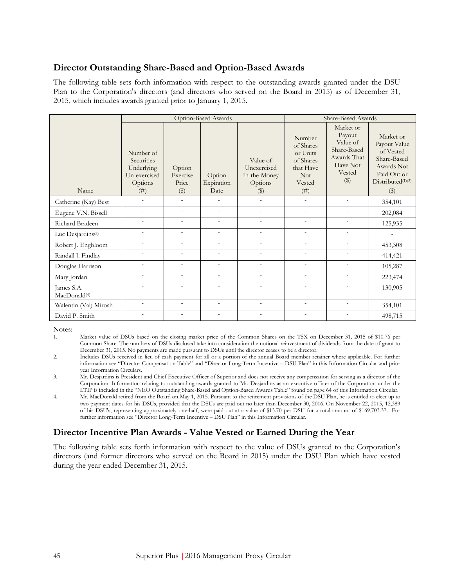## **Director Outstanding Share-Based and Option-Based Awards**

The following table sets forth information with respect to the outstanding awards granted under the DSU Plan to the Corporation's directors (and directors who served on the Board in 2015) as of December 31, 2015, which includes awards granted prior to January 1, 2015.

|                                        |                                                                            |                                                           | Option-Based Awards          |                                                                                    | Share-Based Awards                                                                          |                                                                                                                                            |                                                                                                                               |
|----------------------------------------|----------------------------------------------------------------------------|-----------------------------------------------------------|------------------------------|------------------------------------------------------------------------------------|---------------------------------------------------------------------------------------------|--------------------------------------------------------------------------------------------------------------------------------------------|-------------------------------------------------------------------------------------------------------------------------------|
| Name                                   | Number of<br>Securities<br>Underlying<br>Un-exercised<br>Options<br>$(\#)$ | Option<br>Exercise<br>Price<br>$\left( \mathbb{S}\right)$ | Option<br>Expiration<br>Date | Value of<br>Unexercised<br>In-the-Money<br>Options<br>$\left( \frac{c}{2} \right)$ | Number<br>of Shares<br>or Units<br>of Shares<br>that Have<br><b>Not</b><br>Vested<br>$(\#)$ | Market or<br>Payout<br>Value of<br>Share-Based<br>Awards That<br>Have Not<br>Vested<br>$\left( \begin{matrix} 5 \\ 1 \end{matrix} \right)$ | Market or<br>Payout Value<br>of Vested<br>Share-Based<br>Awards Not<br>Paid Out or<br>Distributed <sup>(1)(2)</sup><br>$(\$)$ |
| Catherine (Kay) Best                   | $\overline{a}$                                                             | $\overline{\phantom{a}}$                                  | $\overline{a}$               | $\overline{a}$                                                                     | $\overline{\phantom{a}}$                                                                    | $\overline{\phantom{0}}$                                                                                                                   | 354,101                                                                                                                       |
| Eugene V.N. Bissell                    | $\overline{a}$                                                             | $\overline{\phantom{a}}$                                  | $\overline{\phantom{a}}$     | $\overline{\phantom{a}}$                                                           | $\sim$                                                                                      | $\overline{a}$                                                                                                                             | 202,084                                                                                                                       |
| Richard Bradeen                        | $\overline{a}$                                                             | $\overline{a}$                                            | $\overline{a}$               | $\overline{\phantom{a}}$                                                           | $\overline{\phantom{a}}$                                                                    |                                                                                                                                            | 125,935                                                                                                                       |
| Luc Desjardins(3)                      | $\overline{a}$                                                             | $\overline{a}$                                            | $\overline{a}$               | $\overline{a}$                                                                     | $\overline{a}$                                                                              |                                                                                                                                            |                                                                                                                               |
| Robert J. Engbloom                     |                                                                            | $\overline{a}$                                            | $\overline{a}$               | L,                                                                                 | $\overline{\phantom{a}}$                                                                    |                                                                                                                                            | 453,308                                                                                                                       |
| Randall J. Findlay                     | $\overline{a}$                                                             | $\overline{\phantom{a}}$                                  | $\overline{a}$               | $\overline{a}$                                                                     | $\overline{a}$                                                                              | $\overline{\phantom{0}}$                                                                                                                   | 414,421                                                                                                                       |
| Douglas Harrison                       | $\overline{a}$                                                             | $\overline{\phantom{a}}$                                  | $\overline{a}$               | $\overline{\phantom{a}}$                                                           | $\overline{\phantom{a}}$                                                                    | $\overline{\phantom{0}}$                                                                                                                   | 105,287                                                                                                                       |
| Mary Jordan                            | $\overline{a}$                                                             | $\overline{a}$                                            | $\overline{a}$               | $\overline{\phantom{a}}$                                                           | $\overline{\phantom{a}}$                                                                    | $\overline{\phantom{0}}$                                                                                                                   | 223,474                                                                                                                       |
| James S.A.<br>MacDonald <sup>(4)</sup> |                                                                            |                                                           | $\overline{a}$               | L,                                                                                 | $\overline{a}$                                                                              |                                                                                                                                            | 130,905                                                                                                                       |
| Walentin (Val) Mirosh                  | $\overline{\phantom{a}}$                                                   | $\overline{\phantom{a}}$                                  | $\overline{\phantom{a}}$     | $\overline{\phantom{a}}$                                                           | $\overline{\phantom{a}}$                                                                    | $\overline{\phantom{0}}$                                                                                                                   | 354,101                                                                                                                       |
| David P. Smith                         |                                                                            | $\overline{\phantom{a}}$                                  | $\overline{\phantom{0}}$     | ۰                                                                                  | $\overline{\phantom{0}}$                                                                    |                                                                                                                                            | 498,715                                                                                                                       |

Notes:

1. Market value of DSUs based on the closing market price of the Common Shares on the TSX on December 31, 2015 of \$10.76 per Common Share. The numbers of DSUs disclosed take into consideration the notional reinvestment of dividends from the date of grant to December 31, 2015. No payments are made pursuant to DSUs until the director ceases to be a director.

2. Includes DSUs received in lieu of cash payment for all or a portion of the annual Board member retainer where applicable. For further information see "Director Compensation Table" and "Director Long-Term Incentive – DSU Plan" in this Information Circular and prior year Information Circulars.

3. Mr. Desjardins is President and Chief Executive Officer of Superior and does not receive any compensation for serving as a director of the Corporation. Information relating to outstanding awards granted to Mr. Desjardins as an executive officer of the Corporation under the LTIP is included in the "NEO Outstanding Share-Based and Option-Based Awards Table" found on page 64 of this Information Circular.

4. Mr. MacDonald retired from the Board on May 1, 2015. Pursuant to the retirement provisions of the DSU Plan, he is entitled to elect up to two payment dates for his DSUs, provided that the DSUs are paid out no later than December 30, 2016. On November 22, 2015, 12,389 of his DSU's, representing approximately one-half, were paid out at a value of \$13.70 per DSU for a total amount of \$169,703.37. For further information see "Director Long-Term Incentive – DSU Plan" in this Information Circular.

## **Director Incentive Plan Awards - Value Vested or Earned During the Year**

The following table sets forth information with respect to the value of DSUs granted to the Corporation's directors (and former directors who served on the Board in 2015) under the DSU Plan which have vested during the year ended December 31, 2015.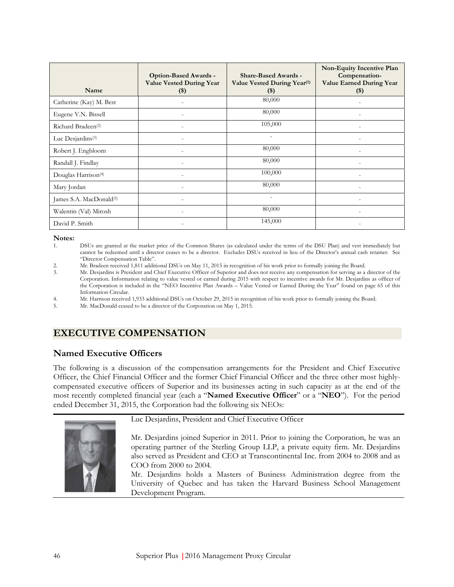| Name                                | <b>Option-Based Awards -</b><br><b>Value Vested During Year</b><br>$(\$)$ | <b>Share-Based Awards -</b><br>Value Vested During Year <sup>(1)</sup><br>$(\$)$ | Non-Equity Incentive Plan<br>Compensation-<br><b>Value Earned During Year</b><br>$(\$)$ |
|-------------------------------------|---------------------------------------------------------------------------|----------------------------------------------------------------------------------|-----------------------------------------------------------------------------------------|
| Catherine (Kay) M. Best             | $\overline{a}$                                                            | 80,000                                                                           | $\overline{a}$                                                                          |
| Eugene V.N. Bissell                 |                                                                           | 80,000                                                                           |                                                                                         |
| Richard Bradeen <sup>(2)</sup>      |                                                                           | 105,000                                                                          |                                                                                         |
| Luc Desjardins <sup>(3)</sup>       | $\overline{\phantom{a}}$                                                  |                                                                                  | $\overline{a}$                                                                          |
| Robert J. Engbloom                  | $\overline{a}$                                                            | 80,000                                                                           | $\overline{a}$                                                                          |
| Randall J. Findlay                  |                                                                           | 80,000                                                                           |                                                                                         |
| Douglas Harrison <sup>(4)</sup>     |                                                                           | 100,000                                                                          |                                                                                         |
| Mary Jordan                         |                                                                           | 80,000                                                                           |                                                                                         |
| James S.A. MacDonald <sup>(5)</sup> |                                                                           | $\overline{a}$                                                                   |                                                                                         |
| Walentin (Val) Mirosh               |                                                                           | 80,000                                                                           |                                                                                         |
| David P. Smith                      |                                                                           | 145,000                                                                          |                                                                                         |

#### **Notes:**

1. DSUs are granted at the market price of the Common Shares (as calculated under the terms of the DSU Plan) and vest immediately but cannot be redeemed until a director ceases to be a director. Excludes DSUs received in lieu of the Director's annual cash retainer. See "Director Compensation Table".

2. Mr. Bradeen received 1,811 additional DSUs on May 11, 2015 in recognition of his work prior to formally joining the Board.<br>Mr. Desiardins is President and Chief Executive Officer of Superior and does not receive any com

3. Mr. Desjardins is President and Chief Executive Officer of Superior and does not receive any compensation for serving as a director of the Corporation. Information relating to value vested or earned during 2015 with respect to incentive awards for Mr. Desjardins as officer of the Corporation is included in the "NEO Incentive Plan Awards – Value Vested or Earned During the Year" found on page 65 of this Information Circular.

4. Mr. Harrison received 1,933 additional DSUs on October 29, 2015 in recognition of his work prior to formally joining the Board.<br>Mr. MacDonald ceased to be a director of the Corporation on May 1, 2015

Mr. MacDonald ceased to be a director of the Corporation on May 1, 2015.

## **EXECUTIVE COMPENSATION**

### **Named Executive Officers**

The following is a discussion of the compensation arrangements for the President and Chief Executive Officer, the Chief Financial Officer and the former Chief Financial Officer and the three other most highlycompensated executive officers of Superior and its businesses acting in such capacity as at the end of the most recently completed financial year (each a "**Named Executive Officer**" or a "**NEO**"). For the period ended December 31, 2015, the Corporation had the following six NEOs:



Luc Desjardins, President and Chief Executive Officer

Mr. Desjardins joined Superior in 2011. Prior to joining the Corporation, he was an operating partner of the Sterling Group LLP, a private equity firm. Mr. Desjardins also served as President and CEO at Transcontinental Inc. from 2004 to 2008 and as COO from 2000 to 2004.

Mr. Desjardins holds a Masters of Business Administration degree from the University of Quebec and has taken the Harvard Business School Management Development Program.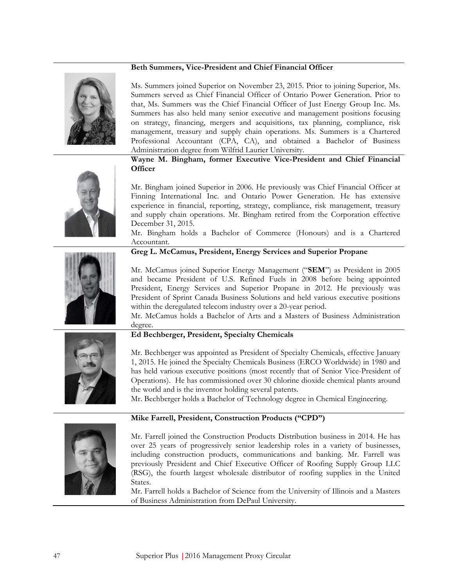#### **Beth Summers, Vice-President and Chief Financial Officer**



Ms. Summers joined Superior on November 23, 2015. Prior to joining Superior, Ms. Summers served as Chief Financial Officer of Ontario Power Generation. Prior to that, Ms. Summers was the Chief Financial Officer of Just Energy Group Inc. Ms. Summers has also held many senior executive and management positions focusing on strategy, financing, mergers and acquisitions, tax planning, compliance, risk management, treasury and supply chain operations. Ms. Summers is a Chartered Professional Accountant (CPA, CA), and obtained a Bachelor of Business Administration degree from Wilfrid Laurier University.

#### **Wayne M. Bingham, former Executive Vice-President and Chief Financial Officer**

Mr. Bingham joined Superior in 2006. He previously was Chief Financial Officer at Finning International Inc. and Ontario Power Generation. He has extensive experience in financial, reporting, strategy, compliance, risk management, treasury and supply chain operations. Mr. Bingham retired from the Corporation effective December 31, 2015.

Mr. Bingham holds a Bachelor of Commerce (Honours) and is a Chartered Accountant.

**Greg L. McCamus, President, Energy Services and Superior Propane** 

Mr. McCamus joined Superior Energy Management ("**SEM**") as President in 2005 and became President of U.S. Refined Fuels in 2008 before being appointed President, Energy Services and Superior Propane in 2012. He previously was President of Sprint Canada Business Solutions and held various executive positions within the deregulated telecom industry over a 20-year period.

Mr. McCamus holds a Bachelor of Arts and a Masters of Business Administration degree.

#### **Ed Bechberger, President, Specialty Chemicals**



Mr. Bechberger was appointed as President of Specialty Chemicals, effective January 1, 2015. He joined the Specialty Chemicals Business (ERCO Worldwide) in 1980 and has held various executive positions (most recently that of Senior Vice-President of Operations). He has commissioned over 30 chlorine dioxide chemical plants around the world and is the inventor holding several patents.

Mr. Bechberger holds a Bachelor of Technology degree in Chemical Engineering.

#### **Mike Farrell, President, Construction Products ("CPD")**



Mr. Farrell joined the Construction Products Distribution business in 2014. He has over 25 years of progressively senior leadership roles in a variety of businesses, including construction products, communications and banking. Mr. Farrell was previously President and Chief Executive Officer of Roofing Supply Group LLC (RSG), the fourth largest wholesale distributor of roofing supplies in the United States.

Mr. Farrell holds a Bachelor of Science from the University of Illinois and a Masters of Business Administration from DePaul University.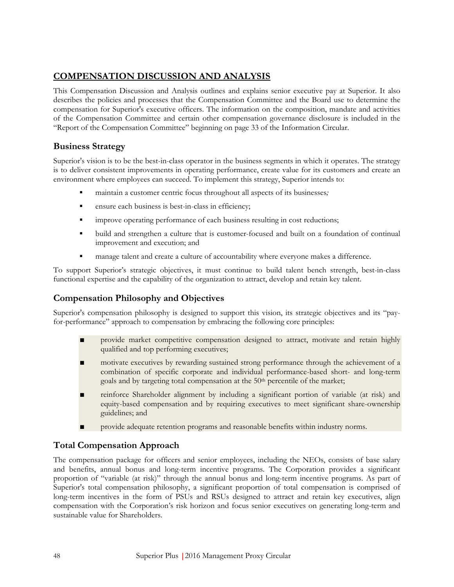## **COMPENSATION DISCUSSION AND ANALYSIS**

This Compensation Discussion and Analysis outlines and explains senior executive pay at Superior. It also describes the policies and processes that the Compensation Committee and the Board use to determine the compensation for Superior's executive officers. The information on the composition, mandate and activities of the Compensation Committee and certain other compensation governance disclosure is included in the "Report of the Compensation Committee" beginning on page 33 of the Information Circular.

## **Business Strategy**

Superior's vision is to be the best-in-class operator in the business segments in which it operates. The strategy is to deliver consistent improvements in operating performance, create value for its customers and create an environment where employees can succeed. To implement this strategy, Superior intends to:

- maintain a customer centric focus throughout all aspects of its businesses;
- **•** ensure each business is best-in-class in efficiency;
- **Example 1** improve operating performance of each business resulting in cost reductions;
- build and strengthen a culture that is customer-focused and built on a foundation of continual improvement and execution; and
- manage talent and create a culture of accountability where everyone makes a difference.

To support Superior's strategic objectives, it must continue to build talent bench strength, best-in-class functional expertise and the capability of the organization to attract, develop and retain key talent.

## **Compensation Philosophy and Objectives**

Superior's compensation philosophy is designed to support this vision, its strategic objectives and its "payfor-performance" approach to compensation by embracing the following core principles:

- provide market competitive compensation designed to attract, motivate and retain highly qualified and top performing executives;
- motivate executives by rewarding sustained strong performance through the achievement of a combination of specific corporate and individual performance-based short- and long-term goals and by targeting total compensation at the 50<sup>th</sup> percentile of the market;
- reinforce Shareholder alignment by including a significant portion of variable (at risk) and equity-based compensation and by requiring executives to meet significant share-ownership guidelines; and
- provide adequate retention programs and reasonable benefits within industry norms.

## **Total Compensation Approach**

The compensation package for officers and senior employees, including the NEOs, consists of base salary and benefits, annual bonus and long-term incentive programs. The Corporation provides a significant proportion of "variable (at risk)" through the annual bonus and long-term incentive programs. As part of Superior's total compensation philosophy, a significant proportion of total compensation is comprised of long-term incentives in the form of PSUs and RSUs designed to attract and retain key executives, align compensation with the Corporation's risk horizon and focus senior executives on generating long-term and sustainable value for Shareholders.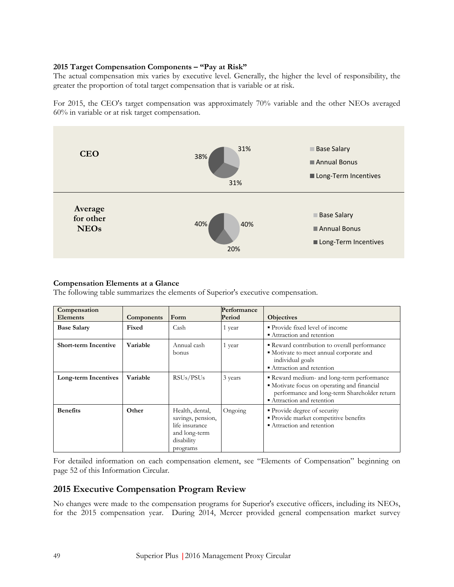#### **2015 Target Compensation Components – "Pay at Risk"**

The actual compensation mix varies by executive level. Generally, the higher the level of responsibility, the greater the proportion of total target compensation that is variable or at risk.

For 2015, the CEO's target compensation was approximately 70% variable and the other NEOs averaged 60% in variable or at risk target compensation.



#### **Compensation Elements at a Glance**

The following table summarizes the elements of Superior's executive compensation.

| Compensation<br>Elements    | Components | Form                                                                                              | Performance<br>Period | <b>Objectives</b>                                                                                                                                                   |
|-----------------------------|------------|---------------------------------------------------------------------------------------------------|-----------------------|---------------------------------------------------------------------------------------------------------------------------------------------------------------------|
| <b>Base Salary</b>          | Fixed      | Cash                                                                                              | 1 year                | • Provide fixed level of income<br>• Attraction and retention                                                                                                       |
| <b>Short-term Incentive</b> | Variable   | Annual cash<br>bonus                                                                              | 1 year                | Reward contribution to overall performance<br>· Motivate to meet annual corporate and<br>individual goals<br>Attraction and retention                               |
| Long-term Incentives        | Variable   | RSU <sub>s</sub> /PSU <sub>s</sub>                                                                | 3 years               | Reward medium- and long-term performance<br>• Motivate focus on operating and financial<br>performance and long-term Shareholder return<br>Attraction and retention |
| <b>Benefits</b>             | Other      | Health, dental,<br>savings, pension,<br>life insurance<br>and long-term<br>disability<br>programs | Ongoing               | • Provide degree of security<br>· Provide market competitive benefits<br>Attraction and retention                                                                   |

For detailed information on each compensation element, see "Elements of Compensation" beginning on page 52 of this Information Circular.

### **2015 Executive Compensation Program Review**

No changes were made to the compensation programs for Superior's executive officers, including its NEOs, for the 2015 compensation year. During 2014, Mercer provided general compensation market survey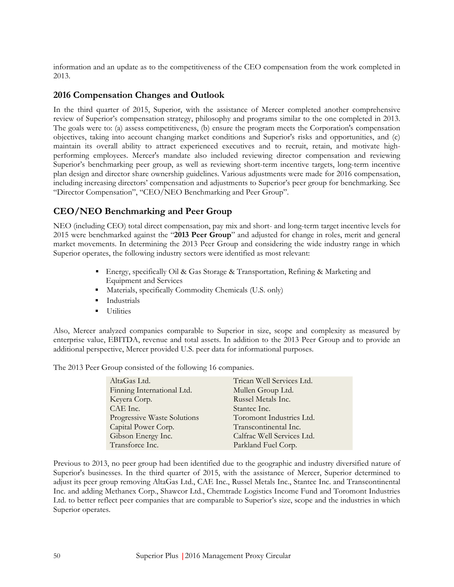information and an update as to the competitiveness of the CEO compensation from the work completed in 2013.

#### **2016 Compensation Changes and Outlook**

In the third quarter of 2015, Superior, with the assistance of Mercer completed another comprehensive review of Superior's compensation strategy, philosophy and programs similar to the one completed in 2013. The goals were to: (a) assess competitiveness, (b) ensure the program meets the Corporation's compensation objectives, taking into account changing market conditions and Superior's risks and opportunities, and (c) maintain its overall ability to attract experienced executives and to recruit, retain, and motivate highperforming employees. Mercer's mandate also included reviewing director compensation and reviewing Superior's benchmarking peer group, as well as reviewing short-term incentive targets, long-term incentive plan design and director share ownership guidelines. Various adjustments were made for 2016 compensation, including increasing directors' compensation and adjustments to Superior's peer group for benchmarking. See "Director Compensation", "CEO/NEO Benchmarking and Peer Group".

### **CEO/NEO Benchmarking and Peer Group**

NEO (including CEO) total direct compensation, pay mix and short- and long-term target incentive levels for 2015 were benchmarked against the "**2013 Peer Group**" and adjusted for change in roles, merit and general market movements. In determining the 2013 Peer Group and considering the wide industry range in which Superior operates, the following industry sectors were identified as most relevant:

- Energy, specifically Oil & Gas Storage & Transportation, Refining & Marketing and Equipment and Services
- **•** Materials, specifically Commodity Chemicals (U.S. only)
- **·** Industrials
- Utilities

Also, Mercer analyzed companies comparable to Superior in size, scope and complexity as measured by enterprise value, EBITDA, revenue and total assets. In addition to the 2013 Peer Group and to provide an additional perspective, Mercer provided U.S. peer data for informational purposes.

The 2013 Peer Group consisted of the following 16 companies.

| Trican Well Services Ltd.  |
|----------------------------|
| Mullen Group Ltd.          |
| Russel Metals Inc.         |
| Stantec Inc.               |
| Toromont Industries Ltd.   |
| Transcontinental Inc.      |
| Calfrac Well Services Ltd. |
| Parkland Fuel Corp.        |
|                            |

Previous to 2013, no peer group had been identified due to the geographic and industry diversified nature of Superior's businesses. In the third quarter of 2015, with the assistance of Mercer, Superior determined to adjust its peer group removing AltaGas Ltd., CAE Inc., Russel Metals Inc., Stantec Inc. and Transcontinental Inc. and adding Methanex Corp., Shawcor Ltd., Chemtrade Logistics Income Fund and Toromont Industries Ltd. to better reflect peer companies that are comparable to Superior's size, scope and the industries in which Superior operates.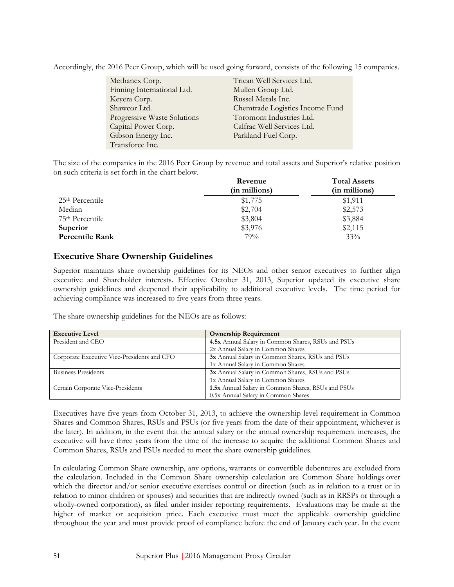Accordingly, the 2016 Peer Group, which will be used going forward, consists of the following 15 companies.

| Methanex Corp.              | Trican Well Services Ltd.       |
|-----------------------------|---------------------------------|
| Finning International Ltd.  | Mullen Group Ltd.               |
| Keyera Corp.                | Russel Metals Inc.              |
| Shawcor Ltd.                | Chemtrade Logistics Income Fund |
| Progressive Waste Solutions | Toromont Industries Ltd.        |
| Capital Power Corp.         | Calfrac Well Services Ltd.      |
| Gibson Energy Inc.          | Parkland Fuel Corp.             |
| Transforce Inc.             |                                 |

The size of the companies in the 2016 Peer Group by revenue and total assets and Superior's relative position on such criteria is set forth in the chart below.

|                             | Revenue       | <b>Total Assets</b> |
|-----------------------------|---------------|---------------------|
|                             | (in millions) | (in millions)       |
| 25 <sup>th</sup> Percentile | \$1,775       | \$1,911             |
| Median                      | \$2,704       | \$2,573             |
| 75 <sup>th</sup> Percentile | \$3,804       | \$3,884             |
| Superior                    | \$3,976       | \$2,115             |
| <b>Percentile Rank</b>      | 79%           | 33%                 |

### **Executive Share Ownership Guidelines**

Superior maintains share ownership guidelines for its NEOs and other senior executives to further align executive and Shareholder interests. Effective October 31, 2013, Superior updated its executive share ownership guidelines and deepened their applicability to additional executive levels. The time period for achieving compliance was increased to five years from three years.

The share ownership guidelines for the NEOs are as follows:

| <b>Executive Level</b>                      | <b>Ownership Requirement</b>                       |
|---------------------------------------------|----------------------------------------------------|
| President and CEO                           | 4.5x Annual Salary in Common Shares, RSUs and PSUs |
|                                             | 2x Annual Salary in Common Shares                  |
| Corporate Executive Vice-Presidents and CFO | 3x Annual Salary in Common Shares, RSUs and PSUs   |
|                                             | 1x Annual Salary in Common Shares                  |
| <b>Business Presidents</b>                  | 3x Annual Salary in Common Shares, RSUs and PSUs   |
|                                             | 1x Annual Salary in Common Shares                  |
| Certain Corporate Vice-Presidents           | 1.5x Annual Salary in Common Shares, RSUs and PSUs |
|                                             | 0.5x Annual Salary in Common Shares                |

Executives have five years from October 31, 2013, to achieve the ownership level requirement in Common Shares and Common Shares, RSUs and PSUs (or five years from the date of their appointment, whichever is the later). In addition, in the event that the annual salary or the annual ownership requirement increases, the executive will have three years from the time of the increase to acquire the additional Common Shares and Common Shares, RSUs and PSUs needed to meet the share ownership guidelines.

In calculating Common Share ownership, any options, warrants or convertible debentures are excluded from the calculation. Included in the Common Share ownership calculation are Common Share holdings over which the director and/or senior executive exercises control or direction (such as in relation to a trust or in relation to minor children or spouses) and securities that are indirectly owned (such as in RRSPs or through a wholly-owned corporation), as filed under insider reporting requirements. Evaluations may be made at the higher of market or acquisition price. Each executive must meet the applicable ownership guideline throughout the year and must provide proof of compliance before the end of January each year. In the event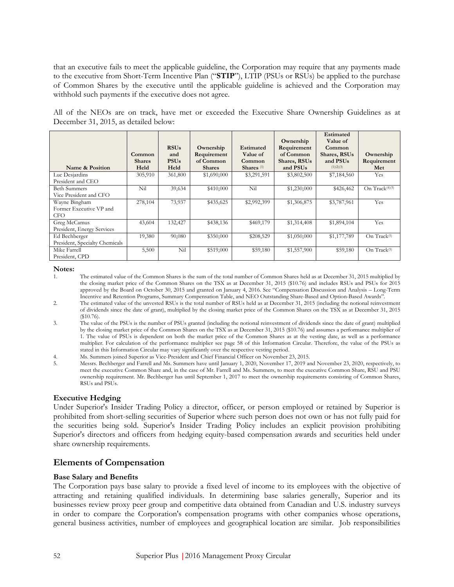that an executive fails to meet the applicable guideline, the Corporation may require that any payments made to the executive from Short-Term Incentive Plan ("**STIP**"), LTIP (PSUs or RSUs) be applied to the purchase of Common Shares by the executive until the applicable guideline is achieved and the Corporation may withhold such payments if the executive does not agree.

All of the NEOs are on track, have met or exceeded the Executive Share Ownership Guidelines as at December 31, 2015, as detailed below:

|                                                  | Common<br><b>Shares</b> | <b>RSUs</b><br>and<br><b>PSUs</b> | Ownership<br>Requirement<br>of Common | <b>Estimated</b><br>Value of<br>Common | Ownership<br>Requirement<br>of Common<br>Shares, RSUs | Estimated<br>Value of<br>Common<br>Shares, RSUs<br>and PSUs | Ownership<br>Requirement |
|--------------------------------------------------|-------------------------|-----------------------------------|---------------------------------------|----------------------------------------|-------------------------------------------------------|-------------------------------------------------------------|--------------------------|
| Name & Position                                  | Held                    | Held                              | <b>Shares</b>                         | Shares $(1)$                           | and PSUs                                              | (1)(2)(3)                                                   | Met                      |
| Luc Desjardins<br>President and CEO              | 305,910                 | 361,800                           | \$1,690,000                           | \$3,291,591                            | \$3,802,500                                           | \$7,184,560                                                 | Yes                      |
| <b>Beth Summers</b><br>Vice President and CFO    | Nil                     | 39,634                            | \$410,000                             | Nil                                    | \$1,230,000                                           | \$426,462                                                   | $On$ Track $(4)(5)$      |
| Wayne Bingham<br>Former Executive VP and<br>CFO. | 278,104                 | 73,937                            | \$435,625                             | \$2,992,399                            | \$1,306,875                                           | \$3,787,961                                                 | Yes                      |
| Greg McCamus<br>President, Energy Services       | 43,604                  | 132,427                           | \$438,136                             | \$469,179                              | \$1,314,408                                           | \$1,894,104                                                 | Yes                      |
| Ed Bechberger<br>President, Specialty Chemicals  | 19,380                  | 90,080                            | \$350,000                             | \$208,529                              | \$1,050,000                                           | \$1,177,789                                                 | On Track <sup>(5)</sup>  |
| Mike Farrell<br>President, CPD                   | 5,500                   | Nil                               | \$519,000                             | \$59,180                               | \$1,557,900                                           | \$59,180                                                    | On Track <sup>(5)</sup>  |

# Notes:

1. The estimated value of the Common Shares is the sum of the total number of Common Shares held as at December 31, 2015 multiplied by the closing market price of the Common Shares on the TSX as at December 31, 2015 (\$10.76) and includes RSUs and PSUs for 2015 approved by the Board on October 30, 2015 and granted on January 4, 2016. See "Compensation Discussion and Analysis – Long-Term Incentive and Retention Programs, Summary Compensation Table, and NEO Outstanding Share-Based and Option-Based Awards".

2. The estimated value of the unvested RSUs is the total number of RSUs held as at December 31, 2015 (including the notional reinvestment of dividends since the date of grant), multiplied by the closing market price of the Common Shares on the TSX as at December 31, 2015 (\$10.76).

3. The value of the PSUs is the number of PSUs granted (including the notional reinvestment of dividends since the date of grant) multiplied by the closing market price of the Common Shares on the TSX as at December 31, 2015 (\$10.76) and assumes a performance multiplier of 1. The value of PSUs is dependent on both the market price of the Common Shares as at the vesting date, as well as a performance multiplier. For calculation of the performance multiplier see page 58 of this Information Circular. Therefore, the value of the PSUs as stated in this Information Circular may vary significantly over the respective vesting period.

- 4. Ms. Summers joined Superior as Vice-President and Chief Financial Officer on November 23, 2015.
- 5. Messrs. Bechberger and Farrell and Ms. Summers have until January 1, 2020, November 17, 2019 and November 23, 2020, respectively, to meet the executive Common Share and, in the case of Mr. Farrell and Ms. Summers, to meet the executive Common Share, RSU and PSU ownership requirement. Mr. Bechberger has until September 1, 2017 to meet the ownership requirements consisting of Common Shares, RSUs and PSUs.

#### **Executive Hedging**

Under Superior's Insider Trading Policy a director, officer, or person employed or retained by Superior is prohibited from short-selling securities of Superior where such person does not own or has not fully paid for the securities being sold. Superior's Insider Trading Policy includes an explicit provision prohibiting Superior's directors and officers from hedging equity-based compensation awards and securities held under share ownership requirements.

### **Elements of Compensation**

#### **Base Salary and Benefits**

The Corporation pays base salary to provide a fixed level of income to its employees with the objective of attracting and retaining qualified individuals. In determining base salaries generally, Superior and its businesses review proxy peer group and competitive data obtained from Canadian and U.S. industry surveys in order to compare the Corporation's compensation programs with other companies whose operations, general business activities, number of employees and geographical location are similar. Job responsibilities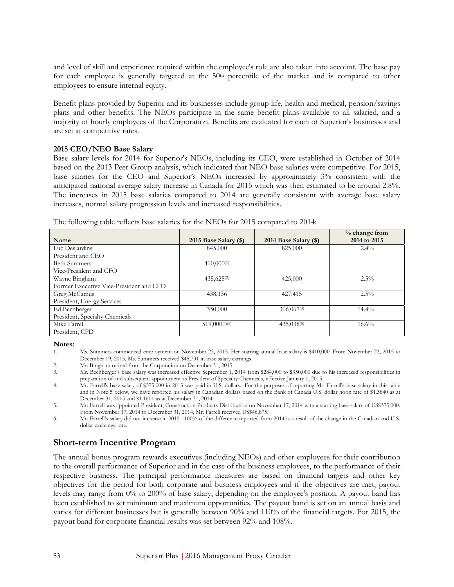and level of skill and experience required within the employee's role are also taken into account. The base pay for each employee is generally targeted at the  $50<sup>th</sup>$  percentile of the market and is compared to other employees to ensure internal equity.

Benefit plans provided by Superior and its businesses include group life, health and medical, pension/savings plans and other benefits. The NEOs participate in the same benefit plans available to all salaried, and a majority of hourly employees of the Corporation. Benefits are evaluated for each of Superior's businesses and are set at competitive rates.

#### **2015 CEO/NEO Base Salary**

Base salary levels for 2014 for Superior's NEOs, including its CEO, were established in October of 2014 based on the 2013 Peer Group analysis, which indicated that NEO base salaries were competitive. For 2015, base salaries for the CEO and Superior's NEOs increased by approximately 3% consistent with the anticipated national average salary increase in Canada for 2015 which was then estimated to be around 2.8%. The increases in 2015 base salaries compared to 2014 are generally consistent with average base salary increases, normal salary progression levels and increased responsibilities.

| Name                                    | 2015 Base Salary (\$) | 2014 Base Salary (\$) | $%$ change from<br>2014 to 2015 |
|-----------------------------------------|-----------------------|-----------------------|---------------------------------|
| Luc Desjardins                          | 845,000               | 825,000               | $2.4\%$                         |
| President and CEO                       |                       |                       |                                 |
| <b>Beth Summers</b>                     | $410,000^{(1)}$       |                       |                                 |
| Vice-President and CFO                  |                       |                       |                                 |
| Wayne Bingham                           | 435,625(2)            | 425,000               | $2.5\%$                         |
| Former Executive Vice-President and CFO |                       |                       |                                 |
| Greg McCamus                            | 438,136               | 427,415               | $2.5\%$                         |
| President, Energy Services              |                       |                       |                                 |
| Ed Bechberger                           | 350,000               | $306,067^{(3)}$       | $14.4\%$                        |
| President, Specialty Chemicals          |                       |                       |                                 |
| Mike Farrell                            | 519,000(4)(6)         | 435,038(5)            | $16.6\%$                        |
| President, CPD                          |                       |                       |                                 |

The following table reflects base salaries for the NEOs for 2015 compared to 2014:

#### **Notes:**

### **Short-term Incentive Program**

The annual bonus program rewards executives (including NEOs) and other employees for their contribution to the overall performance of Superior and in the case of the business employees, to the performance of their respective business. The principal performance measures are based on financial targets and other key objectives for the period for both corporate and business employees and if the objectives are met, payout levels may range from 0% to 200% of base salary, depending on the employee's position. A payout band has been established to set minimum and maximum opportunities. The payout band is set on an annual basis and varies for different businesses but is generally between 90% and 110% of the financial targets. For 2015, the payout band for corporate financial results was set between 92% and 108%.

<sup>1.</sup> Ms. Summers commenced employment on November 23, 2015. Her starting annual base salary is \$410,000. From November 23, 2015 to December 19, 2015, Ms. Summers received \$45,731 in base salary earnings.

<sup>2.</sup> Mr. Bingham retired from the Corporation on December 31, 2015.

<sup>3.</sup> Mr. Bechberger's base salary was increased effective September 1, 2014 from \$284,000 to \$350,000 due to his increased responsibilities in preparation of and subsequent appointment as President of Specialty Chemicals, effective January 1, 2015.

<sup>4.</sup> Mr. Farrell's base salary of \$375,000 in 2015 was paid in U.S. dollars. For the purposes of reporting Mr. Farrell's base salary in this table and in Note 5 below, we have reported his salary in Canadian dollars based on the Bank of Canada U.S. dollar noon rate of \$1.3840 as at December 31, 2015 and \$1.1601 as at December 31, 2014.

<sup>5.</sup> Mr. Farrell was appointed President, Construction Products Distribution on November 17, 2014 with a starting base salary of US\$375,000. From November 17, 2014 to December 31, 2014, Mr. Farrell received US\$46,875.

<sup>6.</sup> Mr. Farrell's salary did not increase in 2015. 100% of the difference reported from 2014 is a result of the change in the Canadian and U.S. dollar exchange rate.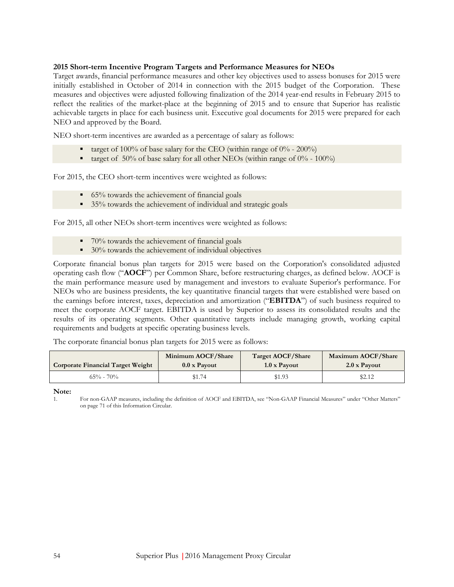#### **2015 Short-term Incentive Program Targets and Performance Measures for NEOs**

Target awards, financial performance measures and other key objectives used to assess bonuses for 2015 were initially established in October of 2014 in connection with the 2015 budget of the Corporation. These measures and objectives were adjusted following finalization of the 2014 year-end results in February 2015 to reflect the realities of the market-place at the beginning of 2015 and to ensure that Superior has realistic achievable targets in place for each business unit. Executive goal documents for 2015 were prepared for each NEO and approved by the Board.

NEO short-term incentives are awarded as a percentage of salary as follows:

- $\bullet$  target of 100% of base salary for the CEO (within range of 0% 200%)
- target of 50% of base salary for all other NEOs (within range of 0% 100%)

For 2015, the CEO short-term incentives were weighted as follows:

- 65% towards the achievement of financial goals
- 35% towards the achievement of individual and strategic goals

For 2015, all other NEOs short-term incentives were weighted as follows:

- 70% towards the achievement of financial goals
- 30% towards the achievement of individual objectives

Corporate financial bonus plan targets for 2015 were based on the Corporation's consolidated adjusted operating cash flow ("**AOCF**") per Common Share, before restructuring charges, as defined below. AOCF is the main performance measure used by management and investors to evaluate Superior's performance. For NEOs who are business presidents, the key quantitative financial targets that were established were based on the earnings before interest, taxes, depreciation and amortization ("**EBITDA**") of such business required to meet the corporate AOCF target. EBITDA is used by Superior to assess its consolidated results and the results of its operating segments. Other quantitative targets include managing growth, working capital requirements and budgets at specific operating business levels.

The corporate financial bonus plan targets for 2015 were as follows:

| <b>Corporate Financial Target Weight</b> | Minimum AOCF/Share  | Target AOCF/Share   | Maximum AOCF/Share |  |
|------------------------------------------|---------------------|---------------------|--------------------|--|
|                                          | $0.0 \times$ Payout | $1.0 \times$ Payout | 2.0 x Payout       |  |
| $65\% - 70\%$                            | \$1.74              | \$1.93              | \$2.12             |  |

**Note:** 

1. For non-GAAP measures, including the definition of AOCF and EBITDA, see "Non-GAAP Financial Measures" under "Other Matters" on page 71 of this Information Circular.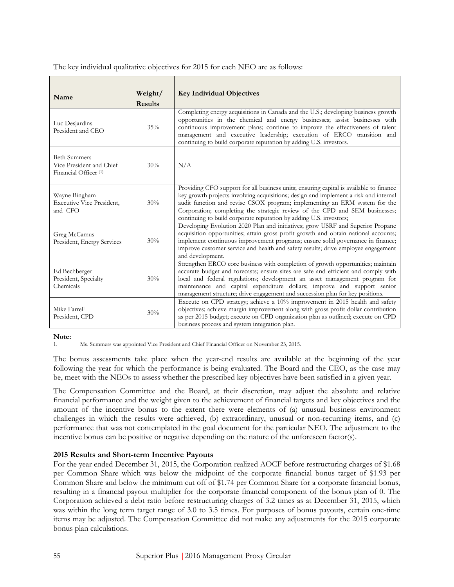| Name                                                                                | Weight/<br><b>Results</b> | <b>Key Individual Objectives</b>                                                                                                                                                                                                                                                                                                                                                                                  |
|-------------------------------------------------------------------------------------|---------------------------|-------------------------------------------------------------------------------------------------------------------------------------------------------------------------------------------------------------------------------------------------------------------------------------------------------------------------------------------------------------------------------------------------------------------|
| Luc Desjardins<br>President and CEO                                                 | 35%                       | Completing energy acquisitions in Canada and the U.S.; developing business growth<br>opportunities in the chemical and energy businesses; assist businesses with<br>continuous improvement plans; continue to improve the effectiveness of talent<br>management and executive leadership; execution of ERCO transition and<br>continuing to build corporate reputation by adding U.S. investors.                  |
| <b>Beth Summers</b><br>Vice President and Chief<br>Financial Officer <sup>(1)</sup> | 30%                       | N/A                                                                                                                                                                                                                                                                                                                                                                                                               |
| Wayne Bingham<br><b>Executive Vice President,</b><br>and CFO                        | 30%                       | Providing CFO support for all business units; ensuring capital is available to finance<br>key growth projects involving acquisitions; design and implement a risk and internal<br>audit function and revise CSOX program; implementing an ERM system for the<br>Corporation; completing the strategic review of the CPD and SEM businesses;<br>continuing to build corporate reputation by adding U.S. investors; |
| Greg McCamus<br>President, Energy Services                                          | 30%                       | Developing Evolution 2020 Plan and initiatives; grow USRF and Superior Propane<br>acquisition opportunities; attain gross profit growth and obtain national accounts;<br>implement continuous improvement programs; ensure solid governance in finance;<br>improve customer service and health and safety results; drive employee engagement<br>and development.                                                  |
| Ed Bechberger<br>President, Specialty<br>Chemicals                                  | 30%                       | Strengthen ERCO core business with completion of growth opportunities; maintain<br>accurate budget and forecasts; ensure sites are safe and efficient and comply with<br>local and federal regulations; development an asset management program for<br>maintenance and capital expenditure dollars; improve and support senior<br>management structure; drive engagement and succession plan for key positions.   |
| Mike Farrell<br>President, CPD                                                      | 30%                       | Execute on CPD strategy; achieve a 10% improvement in 2015 health and safety<br>objectives; achieve margin improvement along with gross profit dollar contribution<br>as per 2015 budget; execute on CPD organization plan as outlined; execute on CPD<br>business process and system integration plan.                                                                                                           |

The key individual qualitative objectives for 2015 for each NEO are as follows:

#### **Note:**

1. Ms. Summers was appointed Vice President and Chief Financial Officer on November 23, 2015.

The bonus assessments take place when the year-end results are available at the beginning of the year following the year for which the performance is being evaluated. The Board and the CEO, as the case may be, meet with the NEOs to assess whether the prescribed key objectives have been satisfied in a given year.

The Compensation Committee and the Board, at their discretion, may adjust the absolute and relative financial performance and the weight given to the achievement of financial targets and key objectives and the amount of the incentive bonus to the extent there were elements of (a) unusual business environment challenges in which the results were achieved, (b) extraordinary, unusual or non-recurring items, and (c) performance that was not contemplated in the goal document for the particular NEO. The adjustment to the incentive bonus can be positive or negative depending on the nature of the unforeseen factor(s).

#### **2015 Results and Short-term Incentive Payouts**

For the year ended December 31, 2015, the Corporation realized AOCF before restructuring charges of \$1.68 per Common Share which was below the midpoint of the corporate financial bonus target of \$1.93 per Common Share and below the minimum cut off of \$1.74 per Common Share for a corporate financial bonus, resulting in a financial payout multiplier for the corporate financial component of the bonus plan of 0. The Corporation achieved a debt ratio before restructuring charges of 3.2 times as at December 31, 2015, which was within the long term target range of 3.0 to 3.5 times. For purposes of bonus payouts, certain one-time items may be adjusted. The Compensation Committee did not make any adjustments for the 2015 corporate bonus plan calculations.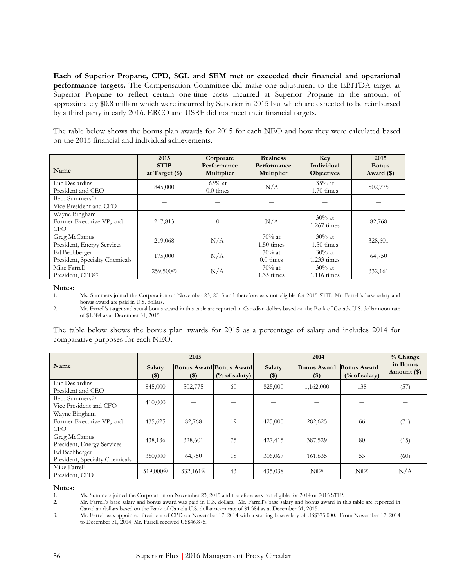**Each of Superior Propane, CPD, SGL and SEM met or exceeded their financial and operational performance targets.** The Compensation Committee did make one adjustment to the EBITDA target at Superior Propane to reflect certain one-time costs incurred at Superior Propane in the amount of approximately \$0.8 million which were incurred by Superior in 2015 but which are expected to be reimbursed by a third party in early 2016. ERCO and USRF did not meet their financial targets.

The table below shows the bonus plan awards for 2015 for each NEO and how they were calculated based on the 2015 financial and individual achievements.

| Name                                                  | 2015<br><b>STIP</b><br>at Target $(\$)$ | Corporate<br>Performance<br>Multiplier | <b>Business</b><br>Performance<br>Multiplier | Key<br>Individual<br><b>Objectives</b> | 2015<br><b>Bonus</b><br>Award $(\$)$ |
|-------------------------------------------------------|-----------------------------------------|----------------------------------------|----------------------------------------------|----------------------------------------|--------------------------------------|
| Luc Desjardins<br>President and CEO                   | 845,000                                 | $65\%$ at<br>$0.0$ times               | N/A                                          | $35\%$ at<br>$1.70 \text{ times}$      | 502,775                              |
| Beth Summers <sup>(1)</sup><br>Vice President and CFO |                                         |                                        |                                              |                                        |                                      |
| Wayne Bingham<br>Former Executive VP, and<br>CFO.     | 217,813                                 | $\Omega$                               | N/A                                          | $30\%$ at<br>$1.267$ times             | 82,768                               |
| Greg McCamus<br>President, Energy Services            | 219,068                                 | N/A                                    | $70\%$ at<br>$1.50 \text{ times}$            | $30\%$ at<br>$1.50 \text{ times}$      | 328,601                              |
| Ed Bechberger<br>President, Specialty Chemicals       | 175,000                                 | N/A                                    | $70\%$ at<br>$0.0$ times                     | $30\%$ at<br>1.233 times               | 64,750                               |
| Mike Farrell<br>President, CPD <sup>(2)</sup>         | 259,500(2)                              | N/A                                    | $70\%$ at<br>1.35 times                      | $30\%$ at<br>$1.116 \text{ times}$     | 332,161                              |

**Notes:** 

1. Ms. Summers joined the Corporation on November 23, 2015 and therefore was not eligible for 2015 STIP. Mr. Farrell's base salary and bonus award are paid in U.S. dollars.

2. Mr. Farrell's target and actual bonus award in this table are reported in Canadian dollars based on the Bank of Canada U.S. dollar noon rate of \$1.384 as at December 31, 2015.

The table below shows the bonus plan awards for 2015 as a percentage of salary and includes 2014 for comparative purposes for each NEO.

|                                                         | 2015            |                        |                                                    |                  | % Change                    |                                                |                         |
|---------------------------------------------------------|-----------------|------------------------|----------------------------------------------------|------------------|-----------------------------|------------------------------------------------|-------------------------|
| Name                                                    | Salary<br>$($)$ | $($ \$)                | <b>Bonus Award Bonus Award</b><br>$(\%$ of salary) | Salary<br>$(\$)$ | <b>Bonus Award</b><br>$($)$ | <b>Bonus Award</b><br>$\frac{0}{0}$ of salary) | in Bonus<br>Amount (\$) |
| Luc Desjardins<br>President and CEO                     | 845,000         | 502,775                | 60                                                 | 825,000          | 1,162,000                   | 138                                            | (57)                    |
| Beth Summers <sup>(1)</sup><br>Vice President and CFO   | 410,000         |                        |                                                    |                  |                             |                                                |                         |
| Wayne Bingham<br>Former Executive VP, and<br><b>CFO</b> | 435,625         | 82,768                 | 19                                                 | 425,000          | 282,625                     | 66                                             | (71)                    |
| Greg McCamus<br>President, Energy Services              | 438,136         | 328,601                | 75                                                 | 427,415          | 387,529                     | 80                                             | (15)                    |
| Ed Bechberger<br>President, Specialty Chemicals         | 350,000         | 64,750                 | 18                                                 | 306,067          | 161,635                     | 53                                             | (60)                    |
| Mike Farrell<br>President, CPD                          | 519,000(2)      | 332,161 <sup>(2)</sup> | 43                                                 | 435,038          | Nil <sup>(3)</sup>          | Nil <sup>(3)</sup>                             | N/A                     |

**Notes:** 

1. Ms. Summers joined the Corporation on November 23, 2015 and therefore was not eligible for 2014 or 2015 STIP.<br>2. Mr. Farrell's base salary and bonus award was paid in U.S. dollars. Mr. Farrell's base salary and bonus aw

2. Mr. Farrell's base salary and bonus award was paid in U.S. dollars. Mr. Farrell's base salary and bonus award in this table are reported in Canadian dollars based on the Bank of Canada U.S. dollar noon rate of \$1.384 as at December 31, 2015.

3. Mr. Farrell was appointed President of CPD on November 17, 2014 with a starting base salary of US\$375,000. From November 17, 2014 to December 31, 2014, Mr. Farrell received US\$46,875.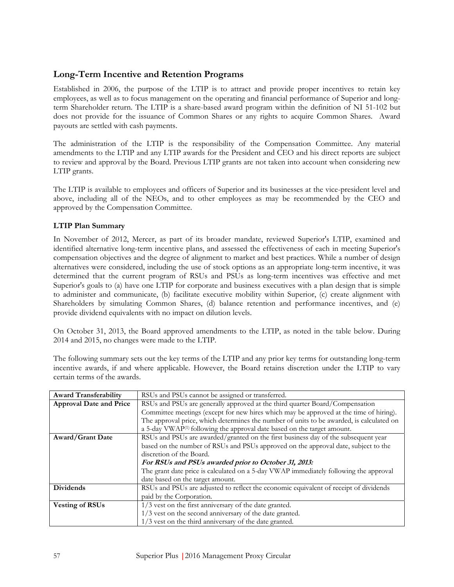#### **Long-Term Incentive and Retention Programs**

Established in 2006, the purpose of the LTIP is to attract and provide proper incentives to retain key employees, as well as to focus management on the operating and financial performance of Superior and longterm Shareholder return. The LTIP is a share-based award program within the definition of NI 51-102 but does not provide for the issuance of Common Shares or any rights to acquire Common Shares. Award payouts are settled with cash payments.

The administration of the LTIP is the responsibility of the Compensation Committee. Any material amendments to the LTIP and any LTIP awards for the President and CEO and his direct reports are subject to review and approval by the Board. Previous LTIP grants are not taken into account when considering new LTIP grants.

The LTIP is available to employees and officers of Superior and its businesses at the vice-president level and above, including all of the NEOs, and to other employees as may be recommended by the CEO and approved by the Compensation Committee.

#### **LTIP Plan Summary**

In November of 2012, Mercer, as part of its broader mandate, reviewed Superior's LTIP, examined and identified alternative long-term incentive plans, and assessed the effectiveness of each in meeting Superior's compensation objectives and the degree of alignment to market and best practices. While a number of design alternatives were considered, including the use of stock options as an appropriate long-term incentive, it was determined that the current program of RSUs and PSUs as long-term incentives was effective and met Superior's goals to (a) have one LTIP for corporate and business executives with a plan design that is simple to administer and communicate, (b) facilitate executive mobility within Superior, (c) create alignment with Shareholders by simulating Common Shares, (d) balance retention and performance incentives, and (e) provide dividend equivalents with no impact on dilution levels.

On October 31, 2013, the Board approved amendments to the LTIP, as noted in the table below. During 2014 and 2015, no changes were made to the LTIP.

The following summary sets out the key terms of the LTIP and any prior key terms for outstanding long-term incentive awards, if and where applicable. However, the Board retains discretion under the LTIP to vary certain terms of the awards.

| <b>Award Transferability</b>   | RSUs and PSUs cannot be assigned or transferred.                                         |  |  |  |  |  |  |  |
|--------------------------------|------------------------------------------------------------------------------------------|--|--|--|--|--|--|--|
| <b>Approval Date and Price</b> | RSUs and PSUs are generally approved at the third quarter Board/Compensation             |  |  |  |  |  |  |  |
|                                | Committee meetings (except for new hires which may be approved at the time of hiring).   |  |  |  |  |  |  |  |
|                                | The approval price, which determines the number of units to be awarded, is calculated on |  |  |  |  |  |  |  |
|                                | a 5-day VWAP <sup>(1)</sup> following the approval date based on the target amount.      |  |  |  |  |  |  |  |
| <b>Award/Grant Date</b>        | RSUs and PSUs are awarded/granted on the first business day of the subsequent year       |  |  |  |  |  |  |  |
|                                | based on the number of RSUs and PSUs approved on the approval date, subject to the       |  |  |  |  |  |  |  |
|                                | discretion of the Board.                                                                 |  |  |  |  |  |  |  |
|                                | For RSUs and PSUs awarded prior to October 31, 2013:                                     |  |  |  |  |  |  |  |
|                                | The grant date price is calculated on a 5-day VWAP immediately following the approval    |  |  |  |  |  |  |  |
|                                | date based on the target amount.                                                         |  |  |  |  |  |  |  |
| <b>Dividends</b>               | RSUs and PSUs are adjusted to reflect the economic equivalent of receipt of dividends    |  |  |  |  |  |  |  |
|                                | paid by the Corporation.                                                                 |  |  |  |  |  |  |  |
| <b>Vesting of RSUs</b>         | $1/3$ vest on the first anniversary of the date granted.                                 |  |  |  |  |  |  |  |
|                                | 1/3 vest on the second anniversary of the date granted.                                  |  |  |  |  |  |  |  |
|                                | $1/3$ vest on the third anniversary of the date granted.                                 |  |  |  |  |  |  |  |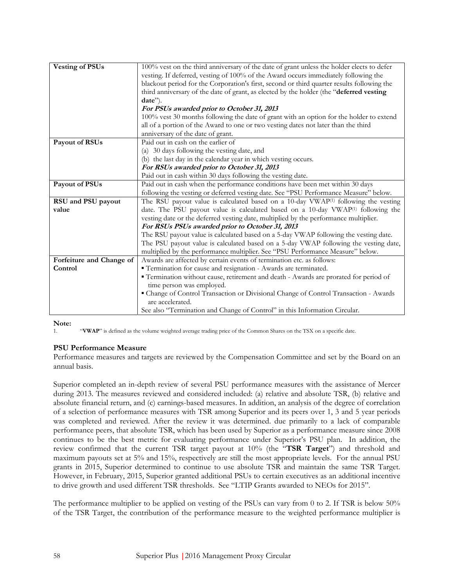| <b>Vesting of PSUs</b>   | 100% vest on the third anniversary of the date of grant unless the holder elects to defer      |
|--------------------------|------------------------------------------------------------------------------------------------|
|                          | vesting. If deferred, vesting of 100% of the Award occurs immediately following the            |
|                          | blackout period for the Corporation's first, second or third quarter results following the     |
|                          | third anniversary of the date of grant, as elected by the holder (the "deferred vesting        |
|                          | $date$ ").                                                                                     |
|                          | For PSUs awarded prior to October 31, 2013                                                     |
|                          | 100% vest 30 months following the date of grant with an option for the holder to extend        |
|                          | all of a portion of the Award to one or two vesting dates not later than the third             |
|                          | anniversary of the date of grant.                                                              |
| Payout of RSUs           | Paid out in cash on the earlier of                                                             |
|                          | (a) 30 days following the vesting date, and                                                    |
|                          | (b) the last day in the calendar year in which vesting occurs.                                 |
|                          | For RSUs awarded prior to October 31, 2013                                                     |
|                          | Paid out in cash within 30 days following the vesting date.                                    |
| Payout of PSUs           | Paid out in cash when the performance conditions have been met within 30 days                  |
|                          | following the vesting or deferred vesting date. See "PSU Performance Measure" below.           |
| RSU and PSU payout       | The RSU payout value is calculated based on a 10-day VWAP <sup>(1)</sup> following the vesting |
| value                    | date. The PSU payout value is calculated based on a 10-day VWAP <sup>(1)</sup> following the   |
|                          | vesting date or the deferred vesting date, multiplied by the performance multiplier.           |
|                          | For RSUs PSUs awarded prior to October 31, 2013                                                |
|                          | The RSU payout value is calculated based on a 5-day VWAP following the vesting date.           |
|                          | The PSU payout value is calculated based on a 5-day VWAP following the vesting date,           |
|                          | multiplied by the performance multiplier. See "PSU Performance Measure" below.                 |
| Forfeiture and Change of | Awards are affected by certain events of termination etc. as follows:                          |
| Control                  | " Termination for cause and resignation - Awards are terminated.                               |
|                          | " Termination without cause, retirement and death - Awards are prorated for period of          |
|                          | time person was employed.                                                                      |
|                          | • Change of Control Transaction or Divisional Change of Control Transaction - Awards           |
|                          | are accelerated.                                                                               |
|                          | See also "Termination and Change of Control" in this Information Circular.                     |

**Note:** 

1. "**VWAP**" is defined as the volume weighted average trading price of the Common Shares on the TSX on a specific date.

#### **PSU Performance Measure**

Performance measures and targets are reviewed by the Compensation Committee and set by the Board on an annual basis.

Superior completed an in-depth review of several PSU performance measures with the assistance of Mercer during 2013. The measures reviewed and considered included: (a) relative and absolute TSR, (b) relative and absolute financial return, and (c) earnings-based measures. In addition, an analysis of the degree of correlation of a selection of performance measures with TSR among Superior and its peers over 1, 3 and 5 year periods was completed and reviewed. After the review it was determined. due primarily to a lack of comparable performance peers, that absolute TSR, which has been used by Superior as a performance measure since 2008 continues to be the best metric for evaluating performance under Superior's PSU plan. In addition, the review confirmed that the current TSR target payout at 10% (the "**TSR Target**") and threshold and maximum payouts set at 5% and 15%, respectively are still the most appropriate levels. For the annual PSU grants in 2015, Superior determined to continue to use absolute TSR and maintain the same TSR Target. However, in February, 2015, Superior granted additional PSUs to certain executives as an additional incentive to drive growth and used different TSR thresholds. See "LTIP Grants awarded to NEOs for 2015".

The performance multiplier to be applied on vesting of the PSUs can vary from 0 to 2. If TSR is below 50% of the TSR Target, the contribution of the performance measure to the weighted performance multiplier is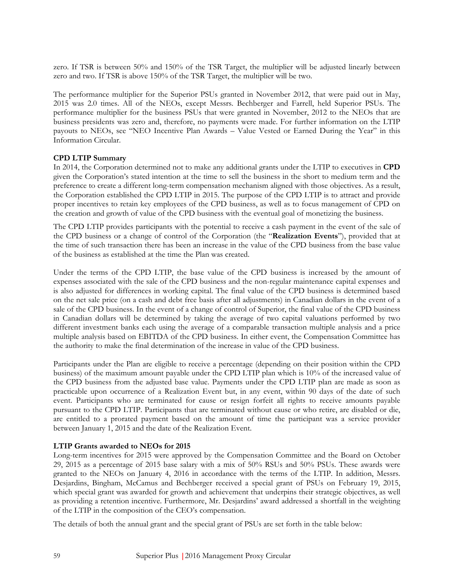zero. If TSR is between 50% and 150% of the TSR Target, the multiplier will be adjusted linearly between zero and two. If TSR is above 150% of the TSR Target, the multiplier will be two.

The performance multiplier for the Superior PSUs granted in November 2012, that were paid out in May, 2015 was 2.0 times. All of the NEOs, except Messrs. Bechberger and Farrell, held Superior PSUs. The performance multiplier for the business PSUs that were granted in November, 2012 to the NEOs that are business presidents was zero and, therefore, no payments were made. For further information on the LTIP payouts to NEOs, see "NEO Incentive Plan Awards – Value Vested or Earned During the Year" in this Information Circular.

#### **CPD LTIP Summary**

In 2014, the Corporation determined not to make any additional grants under the LTIP to executives in **CPD** given the Corporation's stated intention at the time to sell the business in the short to medium term and the preference to create a different long-term compensation mechanism aligned with those objectives. As a result, the Corporation established the CPD LTIP in 2015. The purpose of the CPD LTIP is to attract and provide proper incentives to retain key employees of the CPD business, as well as to focus management of CPD on the creation and growth of value of the CPD business with the eventual goal of monetizing the business.

The CPD LTIP provides participants with the potential to receive a cash payment in the event of the sale of the CPD business or a change of control of the Corporation (the "**Realization Events**"), provided that at the time of such transaction there has been an increase in the value of the CPD business from the base value of the business as established at the time the Plan was created.

Under the terms of the CPD LTIP, the base value of the CPD business is increased by the amount of expenses associated with the sale of the CPD business and the non-regular maintenance capital expenses and is also adjusted for differences in working capital. The final value of the CPD business is determined based on the net sale price (on a cash and debt free basis after all adjustments) in Canadian dollars in the event of a sale of the CPD business. In the event of a change of control of Superior, the final value of the CPD business in Canadian dollars will be determined by taking the average of two capital valuations performed by two different investment banks each using the average of a comparable transaction multiple analysis and a price multiple analysis based on EBITDA of the CPD business. In either event, the Compensation Committee has the authority to make the final determination of the increase in value of the CPD business.

Participants under the Plan are eligible to receive a percentage (depending on their position within the CPD business) of the maximum amount payable under the CPD LTIP plan which is 10% of the increased value of the CPD business from the adjusted base value. Payments under the CPD LTIP plan are made as soon as practicable upon occurrence of a Realization Event but, in any event, within 90 days of the date of such event. Participants who are terminated for cause or resign forfeit all rights to receive amounts payable pursuant to the CPD LTIP. Participants that are terminated without cause or who retire, are disabled or die, are entitled to a prorated payment based on the amount of time the participant was a service provider between January 1, 2015 and the date of the Realization Event.

#### **LTIP Grants awarded to NEOs for 2015**

Long-term incentives for 2015 were approved by the Compensation Committee and the Board on October 29, 2015 as a percentage of 2015 base salary with a mix of 50% RSUs and 50% PSUs. These awards were granted to the NEOs on January 4, 2016 in accordance with the terms of the LTIP. In addition, Messrs. Desjardins, Bingham, McCamus and Bechberger received a special grant of PSUs on February 19, 2015, which special grant was awarded for growth and achievement that underpins their strategic objectives, as well as providing a retention incentive. Furthermore, Mr. Desjardins' award addressed a shortfall in the weighting of the LTIP in the composition of the CEO's compensation.

The details of both the annual grant and the special grant of PSUs are set forth in the table below: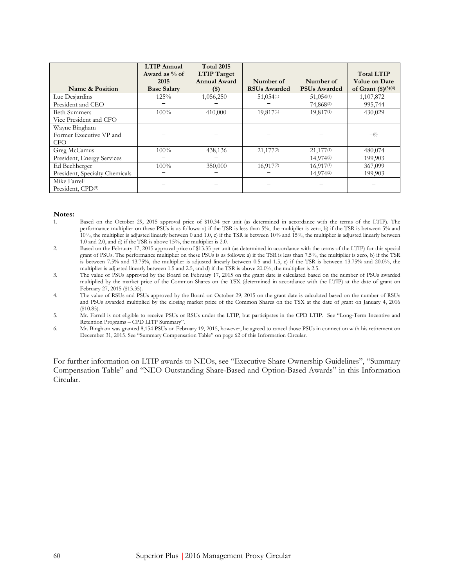|                                | <b>LTIP Annual</b> | <b>Total 2015</b>   |                       |                     |                          |
|--------------------------------|--------------------|---------------------|-----------------------|---------------------|--------------------------|
|                                | Award as $\%$ of   | <b>LTIP</b> Target  |                       |                     | <b>Total LTIP</b>        |
|                                | 2015               | <b>Annual Award</b> | Number of             | Number of           | Value on Date            |
| Name & Position                | <b>Base Salary</b> | $($ \$              | <b>RSUs Awarded</b>   | <b>PSUs Awarded</b> | of Grant $(\$)^{(3)(4)}$ |
| Luc Desjardins                 | 125%               | 1,056,250           | $51,054^{(1)}$        | $51,054^{(1)}$      | 1,107,872                |
| President and CEO              |                    |                     |                       | 74,868(2)           | 995,744                  |
| <b>Beth Summers</b>            | $100\%$            | 410,000             | 19,817 <sup>(1)</sup> | 19,817(1)           | 430,029                  |
| Vice President and CFO         |                    |                     |                       |                     |                          |
| Wayne Bingham                  |                    |                     |                       |                     |                          |
| Former Executive VP and        |                    |                     |                       |                     | $-(6)$                   |
| <b>CFO</b>                     |                    |                     |                       |                     |                          |
| Greg McCamus                   | 100%               | 438,136             | 21,177(2)             | $21,177^{(1)}$      | 480,074                  |
| President, Energy Services     |                    |                     |                       | 14,974(2)           | 199,903                  |
| Ed Bechberger                  | $100\%$            | 350,000             | 16,917(2)             | 16,917(1)           | 367,099                  |
| President, Specialty Chemicals |                    |                     |                       | 14,974(2)           | 199,903                  |
| Mike Farrell                   |                    |                     |                       |                     |                          |
| President, CPD <sup>(5)</sup>  |                    |                     |                       |                     |                          |

#### **Notes:**

- 1. Based on the October 29, 2015 approval price of \$10.34 per unit (as determined in accordance with the terms of the LTIP). The performance multiplier on these PSUs is as follows: a) if the TSR is less than 5%, the multiplier is zero, b) if the TSR is between 5% and 10%, the multiplier is adjusted linearly between 0 and 1.0, c) if the TSR is between 10% and 15%, the multiplier is adjusted linearly between 1.0 and 2.0, and d) if the TSR is above 15%, the multiplier is 2.0.
- 2. Based on the February 17, 2015 approval price of \$13.35 per unit (as determined in accordance with the terms of the LTIP) for this special grant of PSUs. The performance multiplier on these PSUs is as follows: a) if the TSR is less than 7.5%, the multiplier is zero, b) if the TSR is between 7.5% and 13.75%, the multiplier is adjusted linearly between 0.5 and 1.5, c) if the TSR is between 13.75% and 20.0%, the multiplier is adjusted linearly between 1.5 and 2.5, and d) if the TSR is above 20.0%, the multiplier is 2.5.
- 3. The value of PSUs approved by the Board on February 17, 2015 on the grant date is calculated based on the number of PSUs awarded multiplied by the market price of the Common Shares on the TSX (determined in accordance with the LTIP) at the date of grant on February 27, 2015 (\$13.35).

4. The value of RSUs and PSUs approved by the Board on October 29, 2015 on the grant date is calculated based on the number of RSUs and PSUs awarded multiplied by the closing market price of the Common Shares on the TSX at the date of grant on January 4, 2016 (\$10.85).

5. Mr. Farrell is not eligible to receive PSUs or RSUs under the LTIP, but participates in the CPD LTIP. See "Long-Term Incentive and Retention Programs – CPD LITP Summary".

6. Mr. Bingham was granted 8,154 PSUs on February 19, 2015, however, he agreed to cancel those PSUs in connection with his retirement on December 31, 2015. See "Summary Compensation Table" on page 62 of this Information Circular.

For further information on LTIP awards to NEOs, see "Executive Share Ownership Guidelines", "Summary Compensation Table" and "NEO Outstanding Share-Based and Option-Based Awards" in this Information Circular.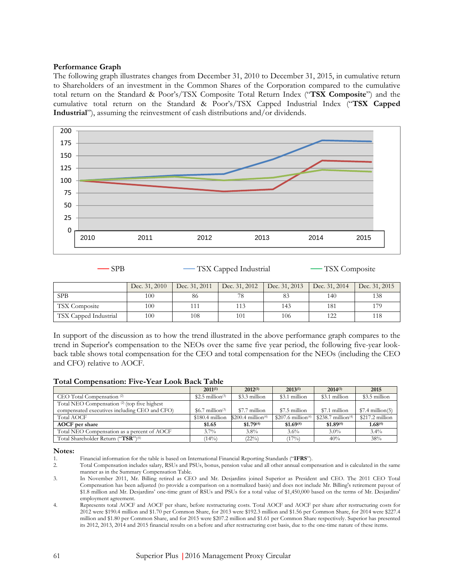#### **Performance Graph**

The following graph illustrates changes from December 31, 2010 to December 31, 2015, in cumulative return to Shareholders of an investment in the Common Shares of the Corporation compared to the cumulative total return on the Standard & Poor's/TSX Composite Total Return Index ("**TSX Composite**") and the cumulative total return on the Standard & Poor's/TSX Capped Industrial Index ("**TSX Capped Industrial**"), assuming the reinvestment of cash distributions and/or dividends.



SPB ── TSX Capped Industrial ── TSX Composite

|                       | Dec. 31, 2010 | Dec. 31, 2011 | Dec. 31, 2012 | Dec. 31, 2013 | Dec. 31, 2014 | Dec. 31, 2015 |
|-----------------------|---------------|---------------|---------------|---------------|---------------|---------------|
| <b>SPB</b>            | 100           | 86            | 78            | 83            | 140           | 138           |
| <b>TSX</b> Composite  | 100           | 111           | 113           | 143           | 181           | 179           |
| TSX Capped Industrial | 100           | 108           | 101           | 106           | 122           | 118           |

In support of the discussion as to how the trend illustrated in the above performance graph compares to the trend in Superior's compensation to the NEOs over the same five year period, the following five-year lookback table shows total compensation for the CEO and total compensation for the NEOs (including the CEO and CFO) relative to AOCF.

#### **Total Compensation: Five-Year Look Back Table**

|                                                          | $2011^{(1)}$                  | $2012^{(1)}$                    | $2013^{(1)}$                    | $2014^{(1)}$                    | 2015              |
|----------------------------------------------------------|-------------------------------|---------------------------------|---------------------------------|---------------------------------|-------------------|
| CEO Total Compensation <sup>(2)</sup>                    | \$2.5 million <sup>(3)</sup>  | \$3.3 million                   | \$3.1 million                   | \$3.1 million                   | \$3.5 million     |
| Total NEO Compensation <sup>(2)</sup> (top five highest) |                               |                                 |                                 |                                 |                   |
| compensated executives including CEO and CFO)            | $$6.7$ million <sup>(3)</sup> | \$7.7 million                   | \$7.5 million                   | \$7.1 million                   | $$7.4$ million(5) |
| Total AOCF                                               | $$180.4$ million              | $$200.4$ million <sup>(4)</sup> | $$207.6$ million <sup>(4)</sup> | $$238.7$ million <sup>(4)</sup> | $$217.2$ million  |
| <b>AOCF</b> per share                                    | \$1.65                        | $$1,79^{(4)}$                   | $$1.69^{(4)}$                   | $$1.89^{(4)}$                   | 1.68(4)           |
| Total NEO Compensation as a percent of AOCF              | $3.7\%$                       | $3.8\%$                         | 3.6%                            | $3.0\%$                         | 3.4%              |
| Total Shareholder Return ("TSR") <sup>(6)</sup>          | $(14\%)$                      | $(22\%)$                        | (17%)                           | 40%                             | 38%               |

**Notes:** 

<sup>1.</sup> Financial information for the table is based on International Financial Reporting Standards ("**IFRS**").

<sup>2.</sup> Total Compensation includes salary, RSUs and PSUs, bonus, pension value and all other annual compensation and is calculated in the same manner as in the Summary Compensation Table.

<sup>3.</sup> In November 2011, Mr. Billing retired as CEO and Mr. Desjardins joined Superior as President and CEO. The 2011 CEO Total Compensation has been adjusted (to provide a comparison on a normalized basis) and does not include Mr. Billing's retirement payout of \$1.8 million and Mr. Desjardins' one-time grant of RSUs and PSUs for a total value of \$1,450,000 based on the terms of Mr. Desjardins' employment agreement.

<sup>4.</sup> Represents total AOCF and AOCF per share, before restructuring costs. Total AOCF and AOCF per share after restructuring costs for 2012 were \$190.4 million and \$1.70 per Common Share, for 2013 were \$192.3 million and \$1.56 per Common Share, for 2014 were \$227.4 million and \$1.80 per Common Share, and for 2015 were \$207.2 million and \$1.61 per Common Share respectively. Superior has presented its 2012, 2013, 2014 and 2015 financial results on a before and after restructuring cost basis, due to the one-time nature of these items.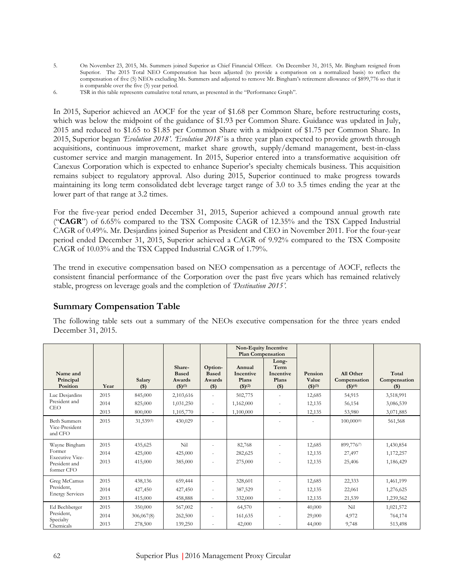- 5. On November 23, 2015, Ms. Summers joined Superior as Chief Financial Officer. On December 31, 2015, Mr. Bingham resigned from Superior. The 2015 Total NEO Compensation has been adjusted (to provide a comparison on a normalized basis) to reflect the compensation of five (5) NEOs excluding Ms. Summers and adjusted to remove Mr. Bingham's retirement allowance of \$899,776 so that it is comparable over the five (5) year period.
- 6. TSR in this table represents cumulative total return, as presented in the "Performance Graph".

In 2015, Superior achieved an AOCF for the year of \$1.68 per Common Share, before restructuring costs, which was below the midpoint of the guidance of \$1.93 per Common Share. Guidance was updated in July, 2015 and reduced to \$1.65 to \$1.85 per Common Share with a midpoint of \$1.75 per Common Share. In 2015, Superior began *'Evolution 2018'*. *'Evolution 2018'* is a three year plan expected to provide growth through acquisitions, continuous improvement, market share growth, supply/demand management, best-in-class customer service and margin management. In 2015, Superior entered into a transformative acquisition ofr Canexus Corporation which is expected to enhance Superior's specialty chemicals business. This acquisition remains subject to regulatory approval. Also during 2015, Superior continued to make progress towards maintaining its long term consolidated debt leverage target range of 3.0 to 3.5 times ending the year at the lower part of that range at 3.2 times.

For the five-year period ended December 31, 2015, Superior achieved a compound annual growth rate ("**CAGR**") of 6.65% compared to the TSX Composite CAGR of 12.35% and the TSX Capped Industrial CAGR of 0.49%. Mr. Desjardins joined Superior as President and CEO in November 2011. For the four-year period ended December 31, 2015, Superior achieved a CAGR of 9.92% compared to the TSX Composite CAGR of 10.03% and the TSX Capped Industrial CAGR of 1.79%.

The trend in executive compensation based on NEO compensation as a percentage of AOCF, reflects the consistent financial performance of the Corporation over the past five years which has remained relatively stable, progress on leverage goals and the completion of *'Destination 2015'*.

### **Summary Compensation Table**

The following table sets out a summary of the NEOs executive compensation for the three years ended December 31, 2015.

|                                                  |      |                   |                                                                  |                                            | <b>Non-Equity Incentive</b><br><b>Plan Compensation</b> |                                              |                                      |                                                           |                                |
|--------------------------------------------------|------|-------------------|------------------------------------------------------------------|--------------------------------------------|---------------------------------------------------------|----------------------------------------------|--------------------------------------|-----------------------------------------------------------|--------------------------------|
| Name and<br>Principal<br>Position                | Year | Salary<br>$($ \$) | Share-<br><b>Based</b><br>Awards<br>$($ \$ $)($ <sup>1</sup> $)$ | Option-<br><b>Based</b><br>Awards<br>$($)$ | Annual<br>Incentive<br>Plans<br>$($ \$ $)(2)$           | Long-<br>Term<br>Incentive<br>Plans<br>$($)$ | Pension<br>Value<br>$($ \$ $)(^{3)}$ | All Other<br>Compensation<br>$($ \$ $)($ <sup>4</sup> $)$ | Total<br>Compensation<br>$($)$ |
| Luc Desjardins                                   | 2015 | 845,000           | 2,103,616                                                        | $\overline{\phantom{a}}$                   | 502,775                                                 | ٠                                            | 12,685                               | 54,915                                                    | 3,518,991                      |
| President and<br><b>CEO</b>                      | 2014 | 825,000           | 1,031,250                                                        | ٠                                          | 1,162,000                                               |                                              | 12,135                               | 56,154                                                    | 3,086,539                      |
|                                                  | 2013 | 800,000           | 1,105,770                                                        | ٠                                          | 1,100,000                                               |                                              | 12,135                               | 53,980                                                    | 3,071,885                      |
| <b>Beth Summers</b><br>Vice-President<br>and CFO | 2015 | 31,539(5)         | 430,029                                                          | $\overline{\phantom{a}}$                   |                                                         |                                              |                                      | 100,000%                                                  | 561,568                        |
| Wayne Bingham                                    | 2015 | 435,625           | Nil                                                              | $\overline{\phantom{a}}$                   | 82,768                                                  | $\sim$                                       | 12,685                               | 899,7767                                                  | 1,430,854                      |
| Former<br><b>Executive Vice-</b>                 | 2014 | 425,000           | 425,000                                                          | $\overline{\phantom{a}}$                   | 282,625                                                 |                                              | 12,135                               | 27,497                                                    | 1,172,257                      |
| President and<br>former CFO                      | 2013 | 415,000           | 385,000                                                          | $\overline{\phantom{a}}$                   | 275,000                                                 |                                              | 12,135                               | 25,406                                                    | 1,186,429                      |
| Greg McCamus                                     | 2015 | 438,136           | 659,444                                                          | $\overline{\phantom{a}}$                   | 328,601                                                 |                                              | 12,685                               | 22,333                                                    | 1,461,199                      |
| President,                                       | 2014 | 427,450           | 427,450                                                          |                                            | 387,529                                                 | $\overline{\phantom{a}}$                     | 12,135                               | 22,061                                                    | 1,276,625                      |
| <b>Energy Services</b>                           | 2013 | 415,000           | 458,888                                                          |                                            | 332,000                                                 |                                              | 12,135                               | 21,539                                                    | 1,239,562                      |
| Ed Bechberger                                    | 2015 | 350,000           | 567,002                                                          | $\sim$                                     | 64,570                                                  | $\overline{\phantom{a}}$                     | 40,000                               | Nil                                                       | 1,021,572                      |
| President,<br>Specialty                          | 2014 | 306,067(8)        | 262,500                                                          | ٠                                          | 161,635                                                 |                                              | 29,000                               | 4,972                                                     | 764,174                        |
| Chemicals                                        | 2013 | 278,500           | 139,250                                                          |                                            | 42,000                                                  | ٠                                            | 44,000                               | 9,748                                                     | 513,498                        |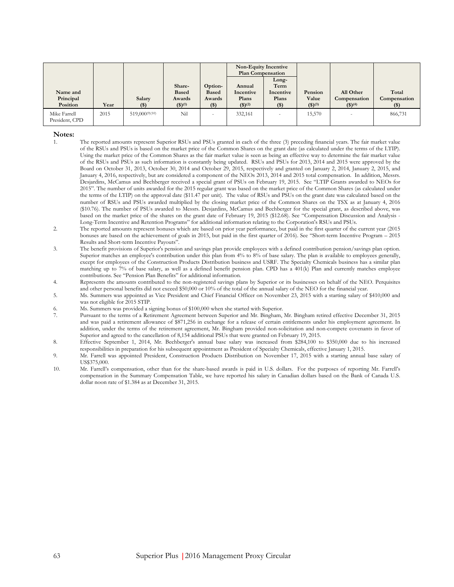| Name and<br>Principal<br>Position | Year | Salary         | Share-<br><b>Based</b><br>Awards | Option-<br><b>Based</b><br>Awards | <b>Non-Equity Incentive</b><br><b>Plan Compensation</b><br>Annual<br>Incentive<br>Plans | $Long-$<br>Term<br>Incentive<br>Plans | Pension<br>Value | All Other<br>Compensation    | Total<br>Compensation |
|-----------------------------------|------|----------------|----------------------------------|-----------------------------------|-----------------------------------------------------------------------------------------|---------------------------------------|------------------|------------------------------|-----------------------|
|                                   |      | $($ \$)        | (3)(1)                           | $($)$                             | $($ \$ $)(2)$                                                                           | $($ \$)                               | $($ \$ $)(^{3)}$ | $($ \$ $)($ <sup>4</sup> $)$ | $($ \$                |
| Mike Farrell<br>President, CPD    | 2015 | 519,000(9)(10) | Nil                              | $\sim$                            | 332,161                                                                                 |                                       | 15,570           |                              | 866,731               |

#### **Notes:**

- 1. The reported amounts represent Superior RSUs and PSUs granted in each of the three (3) preceding financial years. The fair market value of the RSUs and PSUs is based on the market price of the Common Shares on the grant date (as calculated under the terms of the LTIP). Using the market price of the Common Shares as the fair market value is seen as being an effective way to determine the fair market value of the RSUs and PSUs as such information is constantly being updated. RSUs and PSUs for 2013, 2014 and 2015 were approved by the Board on October 31, 2013, October 30, 2014 and October 29, 2015, respectively and granted on January 2, 2014, January 2, 2015, and January 4, 2016, respectively, but are considered a component of the NEOs 2013, 2014 and 2015 total compensation. In addition, Messrs. Desjardins, McCamus and Bechberger received a special grant of PSUs on February 19, 2015. See "LTIP Grants awarded to NEOs for 2015". The number of units awarded for the 2015 regular grant was based on the market price of the Common Shares (as calculated under the terms of the LTIP) on the approval date (\$11.47 per unit). The value of RSUs and PSUs on the grant date was calculated based on the number of RSUs and PSUs awarded multiplied by the closing market price of the Common Shares on the TSX as at January 4, 2016 (\$10.76). The number of PSUs awarded to Messrs. Desjardins, McCamus and Bechberger for the special grant, as described above, was based on the market price of the shares on the grant date of February 19, 2015 (\$12.68). See "Compensation Discussion and Analysis - Long-Term Incentive and Retention Programs" for additional information relating to the Corporation's RSUs and PSUs.
- 2. The reported amounts represent bonuses which are based on prior year performance, but paid in the first quarter of the current year (2015 bonuses are based on the achievement of goals in 2015, but paid in the first quarter of 2016). See "Short-term Incentive Program – 2015 Results and Short-term Incentive Payouts".
- 3. The benefit provisions of Superior's pension and savings plan provide employees with a defined contribution pension/savings plan option. Superior matches an employee's contribution under this plan from 4% to 8% of base salary. The plan is available to employees generally, except for employees of the Construction Products Distribution business and USRF. The Specialty Chemicals business has a similar plan matching up to  $7\%$  of base salary, as well as a defined benefit pension plan. CPD has a 401(k) Plan and currently matches employee contributions. See "Pension Plan Benefits" for additional information.
- 4. Represents the amounts contributed to the non-registered savings plans by Superior or its businesses on behalf of the NEO. Perquisites and other personal benefits did not exceed \$50,000 or 10% of the total of the annual salary of the NEO for the financial year.
- 5. Ms. Summers was appointed as Vice President and Chief Financial Officer on November 23, 2015 with a starting salary of \$410,000 and was not eligible for 2015 STIP.
- 6. Ms. Summers was provided a signing bonus of \$100,000 when she started with Superior.
- 7. Pursuant to the terms of a Retirement Agreement between Superior and Mr. Bingham, Mr. Bingham retired effective December 31, 2015 and was paid a retirement allowance of \$871,256 in exchange for a release of certain entitlements under his employment agreement. In addition, under the terms of the retirement agreement, Mr. Bingham provided non-solicitation and non-compete covenants in favor of Superior and agreed to the cancellation of 8,154 additional PSUs that were granted on February 19, 2015.
- 8. Effective September 1, 2014, Mr. Bechberger's annual base salary was increased from \$284,100 to \$350,000 due to his increased responsibilities in preparation for his subsequent appointment as President of Specialty Chemicals, effective January 1, 2015.
- 9. Mr. Farrell was appointed President, Construction Products Distribution on November 17, 2015 with a starting annual base salary of US\$375,000.
- 10. Mr. Farrell's compensation, other than for the share-based awards is paid in U.S. dollars. For the purposes of reporting Mr. Farrell's compensation in the Summary Compensation Table, we have reported his salary in Canadian dollars based on the Bank of Canada U.S. dollar noon rate of \$1.384 as at December 31, 2015.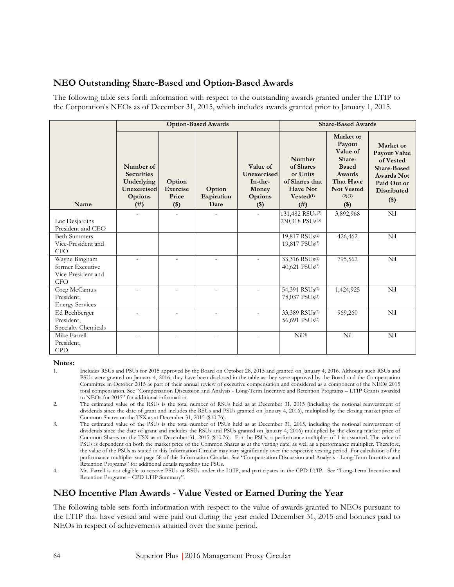### **NEO Outstanding Share-Based and Option-Based Awards**

The following table sets forth information with respect to the outstanding awards granted under the LTIP to the Corporation's NEOs as of December 31, 2015, which includes awards granted prior to January 1, 2015.

|                                                                       |                                                                                |                                        | <b>Option-Based Awards</b>   | <b>Share-Based Awards</b>                                         |                                                                                                       |                                                                                                                          |                                                                                                                                   |
|-----------------------------------------------------------------------|--------------------------------------------------------------------------------|----------------------------------------|------------------------------|-------------------------------------------------------------------|-------------------------------------------------------------------------------------------------------|--------------------------------------------------------------------------------------------------------------------------|-----------------------------------------------------------------------------------------------------------------------------------|
| Name                                                                  | Number of<br><b>Securities</b><br>Underlying<br>Unexercised<br>Options<br>(# ) | Option<br>Exercise<br>Price<br>$($ \$) | Option<br>Expiration<br>Date | Value of<br>Unexercised<br>In-the-<br>Money<br>Options<br>$($ \$) | Number<br>of Shares<br>or Units<br>of Shares that<br><b>Have Not</b><br>Vested <sup>(1)</sup><br>(# ) | Market or<br>Payout<br>Value of<br>Share-<br><b>Based</b><br>Awards<br>That Have<br><b>Not Vested</b><br>(2)(3)<br>$($)$ | Market or<br>Payout Value<br>of Vested<br><b>Share-Based</b><br><b>Awards Not</b><br>Paid Out or<br><b>Distributed</b><br>$($ \$) |
| Luc Desjardins<br>President and CEO                                   |                                                                                |                                        |                              | $\sim$                                                            | 131,482 RSUs(2)<br>230,318 PSUs(3)                                                                    | 3,892,968                                                                                                                | Nil                                                                                                                               |
| <b>Beth Summers</b><br>Vice-President and<br><b>CFO</b>               |                                                                                |                                        |                              |                                                                   | 19,817 RSUs(2)<br>19,817 PSU <sub>s</sub> (3)                                                         | 426,462                                                                                                                  | Nil                                                                                                                               |
| Wayne Bingham<br>former Executive<br>Vice-President and<br><b>CFO</b> |                                                                                |                                        |                              |                                                                   | 33,316 RSU <sub>s</sub> (2)<br>40,621 PSUs(3)                                                         | 795,562                                                                                                                  | Nil                                                                                                                               |
| Greg McCamus<br>President.<br><b>Energy Services</b>                  |                                                                                |                                        | $\overline{a}$               |                                                                   | 54,391 RSU <sub>s</sub> <sup>(2)</sup><br>78,037 PSUs(3)                                              | 1,424,925                                                                                                                | Nil                                                                                                                               |
| Ed Bechberger<br>President,<br>Specialty Chemicals                    |                                                                                |                                        |                              | $\overline{a}$                                                    | 33,389 RSUs(2)<br>56,691 PSUs(3)                                                                      | 969,260                                                                                                                  | Nil                                                                                                                               |
| Mike Farrell<br>President,<br><b>CPD</b>                              |                                                                                |                                        |                              |                                                                   | Nil <sup>(4)</sup>                                                                                    | Nil                                                                                                                      | Nil                                                                                                                               |

**Notes:** 

- 1. Includes RSUs and PSUs for 2015 approved by the Board on October 28, 2015 and granted on January 4, 2016. Although such RSUs and PSUs were granted on January 4, 2016, they have been disclosed in the table as they were approved by the Board and the Compensation Committee in October 2015 as part of their annual review of executive compensation and considered as a component of the NEOs 2015 total compensation. See "Compensation Discussion and Analysis - Long-Term Incentive and Retention Programs – LTIP Grants awarded to NEOs for 2015" for additional information.
- 2. The estimated value of the RSUs is the total number of RSUs held as at December 31, 2015 (including the notional reinvestment of dividends since the date of grant and includes the RSUs and PSUs granted on January 4, 2016), multiplied by the closing market price of Common Shares on the TSX as at December 31, 2015 (\$10.76).
- 3. The estimated value of the PSUs is the total number of PSUs held as at December 31, 2015, including the notional reinvestment of dividends since the date of grant and includes the RSUs and PSUs granted on January 4, 2016) multiplied by the closing market price of Common Shares on the TSX as at December 31, 2015 (\$10.76). For the PSUs, a performance multiplier of 1 is assumed. The value of PSUs is dependent on both the market price of the Common Shares as at the vesting date, as well as a performance multiplier. Therefore, the value of the PSUs as stated in this Information Circular may vary significantly over the respective vesting period. For calculation of the performance multiplier see page 58 of this Information Circular. See "Compensation Discussion and Analysis - Long-Term Incentive and Retention Programs" for additional details regarding the PSUs.
- 4. Mr. Farrell is not eligible to receive PSUs or RSUs under the LTIP, and participates in the CPD LTIP. See "Long-Term Incentive and Retention Programs – CPD LTIP Summary".

### **NEO Incentive Plan Awards - Value Vested or Earned During the Year**

The following table sets forth information with respect to the value of awards granted to NEOs pursuant to the LTIP that have vested and were paid out during the year ended December 31, 2015 and bonuses paid to NEOs in respect of achievements attained over the same period.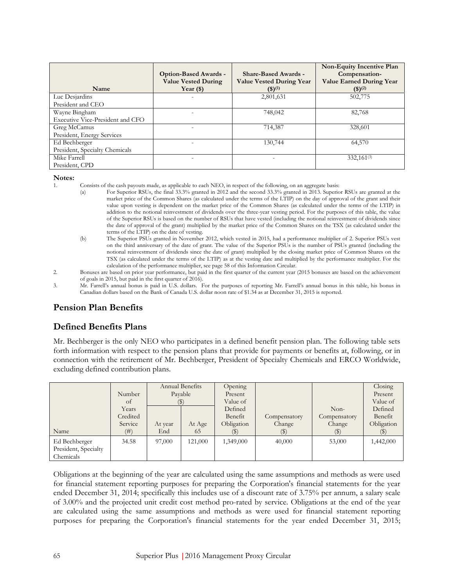| Name                             | <b>Option-Based Awards -</b><br><b>Value Vested During</b><br>Year $(\$)$ | <b>Share-Based Awards -</b><br><b>Value Vested During Year</b><br>(3)(1) | <b>Non-Equity Incentive Plan</b><br>Compensation-<br><b>Value Earned During Year</b><br>(3)(2) |
|----------------------------------|---------------------------------------------------------------------------|--------------------------------------------------------------------------|------------------------------------------------------------------------------------------------|
| Luc Desjardins                   |                                                                           | 2,801,631                                                                | 502,775                                                                                        |
| President and CEO                |                                                                           |                                                                          |                                                                                                |
| Wayne Bingham                    |                                                                           | 748,042                                                                  | 82,768                                                                                         |
| Executive Vice-President and CFO |                                                                           |                                                                          |                                                                                                |
| Greg McCamus                     |                                                                           | 714,387                                                                  | 328,601                                                                                        |
| President, Energy Services       |                                                                           |                                                                          |                                                                                                |
| Ed Bechberger                    |                                                                           | 130,744                                                                  | 64,570                                                                                         |
| President, Specialty Chemicals   |                                                                           |                                                                          |                                                                                                |
| Mike Farrell                     |                                                                           |                                                                          | 332,161(3)                                                                                     |
| President, CPD                   |                                                                           |                                                                          |                                                                                                |

**Notes:** 

1. Consists of the cash payouts made, as applicable to each NEO, in respect of the following, on an aggregate basis:

- (a) For Superior RSUs, the final 33.3% granted in 2012 and the second 33.3% granted in 2013. Superior RSUs are granted at the market price of the Common Shares (as calculated under the terms of the LTIP) on the day of approval of the grant and their value upon vesting is dependent on the market price of the Common Shares (as calculated under the terms of the LTIP) in addition to the notional reinvestment of dividends over the three-year vesting period. For the purposes of this table, the value of the Superior RSUs is based on the number of RSUs that have vested (including the notional reinvestment of dividends since the date of approval of the grant) multiplied by the market price of the Common Shares on the TSX (as calculated under the terms of the LTIP) on the date of vesting.
- (b) The Superior PSUs granted in November 2012, which vested in 2015, had a performance multiplier of 2. Superior PSUs vest on the third anniversary of the date of grant. The value of the Superior PSUs is the number of PSUs granted (including the notional reinvestment of dividends since the date of grant) multiplied by the closing market price of Common Shares on the TSX (as calculated under the terms of the LTIP) as at the vesting date and multiplied by the performance multiplier. For the calculation of the performance multiplier, see page 58 of this Information Circular.

2. Bonuses are based on prior year performance, but paid in the first quarter of the current year (2015 bonuses are based on the achievement of goals in 2015, but paid in the first quarter of 2016).

3. Mr. Farrell's annual bonus is paid in U.S. dollars. For the purposes of reporting Mr. Farrell's annual bonus in this table, his bonus in Canadian dollars based on the Bank of Canada U.S. dollar noon rate of \$1.34 as at December 31, 2015 is reported.

## **Pension Plan Benefits**

### **Defined Benefits Plans**

Mr. Bechberger is the only NEO who participates in a defined benefit pension plan. The following table sets forth information with respect to the pension plans that provide for payments or benefits at, following, or in connection with the retirement of Mr. Bechberger, President of Specialty Chemicals and ERCO Worldwide, excluding defined contribution plans.

|                                                    |          | Annual Benefits |         | Opening                      |              |              | Closing              |
|----------------------------------------------------|----------|-----------------|---------|------------------------------|--------------|--------------|----------------------|
|                                                    | Number   | Payable         |         | Present                      |              |              | Present              |
|                                                    | of       | $(\$)$          |         | Value of                     |              |              | Value of             |
|                                                    | Years    |                 |         | Defined                      |              | Non-         | Defined              |
|                                                    | Credited |                 |         | Benefit                      | Compensatory | Compensatory | Benefit              |
|                                                    | Service  | At year         | At Age  | Obligation                   | Change       | Change       | Obligation           |
| Name                                               | (# )     | End             | 65      | $\left( \frac{1}{2} \right)$ |              |              | $\ddot{\bm{\theta}}$ |
| Ed Bechberger<br>President, Specialty<br>Chemicals | 34.58    | 97,000          | 121,000 | 1,349,000                    | 40,000       | 53,000       | 1,442,000            |

Obligations at the beginning of the year are calculated using the same assumptions and methods as were used for financial statement reporting purposes for preparing the Corporation's financial statements for the year ended December 31, 2014; specifically this includes use of a discount rate of 3.75% per annum, a salary scale of 3.00% and the projected unit credit cost method pro-rated by service. Obligations at the end of the year are calculated using the same assumptions and methods as were used for financial statement reporting purposes for preparing the Corporation's financial statements for the year ended December 31, 2015;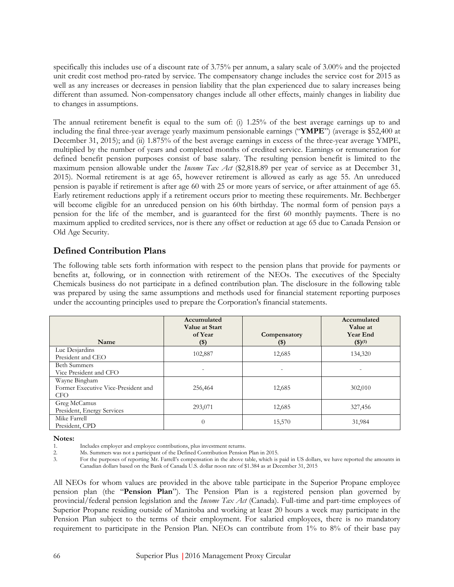specifically this includes use of a discount rate of 3.75% per annum, a salary scale of 3.00% and the projected unit credit cost method pro-rated by service. The compensatory change includes the service cost for 2015 as well as any increases or decreases in pension liability that the plan experienced due to salary increases being different than assumed. Non-compensatory changes include all other effects, mainly changes in liability due to changes in assumptions.

The annual retirement benefit is equal to the sum of: (i) 1.25% of the best average earnings up to and including the final three-year average yearly maximum pensionable earnings ("**YMPE**") (average is \$52,400 at December 31, 2015); and (ii) 1.875% of the best average earnings in excess of the three-year average YMPE, multiplied by the number of years and completed months of credited service. Earnings or remuneration for defined benefit pension purposes consist of base salary. The resulting pension benefit is limited to the maximum pension allowable under the *Income Tax Act* (\$2,818.89 per year of service as at December 31, 2015). Normal retirement is at age 65, however retirement is allowed as early as age 55. An unreduced pension is payable if retirement is after age 60 with 25 or more years of service, or after attainment of age 65. Early retirement reductions apply if a retirement occurs prior to meeting these requirements. Mr. Bechberger will become eligible for an unreduced pension on his 60th birthday. The normal form of pension pays a pension for the life of the member, and is guaranteed for the first 60 monthly payments. There is no maximum applied to credited services, nor is there any offset or reduction at age 65 due to Canada Pension or Old Age Security.

## **Defined Contribution Plans**

The following table sets forth information with respect to the pension plans that provide for payments or benefits at, following, or in connection with retirement of the NEOs. The executives of the Specialty Chemicals business do not participate in a defined contribution plan. The disclosure in the following table was prepared by using the same assumptions and methods used for financial statement reporting purposes under the accounting principles used to prepare the Corporation's financial statements.

| Name                                | Accumulated<br>Value at Start<br>of Year<br>$($ \$) | Compensatory<br>$($ \$)  | Accumulated<br>Value at<br><b>Year End</b><br>(3)(1) |  |
|-------------------------------------|-----------------------------------------------------|--------------------------|------------------------------------------------------|--|
| Luc Desjardins                      | 102,887                                             | 12,685                   | 134,320                                              |  |
| President and CEO                   |                                                     |                          |                                                      |  |
| <b>Beth Summers</b>                 | $\overline{a}$                                      | $\overline{\phantom{0}}$ | $\overline{\phantom{0}}$                             |  |
| Vice President and CFO              |                                                     |                          |                                                      |  |
| Wayne Bingham                       |                                                     |                          |                                                      |  |
| Former Executive Vice-President and | 256,464                                             | 12,685                   | 302,010                                              |  |
| <b>CFO</b>                          |                                                     |                          |                                                      |  |
| Greg McCamus                        | 293,071                                             | 12,685                   | 327,456                                              |  |
| President, Energy Services          |                                                     |                          |                                                      |  |
| Mike Farrell                        | $\overline{0}$                                      | 15,570                   | 31,984                                               |  |
| President, CPD                      |                                                     |                          |                                                      |  |

**Notes:** 

1. Includes employer and employee contributions, plus investment returns.<br>2. Ms. Summers was not a participant of the Defined Contribution Pension 2. Ms. Summers was not a participant of the Defined Contribution Pension Plan in 2015.<br>3. For the purposes of reporting Mr. Farrell's compensation in the above table, which is

3. For the purposes of reporting Mr. Farrell's compensation in the above table, which is paid in US dollars, we have reported the amounts in Canadian dollars based on the Bank of Canada U.S. dollar noon rate of \$1.384 as at December 31, 2015

All NEOs for whom values are provided in the above table participate in the Superior Propane employee pension plan (the "**Pension Plan**"). The Pension Plan is a registered pension plan governed by provincial/federal pension legislation and the *Income Tax Act* (Canada). Full-time and part-time employees of Superior Propane residing outside of Manitoba and working at least 20 hours a week may participate in the Pension Plan subject to the terms of their employment. For salaried employees, there is no mandatory requirement to participate in the Pension Plan. NEOs can contribute from 1% to 8% of their base pay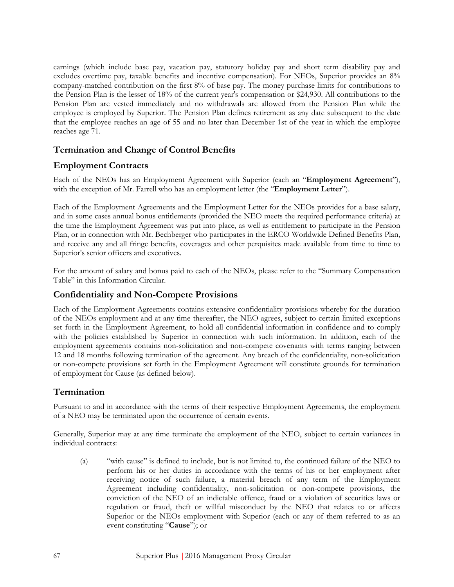earnings (which include base pay, vacation pay, statutory holiday pay and short term disability pay and excludes overtime pay, taxable benefits and incentive compensation). For NEOs, Superior provides an 8% company-matched contribution on the first 8% of base pay. The money purchase limits for contributions to the Pension Plan is the lesser of 18% of the current year's compensation or \$24,930. All contributions to the Pension Plan are vested immediately and no withdrawals are allowed from the Pension Plan while the employee is employed by Superior. The Pension Plan defines retirement as any date subsequent to the date that the employee reaches an age of 55 and no later than December 1st of the year in which the employee reaches age 71.

### **Termination and Change of Control Benefits**

### **Employment Contracts**

Each of the NEOs has an Employment Agreement with Superior (each an "**Employment Agreement**"), with the exception of Mr. Farrell who has an employment letter (the "**Employment Letter**").

Each of the Employment Agreements and the Employment Letter for the NEOs provides for a base salary, and in some cases annual bonus entitlements (provided the NEO meets the required performance criteria) at the time the Employment Agreement was put into place, as well as entitlement to participate in the Pension Plan, or in connection with Mr. Bechberger who participates in the ERCO Worldwide Defined Benefits Plan, and receive any and all fringe benefits, coverages and other perquisites made available from time to time to Superior's senior officers and executives.

For the amount of salary and bonus paid to each of the NEOs, please refer to the "Summary Compensation Table" in this Information Circular.

#### **Confidentiality and Non-Compete Provisions**

Each of the Employment Agreements contains extensive confidentiality provisions whereby for the duration of the NEOs employment and at any time thereafter, the NEO agrees, subject to certain limited exceptions set forth in the Employment Agreement, to hold all confidential information in confidence and to comply with the policies established by Superior in connection with such information. In addition, each of the employment agreements contains non-solicitation and non-compete covenants with terms ranging between 12 and 18 months following termination of the agreement. Any breach of the confidentiality, non-solicitation or non-compete provisions set forth in the Employment Agreement will constitute grounds for termination of employment for Cause (as defined below).

### **Termination**

Pursuant to and in accordance with the terms of their respective Employment Agreements, the employment of a NEO may be terminated upon the occurrence of certain events.

Generally, Superior may at any time terminate the employment of the NEO, subject to certain variances in individual contracts:

(a) "with cause" is defined to include, but is not limited to, the continued failure of the NEO to perform his or her duties in accordance with the terms of his or her employment after receiving notice of such failure, a material breach of any term of the Employment Agreement including confidentiality, non-solicitation or non-compete provisions, the conviction of the NEO of an indictable offence, fraud or a violation of securities laws or regulation or fraud, theft or willful misconduct by the NEO that relates to or affects Superior or the NEOs employment with Superior (each or any of them referred to as an event constituting "**Cause**"); or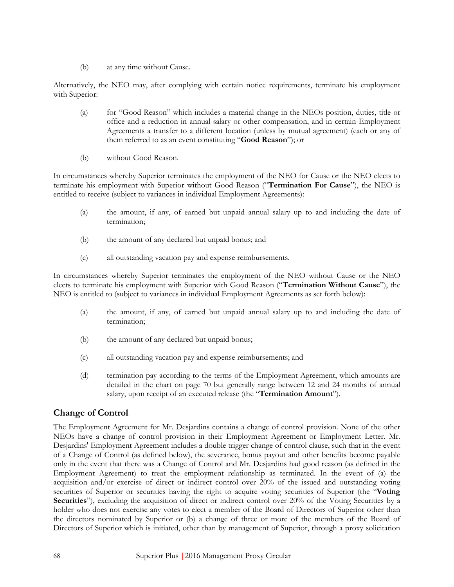(b) at any time without Cause.

Alternatively, the NEO may, after complying with certain notice requirements, terminate his employment with Superior:

- (a) for "Good Reason" which includes a material change in the NEOs position, duties, title or office and a reduction in annual salary or other compensation, and in certain Employment Agreements a transfer to a different location (unless by mutual agreement) (each or any of them referred to as an event constituting "**Good Reason**"); or
- (b) without Good Reason.

In circumstances whereby Superior terminates the employment of the NEO for Cause or the NEO elects to terminate his employment with Superior without Good Reason ("**Termination For Cause**"), the NEO is entitled to receive (subject to variances in individual Employment Agreements):

- (a) the amount, if any, of earned but unpaid annual salary up to and including the date of termination;
- (b) the amount of any declared but unpaid bonus; and
- (c) all outstanding vacation pay and expense reimbursements.

In circumstances whereby Superior terminates the employment of the NEO without Cause or the NEO elects to terminate his employment with Superior with Good Reason ("**Termination Without Cause**"), the NEO is entitled to (subject to variances in individual Employment Agreements as set forth below):

- (a) the amount, if any, of earned but unpaid annual salary up to and including the date of termination;
- (b) the amount of any declared but unpaid bonus;
- (c) all outstanding vacation pay and expense reimbursements; and
- (d) termination pay according to the terms of the Employment Agreement, which amounts are detailed in the chart on page 70 but generally range between 12 and 24 months of annual salary, upon receipt of an executed release (the "**Termination Amount**").

### **Change of Control**

The Employment Agreement for Mr. Desjardins contains a change of control provision. None of the other NEOs have a change of control provision in their Employment Agreement or Employment Letter. Mr. Desjardins' Employment Agreement includes a double trigger change of control clause, such that in the event of a Change of Control (as defined below), the severance, bonus payout and other benefits become payable only in the event that there was a Change of Control and Mr. Desjardins had good reason (as defined in the Employment Agreement) to treat the employment relationship as terminated. In the event of (a) the acquisition and/or exercise of direct or indirect control over 20% of the issued and outstanding voting securities of Superior or securities having the right to acquire voting securities of Superior (the "**Voting Securities**"), excluding the acquisition of direct or indirect control over 20% of the Voting Securities by a holder who does not exercise any votes to elect a member of the Board of Directors of Superior other than the directors nominated by Superior or (b) a change of three or more of the members of the Board of Directors of Superior which is initiated, other than by management of Superior, through a proxy solicitation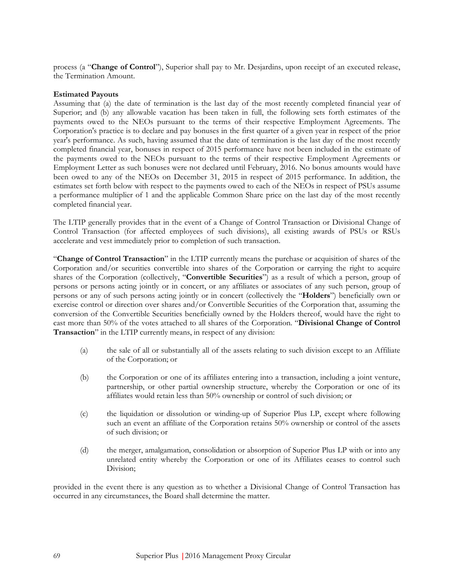process (a "**Change of Control**"), Superior shall pay to Mr. Desjardins, upon receipt of an executed release, the Termination Amount.

#### **Estimated Payouts**

Assuming that (a) the date of termination is the last day of the most recently completed financial year of Superior; and (b) any allowable vacation has been taken in full, the following sets forth estimates of the payments owed to the NEOs pursuant to the terms of their respective Employment Agreements. The Corporation's practice is to declare and pay bonuses in the first quarter of a given year in respect of the prior year's performance. As such, having assumed that the date of termination is the last day of the most recently completed financial year, bonuses in respect of 2015 performance have not been included in the estimate of the payments owed to the NEOs pursuant to the terms of their respective Employment Agreements or Employment Letter as such bonuses were not declared until February, 2016. No bonus amounts would have been owed to any of the NEOs on December 31, 2015 in respect of 2015 performance. In addition, the estimates set forth below with respect to the payments owed to each of the NEOs in respect of PSUs assume a performance multiplier of 1 and the applicable Common Share price on the last day of the most recently completed financial year.

The LTIP generally provides that in the event of a Change of Control Transaction or Divisional Change of Control Transaction (for affected employees of such divisions), all existing awards of PSUs or RSUs accelerate and vest immediately prior to completion of such transaction.

"**Change of Control Transaction**" in the LTIP currently means the purchase or acquisition of shares of the Corporation and/or securities convertible into shares of the Corporation or carrying the right to acquire shares of the Corporation (collectively, "**Convertible Securities**") as a result of which a person, group of persons or persons acting jointly or in concert, or any affiliates or associates of any such person, group of persons or any of such persons acting jointly or in concert (collectively the "**Holders**") beneficially own or exercise control or direction over shares and/or Convertible Securities of the Corporation that, assuming the conversion of the Convertible Securities beneficially owned by the Holders thereof, would have the right to cast more than 50% of the votes attached to all shares of the Corporation. "**Divisional Change of Control Transaction**" in the LTIP currently means, in respect of any division:

- (a) the sale of all or substantially all of the assets relating to such division except to an Affiliate of the Corporation; or
- (b) the Corporation or one of its affiliates entering into a transaction, including a joint venture, partnership, or other partial ownership structure, whereby the Corporation or one of its affiliates would retain less than 50% ownership or control of such division; or
- (c) the liquidation or dissolution or winding-up of Superior Plus LP, except where following such an event an affiliate of the Corporation retains 50% ownership or control of the assets of such division; or
- (d) the merger, amalgamation, consolidation or absorption of Superior Plus LP with or into any unrelated entity whereby the Corporation or one of its Affiliates ceases to control such Division;

provided in the event there is any question as to whether a Divisional Change of Control Transaction has occurred in any circumstances, the Board shall determine the matter.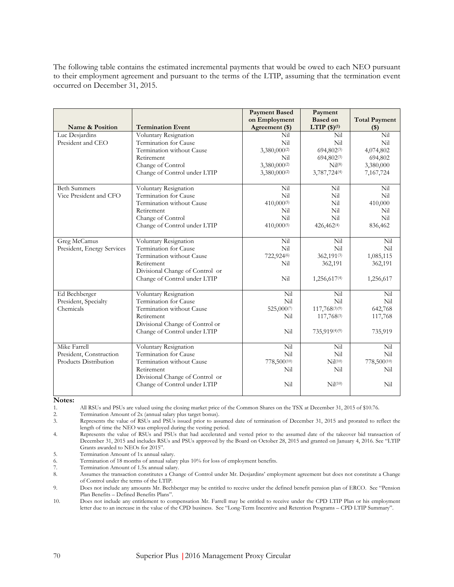The following table contains the estimated incremental payments that would be owed to each NEO pursuant to their employment agreement and pursuant to the terms of the LTIP, assuming that the termination event occurred on December 31, 2015.

|                            |                                 | <b>Payment Based</b><br>on Employment | Payment<br><b>Based on</b> | <b>Total Payment</b> |
|----------------------------|---------------------------------|---------------------------------------|----------------------------|----------------------|
| Name & Position            | <b>Termination Event</b>        | Agreement (\$)                        | LTIP $(\$)^{(1)}$          | $($ \$)              |
| Luc Desjardins             | Voluntary Resignation           | Nil                                   | Nil                        | Nil                  |
| President and CEO          | Termination for Cause           | Nil                                   | Nil                        | Nil                  |
|                            | Termination without Cause       | 3,380,000(2)                          | 694,802(3)                 | 4,074,802            |
|                            | Retirement                      | Nil                                   | $694,802^{(3)}$            | 694,802              |
|                            | Change of Control               | 3,380,000(2)                          | Nil <sup>(8)</sup>         | 3,380,000            |
|                            | Change of Control under LTIP    | 3,380,000(2)                          | 3,787,724(4)               | 7,167,724            |
| <b>Beth Summers</b>        | Voluntary Resignation           | Nil                                   | Nil                        | Nil                  |
| Vice President and CFO     | Termination for Cause           | Nil                                   | Nil                        | Nil                  |
|                            | Termination without Cause       | 410,000(5)                            | Nil                        | 410,000              |
|                            | Retirement                      | Nil                                   | Nil                        | Nil                  |
|                            | Change of Control               | Nil                                   | Nil                        | Nil                  |
|                            | Change of Control under LTIP    | 410,000(5)                            | 426,462(4)                 | 836,462              |
| Greg McCamus               | Voluntary Resignation           | Nil                                   | Nil                        | Nil                  |
| President, Energy Services | Termination for Cause           | Nil                                   | Nil                        | Nil                  |
|                            | Termination without Cause       | 722,924(6)                            | $362,191^{(3)}$            | 1,085,115            |
|                            | Retirement                      | Nil                                   | 362,191                    | 362,191              |
|                            | Divisional Change of Control or |                                       |                            |                      |
|                            | Change of Control under LTIP    | Nil                                   | 1,256,617(4)               | 1,256,617            |
| Ed Bechberger              | Voluntary Resignation           | Nil                                   | Nil                        | Nil                  |
| President, Specialty       | Termination for Cause           | Nil                                   | Nil                        | Nil                  |
| Chemicals                  | Termination without Cause       | 525,000(7)                            | 117,768(3)(9)              | 642,768              |
|                            | Retirement                      | Nil                                   | 117,768(3)                 | 117,768              |
|                            | Divisional Change of Control or |                                       |                            |                      |
|                            | Change of Control under LTIP    | Nil                                   | 735,919(4)(9)              | 735,919              |
| Mike Farrell               | Voluntary Resignation           | Nil                                   | Nil                        | Nil                  |
| President, Construction    | Termination for Cause           | Nil                                   | Nil                        | Nil                  |
| Products Distribution      | Termination without Cause       | 778,500(10)                           | Nil <sup>(10)</sup>        | 778,500(10)          |
|                            | Retirement                      | Nil                                   | Nil                        | Nil                  |
|                            | Divisional Change of Control or |                                       |                            |                      |
|                            | Change of Control under LTIP    | Nil                                   | Nil <sup>(10)</sup>        | Nil                  |

**Notes:** 

- 1. All RSUs and PSUs are valued using the closing market price of the Common Shares on the TSX at December 31, 2015 of \$10.76.<br>2. Termination Amount of 2x (annual salary plus target bonus).
- 2. Termination Amount of 2x (annual salary plus target bonus).<br>3. Represents the value of RSUs and PSUs issued prior to ass
- Represents the value of RSUs and PSUs issued prior to assumed date of termination of December 31, 2015 and prorated to reflect the length of time the NEO was employed during the vesting period.

- 5. Termination Amount of 1x annual salary.
- 6. Termination of 18 months of annual salary plus 10% for loss of employment benefits.
- Termination Amount of 1.5x annual salary.

<sup>4.</sup> Represents the value of RSUs and PSUs that had accelerated and vested prior to the assumed date of the takeover bid transaction of December 31, 2015 and includes RSUs and PSUs approved by the Board on October 28, 2015 and granted on January 4, 2016. See "LTIP Grants awarded to NEOs for 2015".

<sup>8.</sup> Assumes the transaction constitutes a Change of Control under Mr. Desjardins' employment agreement but does not constitute a Change of Control under the terms of the LTIP.

<sup>9.</sup> Does not include any amounts Mr. Bechberger may be entitled to receive under the defined benefit pension plan of ERCO. See "Pension Plan Benefits – Defined Benefits Plans".

<sup>10.</sup> Does not include any entitlement to compensation Mr. Farrell may be entitled to receive under the CPD LTIP Plan or his employment letter due to an increase in the value of the CPD business. See "Long-Term Incentive and Retention Programs – CPD LTIP Summary".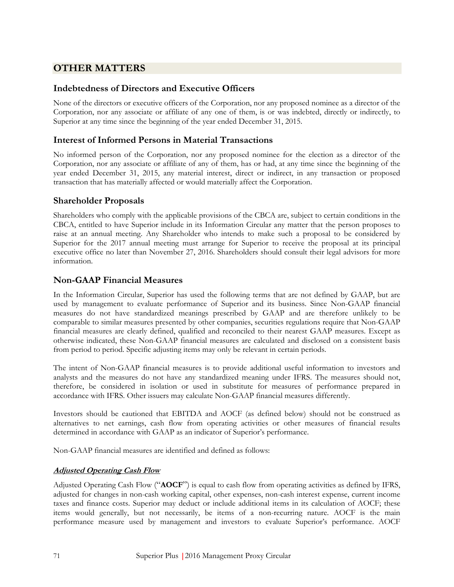# **OTHER MATTERS**

# **Indebtedness of Directors and Executive Officers**

None of the directors or executive officers of the Corporation, nor any proposed nominee as a director of the Corporation, nor any associate or affiliate of any one of them, is or was indebted, directly or indirectly, to Superior at any time since the beginning of the year ended December 31, 2015.

# **Interest of Informed Persons in Material Transactions**

No informed person of the Corporation, nor any proposed nominee for the election as a director of the Corporation, nor any associate or affiliate of any of them, has or had, at any time since the beginning of the year ended December 31, 2015, any material interest, direct or indirect, in any transaction or proposed transaction that has materially affected or would materially affect the Corporation.

# **Shareholder Proposals**

Shareholders who comply with the applicable provisions of the CBCA are, subject to certain conditions in the CBCA, entitled to have Superior include in its Information Circular any matter that the person proposes to raise at an annual meeting. Any Shareholder who intends to make such a proposal to be considered by Superior for the 2017 annual meeting must arrange for Superior to receive the proposal at its principal executive office no later than November 27, 2016. Shareholders should consult their legal advisors for more information.

# **Non-GAAP Financial Measures**

In the Information Circular, Superior has used the following terms that are not defined by GAAP, but are used by management to evaluate performance of Superior and its business. Since Non-GAAP financial measures do not have standardized meanings prescribed by GAAP and are therefore unlikely to be comparable to similar measures presented by other companies, securities regulations require that Non-GAAP financial measures are clearly defined, qualified and reconciled to their nearest GAAP measures. Except as otherwise indicated, these Non-GAAP financial measures are calculated and disclosed on a consistent basis from period to period. Specific adjusting items may only be relevant in certain periods.

The intent of Non-GAAP financial measures is to provide additional useful information to investors and analysts and the measures do not have any standardized meaning under IFRS. The measures should not, therefore, be considered in isolation or used in substitute for measures of performance prepared in accordance with IFRS. Other issuers may calculate Non-GAAP financial measures differently.

Investors should be cautioned that EBITDA and AOCF (as defined below) should not be construed as alternatives to net earnings, cash flow from operating activities or other measures of financial results determined in accordance with GAAP as an indicator of Superior's performance.

Non-GAAP financial measures are identified and defined as follows:

### **Adjusted Operating Cash Flow**

Adjusted Operating Cash Flow ("**AOCF**") is equal to cash flow from operating activities as defined by IFRS, adjusted for changes in non-cash working capital, other expenses, non-cash interest expense, current income taxes and finance costs. Superior may deduct or include additional items in its calculation of AOCF; these items would generally, but not necessarily, be items of a non-recurring nature. AOCF is the main performance measure used by management and investors to evaluate Superior's performance. AOCF